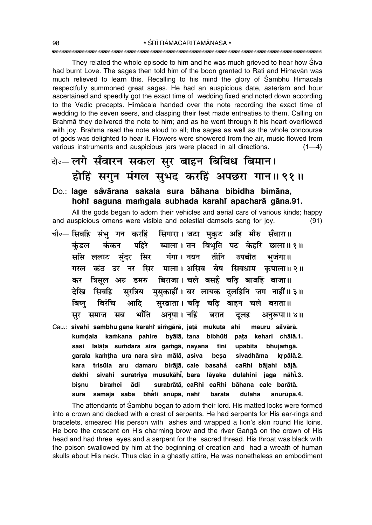They related the whole episode to him and he was much grieved to hear how Siva had burnt Love. The sages then told him of the boon granted to Rati and Himavan was much relieved to learn this. Recalling to his mind the glory of Sambhu Himacala respectfully summoned great sages. He had an auspicious date, asterism and hour ascertained and speedily got the exact time of wedding fixed and noted down according to the Vedic precepts. Himacala handed over the note recording the exact time of wedding to the seven seers, and clasping their feet made entreaties to them. Calling on Brahma they delivered the note to him; and as he went through it his heart overflowed with joy. Brahma read the note aloud to all; the sages as well as the whole concourse of gods was delighted to hear it. Flowers were showered from the air, music flowed from various instruments and auspicious jars were placed in all directions.  $(1-4)$ 

# के-लगे सँवारन सकल सुर बाहन बिबिध बिमान। होहिं सगुन मंगल सुभद करहिं अपछरा गान॥ ९१॥

### Do.: lage såvārana sakala sura bāhana bibidha bimāna, hohi saguna mamgala subhada karahi apacharā gāna.91.

All the gods began to adorn their vehicles and aerial cars of various kinds; happy and auspicious omens were visible and celestial damsels sang for joy.  $(91)$ 

- चौ०— सिवहि संभु गन करहिं सिंगारा। जटा मुकुट अहि मौरु सँवारा॥ पहिरे ब्याला। तन बिभुति पट केहरि छाला॥१॥ कंडल कंकन ससि ललाट संदर सिर गंगा।नयन तीनि उपबीत भजंगा॥ गरल कंठ उर नर सिर माला।असिव बेष सिवधाम कपाला॥२॥ कर त्रिसुल अरु डमरु बिराजा। चले बसहँ चढि बाजहिं बाजा॥ सुरत्रिय मुसुकाहीं । बर लायक दुलहिनि जग नाहीं ॥ ३ ॥ देखि सिवहि सरब्राता । चढि चढि बाहन चले बराता ॥ बिरंचि आदि बिष्न भाँति अनुपा । नहिं सर समाज सब दूलह बरात अनुरूपा॥ ४॥ Cau.: sivahi sambhu gana karahi simgārā, jatā mukuta ahi mauru såvārā.
- kamkana pahire byālā, tana bibhūti kumdala pata kehari chālā.1. sasi lalāta sumdara sira gamgā, nayana tīni upabīta bhujamgā. garala kamtha ura nara sira mālā, asiva besa sivadhāma krpālā.2. trisūla aru damaru birājā, cale basahå caRhi bājahî bājā. kara sivahi suratriya musukāhi, bara lāyaka dulahini jaga nāhi.3. dekhi surabrātā, caRhi caRhi bāhana cale barātā. biramci ādi bisnu sura samāja saba bhāti anūpā, naht barāta dūlaha anurūpā.4.

The attendants of Sambhu began to adorn their lord. His matted locks were formed into a crown and decked with a crest of serpents. He had serpents for His ear-rings and bracelets, smeared His person with ashes and wrapped a lion's skin round His loins. He bore the crescent on His charming brow and the river Ganga on the crown of His head and had three eyes and a serpent for the sacred thread. His throat was black with the poison swallowed by him at the beginning of creation and had a wreath of human skulls about His neck. Thus clad in a ghastly attire, He was nonetheless an embodiment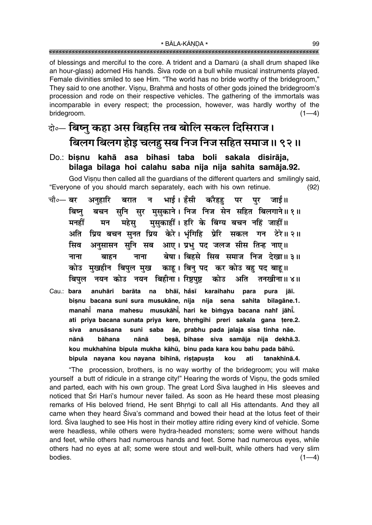of blessings and merciful to the core. A trident and a Damarū (a shall drum shaped like an hour-glass) adorned His hands. Śiva rode on a bull while musical instruments played. Female divinities smiled to see Him. "The world has no bride worthy of the bridegroom," They said to one another. Visnu, Brahmā and hosts of other gods joined the bridegroom's procession and rode on their respective vehicles. The gathering of the immortals was incomparable in every respect; the procession, however, was hardly worthy of the bridegroom.  $(1-4)$ 

## केन्- बिष्नु कहा अस बिहसि तब बोलि सकल दिसिराज। बिलग बिलग होइ चलहु सब निज निज सहित समाज॥ ९२॥

### Do.: bisnu kahā asa bihasi taba boli sakala disirāja, bilaga bilaga hoi calahu saba nija nija sahita samāja.92.

God Visnu then called all the quardians of the different quarters and smilingly said. "Everyone of you should march separately, each with his own retinue.  $(92)$ 

- भाई। हँसी करैहह चौ०— **बर** अनुहारि न पर पर जाई॥ बरात बचन सनि सर मुसकाने। निज निज सेन सहित बिलगाने॥१॥ बिष्न् मुसुकाहीं। हरि के बिंग्य बचन नहिं जाहीं॥ मनहीं मन महेस प्रिय बचन सुनत प्रिय केरे। भूंगिहि प्रेरि सकल गन टेरे॥२॥ अति अनुसासन सुनि सब आए। प्रभु पद जलज सीस तिन्ह नाए॥ सिव बेषा। बिहसे सिव समाज निज देखा॥३॥ नाना बाहन नाना कोउ मखहीन बिपल मख काह। बिन पद कर कोउ बह पद बाह॥ बिपुल नयन कोउ नयन बिहीना। रिष्टपुष्ट कोउ अति तनखीना॥ ४॥
- bhāī, håsī karaihahu Cau.: bara anuhāri barāta na para pura jāī. bisnu bacana suni sura musukāne, nija nija sena sahita bilagane.1. manahi mana mahesu musukāhi, hari ke bimgya bacana nahi jāhi. ati priya bacana sunata priya kere, bhrmgihi preri sakala gana tere.2. suni saba āe, prabhu pada jalaja sīsa tinha nāe. siva anusāsana nānā bāhana nānā besā, bihase siva samāja nija dekhā.3. kou mukhahīna bipula mukha kāhū, binu pada kara kou bahu pada bāhū. bipula nayana kou nayana bihīnā, ristapusta kou ati tanakhīnā.4.

"The procession, brothers, is no way worthy of the bridegroom; you will make yourself a butt of ridicule in a strange city!" Hearing the words of Visnu, the gods smiled and parted, each with his own group. The great Lord Siva laughed in His sleeves and noticed that Srī Hari's humour never failed. As soon as He heard these most pleasing remarks of His beloved friend, He sent Bhrngī to call all His attendants. And they all came when they heard Siva's command and bowed their head at the lotus feet of their lord. Siva laughed to see His host in their motley attire riding every kind of vehicle. Some were headless, while others were hydra-headed monsters; some were without hands and feet, while others had numerous hands and feet. Some had numerous eyes, while others had no eyes at all; some were stout and well-built, while others had very slim bodies.  $(1-4)$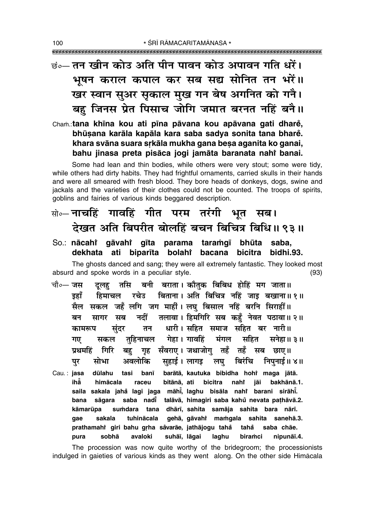इं∘— तन खीन कोउ अति पीन पावन कोउ अपावन गति धरें। भूषन कराल कपाल कर सब सद्य सोनित तन भरें।। खर स्वान सुअर सुकाल मुख गन बेष अगनित को गनै। बह जिनस प्रेत पिसाच जोगि जमात बरनत नहिं बनै।।

Cham.: tana khīna kou ati pīna pāvana kou apāvana gati dhare, bhūsana karāla kapāla kara saba sadya sonita tana bhare. khara svāna suara srkāla mukha gana besa aganita ko ganai, bahu jinasa preta pisāca jogi jamāta baranata nahi banai.

Some had lean and thin bodies, while others were very stout; some were tidy, while others had dirty habits. They had frightful ornaments, carried skulls in their hands and were all smeared with fresh blood. They bore heads of donkeys, dogs, swine and jackals and the varieties of their clothes could not be counted. The troops of spirits, goblins and fairies of various kinds beggared description.

## क्षे∘– नाचहिं गावहिं गीत परम तरंगी भूत सब। देखत अति बिपरीत बोलहिं बचन बिचित्र बिधि॥ ९३॥

#### So.: nācahi gāvahi gīta parama taramgī bhūta saba. dekhata ati biparīta bolahi bacana bicitra bidhi.93.

The ghosts danced and sang; they were all extremely fantastic. They looked most absurd and spoke words in a peculiar style.  $(93)$ 

- दलह तसि बनी बराता। कौतक बिबिध होहिं मग जाता॥ चौ०— जस हिमाचल रचेउ बिताना। अति बिचित्र नहिं जाइ बखाना॥१॥ इहाँ सैल सकल जहँ लगि जग माहीं। लघु बिसाल नहिं बरनि सिराहीं॥ तलावा। हिमगिरि सब कहँ नेवत पठावा॥२॥ नदीं सागर सब बन धारी। सहित समाज सहित बर नारी॥ कामरूप संदर तन तुहिनाचल गेहा। गावहिं गए सकल मंगल सहित सनेहा॥३॥ सँवराए । जथाजोगु तहँ तहँ सब छाए ॥ गिरि प्रथमहिं गृह बह मोभा अवलोकि सहाई । लागइ लघ बिरंचि निपनाई॥ ४॥ पर
- Cau.: jasa dūlahu tasi banī barātā, kautuka bibidha hohi maga jātā. bitānā, ati ihẳ bicitra himācala raceu nahi iāi bakhānā.1. saila sakala jahå lagi jaga māhi, laghu bisāla naht barani sirāhi. bana sāgara saba nadi talāvā, himagiri saba kahů nevata pathāvā.2. sumdara tana dhārī, sahita samāja sahita bara nārī. kāmarūpa sakala tuhinācala gehā, gāvahi mamgala sahita sanehā.3. gae prathamahi giri bahu grha såvarāe, jathājogu tahå tahå saba chāe. suhāī, lāgai sobhā avaloki laghu nipunāī.4. pura biramci

The procession was now quite worthy of the bridegroom; the processionists indulged in gaieties of various kinds as they went along. On the other side Himacala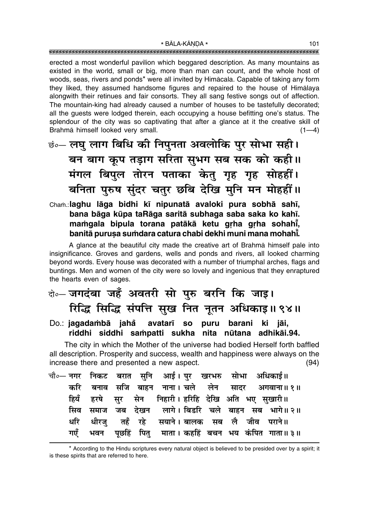erected a most wonderful pavilion which beggared description. As many mountains as existed in the world, small or big, more than man can count, and the whole host of woods, seas, rivers and ponds\* were all invited by Himacala. Capable of taking any form they liked, they assumed handsome figures and repaired to the house of Himalaya alongwith their retinues and fair consorts. They all sang festive songs out of affection. The mountain-king had already caused a number of houses to be tastefully decorated; all the quests were lodged therein, each occupying a house befitting one's status. The splendour of the city was so captivating that after a glance at it the creative skill of Brahmā himself looked very small.  $(1-4)$ 

छं॰ लघु लाग बिधि की निपुनता अवलोकि पुर सोभा सही। बन बाग कूप तड़ाग सरिता सुभग सब सक को कही।। मंगल बिपुल तोरन पताका केतु गृह गृह सोहहीं। बनिता पुरुष सुंदर चतुर छबि देखि मुनि मन मोहहीं।।

## Cham.: laghu lāga bidhi kī nipunatā avaloki pura sobhā sahī, bana bāga kūpa taRāga saritā subhaga saba saka ko kahī. mamgala bipula torana patākā ketu grha grha sohahī, banitā purusa sumdara catura chabi dekhi muni mana mohahī.

A glance at the beautiful city made the creative art of Brahma himself pale into insignificance. Groves and gardens, wells and ponds and rivers, all looked charming beyond words. Every house was decorated with a number of triumphal arches, flags and buntings. Men and women of the city were so lovely and ingenious that they enraptured the hearts even of sages.

# बे-जगदंबा जहँ अवतरी सो पुरु बरनि कि जाइ। रिद्धि सिद्धि संपत्ति सुख नित नूतन अधिकाइ॥ ९४॥

### avatarī so puru barani ki jāi, Do.: jagadambā jahå riddhi siddhi sampatti sukha nita nūtana adhikāi.94.

The city in which the Mother of the universe had bodied Herself forth baffled all description. Prosperity and success, wealth and happiness were always on the increase there and presented a new aspect.  $(94)$ 

|  | चौ०— नगर निकट बरात सुनि आई। पुर खरभरु सोभा अधिकाई॥  |  |                                                      |
|--|-----------------------------------------------------|--|------------------------------------------------------|
|  |                                                     |  | करि बनाव सजि बाहन नाना। चले लेन सादर अगवाना॥१॥       |
|  | हियँ हरषे सुर सेन निहारी। हरिहि देखि अति भए सुखारी॥ |  |                                                      |
|  |                                                     |  | सिव समाज जब देखन लागे। बिडरि चले बाहन सब भागे॥ २॥    |
|  | धरि धीरजु तहँ रहे सयाने।बालक सब लै जीव पराने॥       |  |                                                      |
|  |                                                     |  | गएँ भवन पूछहिं पितु माता।।कहहिं बचन भय कंपित गाता॥३॥ |

<sup>\*</sup> According to the Hindu scriptures every natural object is believed to be presided over by a spirit; it is these spirits that are referred to here.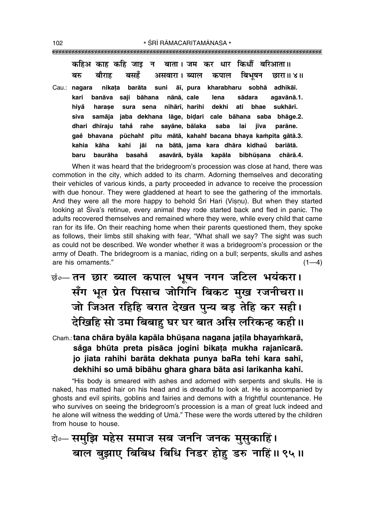*व्हि*हिअ काह कहि जाड न बाता । जम कर धार किधौँ बरिआता॥ ेबरु बौराह बसहँ असवारा**। ब्याल कपाल बिभुषन छारा॥४**॥ Cau.: **nagara nika¢a baråta suni å∂, pura kharabharu sobhå adhikå∂. kari banåva saji båhana nånå, cale lena sådara agavånå.1. hiya° hara¶e sura sena nihår∂, harihi dekhi ati bhae sukhår∂. siva samåja jaba dekhana låge, biŒari cale båhana saba bhåge.2. dhari dh∂raju taha° rahe sayåne, bålaka saba lai j∂va paråne. gae bhavana pµuchahi ° Ú** ↑ pitu mātā, kahahi bacana bhaya kaṁpita gātā.<mark>3</mark>. **kahia kåha kahi jåi na båtå, jama kara dhåra kidhau° bariåtå. baru bauråha basaha° asavårå, byåla kapåla bibhµu¶ana chårå.4.**

When it was heard that the bridegroom's procession was close at hand, there was commotion in the city, which added to its charm. Adorning themselves and decorating their vehicles of various kinds, a party proceeded in advance to receive the procession with due honour. They were gladdened at heart to see the gathering of the immortals. And they were all the more happy to behold Srī Hari (Visnu). But when they started looking at Siva's retinue, every animal they rode started back and fled in panic. The adults recovered themselves and remained where they were, while every child that came ran for its life. On their reaching home when their parents questioned them, they spoke as follows, their limbs still shaking with fear, "What shall we say? The sight was such as could not be described. We wonder whether it was a bridegroom's procession or the army of Death. The bridegroom is a maniac, riding on a bull; serpents, skulls and ashes are his ornaments."  $(1-4)$ 

**छं∘– तन छार ब्याल कपाल भूषन नगन जटिल भयंकरा।** सँग भूत प्रेत पिसाच जोगिनि बिकट मुख रजनीचरा ।। जो जिअत रहिहि बरात देखत पुन्य बड़ तेहि कर सही। देखिहि सो उमा बिबाह घर घर बात असि लरिकन्ह कही ।।

Cham.**:** tana chāra byāla kapāla bhūsana nagana jatila bhayamkarā, **sa°ga bhµuta preta pisåca jogini bika¢a mukha rajan∂carå. jo jiata rahihi baråta dekhata punya baRa tehi kara sah∂, dekhihi so umå bibåhu ghara ghara båta asi larikanha kah∂.**

ìHis body is smeared with ashes and adorned with serpents and skulls. He is naked, has matted hair on his head and is dreadful to look at. He is accompanied by ghosts and evil spirits, goblins and fairies and demons with a frightful countenance. He who survives on seeing the bridegroom's procession is a man of great luck indeed and he alone will witness the wedding of Umā." These were the words uttered by the children from house to house.

दो**०– समुझि महेस समाज सब जननि जनक मुसुकाहिं।** बाल बुझाए बिबिध बिधि निडर होहु डरु नाहिं॥ ९५॥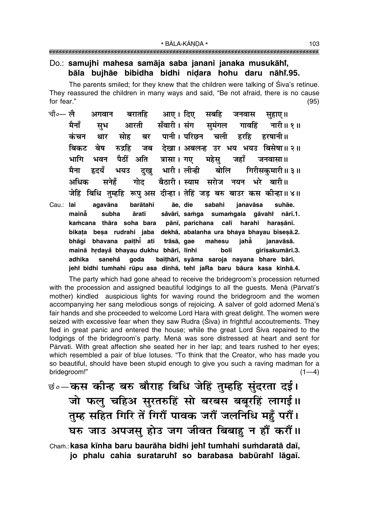## Do.: samujhi mahesa samāja saba janani janaka musukāhi, bāla bujhāe bibidha bidhi nidara hohu daru nāhi.95.

The parents smiled; for they knew that the children were talking of Siva's retinue. They reassured the children in many ways and said, "Be not afraid, there is no cause for fear."  $(95)$ 

- चौ०— **लै** आए । दिए अगवान बरातहि सबहि जनवास सहाए।। मैनाँ सँवारी । संग आरती समंगल गावहिं नारी॥ १॥ सभ कंचन पानी । परिछन चली हरहि थार मोह बर हरषानी।। बिकट बेष रुदहि जब हेखा। अबलन्ह उर भय भयउ बिसेषा॥२॥ भवन पैठीं अति भागि महेसू त्रासा । गए जहाँ जनवासा ॥ मैना हृदयँ भारी । लीन्ही गिरीसकमारी॥ ३॥ भयउ दुख् बोलि बैठारी। स्याम सरोज नयन भरे बारी॥ अधिक सनेहँ गोट जेहिं बिधि तम्हहि रूप अस दीन्हा। तेहिं जड बरु बाउर कस कीन्हा॥४॥
- agavāna barātahi Cau.: lai āe, die sabahi janavāsa suhāe. maină subha **āratī** såvārī, samga sumamgala qāvahi nārī.1. kamcana thāra soha bara pānī, parichana calī harahi harasānī. bikata besa rudrahi jaba dekhā, abalanha ura bhaya bhayau bisesā.2. bhāqi bhavana paithi ati trāsā, gae iahằ mahesu janavāsā. mainā hrdaya bhayau dukhu bhārī, līnhī boli girīsakumārī.3. baithārī, syāma saroja nayana bhare bārī. adhika sanehå goda jehî bidhi tumhahi rūpu asa dīnhā, tehî jaRa baru bāura kasa kīnhā.4.

The party which had gone ahead to receive the bridegroom's procession returned with the procession and assigned beautiful lodgings to all the guests. Mena (Parvati's mother) kindled auspicious lights for waving round the bridegroom and the women accompanying her sang melodious songs of rejoicing. A salver of gold adorned Mena's fair hands and she proceeded to welcome Lord Hara with great delight. The women were seized with excessive fear when they saw Rudra (Siva) in frightful accoutrements. They fled in great panic and entered the house; while the great Lord Siva repaired to the lodgings of the bridegroom's party. Mena was sore distressed at heart and sent for Pārvatī. With great affection she seated her in her lap; and tears rushed to her eyes; which resembled a pair of blue lotuses. "To think that the Creator, who has made you so beautiful, should have been stupid enough to give you such a raving madman for a bridegroom!"  $(1-4)$ 

छं.-कस कीन्ह बरु बौराह बिधि जेहिं तुम्हहि सुंदरता दई। जो फलु चहिअ सुरतरुहिं सो बरबस बबूरहिं लागई।। तुम्ह सहित गिरि तें गिरौं पावक जरौं जलनिधि महुँ परौं। घरु जाउ अपजसु होउ जग जीवत बिबाहु न हौं करौं।। Cham.: kasa kīnha baru baurāha bidhi jehi tumhahi sumdaratā daī, jo phalu cahia surataruhi so barabasa babūrahi lāgaī.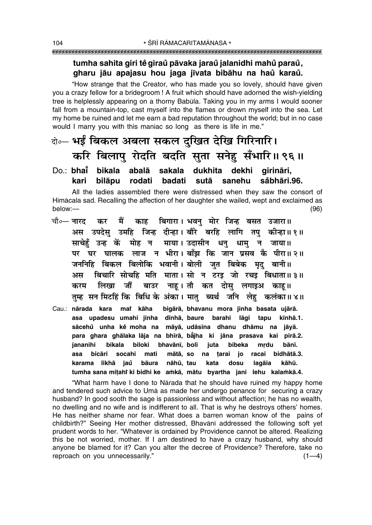## tumha sahita giri tě giraů pāvaka jaraů jalanidhi mahů paraů, gharu jāu apajasu hou jaga jīvata bibāhu na haŭ karaŭ.

"How strange that the Creator, who has made you so lovely, should have given you a crazy fellow for a bridegroom ! A fruit which should have adorned the wish-vielding tree is helplessly appearing on a thorny Babūla. Taking you in my arms I would sooner fall from a mountain-top, cast myself into the flames or drown myself into the sea. Let my home be ruined and let me earn a bad reputation throughout the world: but in no case would I marry you with this maniac so long as there is life in me."

## बेन्ट भईं बिकल अबला सकल दुखित देखि गिरिनारि। करि बिलापु रोदति बदति सुता सनेहु सँभारि॥ ९६॥

#### Do.: bhai bikala abalā sakala dukhita dekhi girināri. kari bilāpu rodati badati såbhāri.96. sutā sanehu

All the ladies assembled there were distressed when they saw the consort of Himacala sad. Recalling the affection of her daughter she wailed, wept and exclaimed as below:- $(96)$ 

- चौ०— नारद काह बिगारा। भवन मोर जिन्ह बसत उजारा॥ कर मैं अस उपदेस उमहि जिन्ह दीन्हा। बौरे बरहि लागि तप कीन्हा॥१॥ साचेहँ उन्ह कें मोह न माया। उदासीन धनु धामु न जाया॥ पर घर घालक लाज न भीरा। बाँझ कि जान प्रसव कै पीरा॥२॥ जननिहि बिकल बिलोकि भवानी। बोली जत बिबेक मद बानी॥ बिचारि सोचहि मति माता। सो न टरइ जो रचइ बिधाता॥३॥ अस करम लिखा जौं बाउर नाह।तौ कत दोस लगाइअ काह॥ तुम्ह सन मिटहिं कि बिधि के अंका। मात्र ब्यर्थ जनि लेह कलंका॥४॥
- Cau.: nārada kara mat kāha bigārā, bhavanu mora jinha basata ujārā. asa upadesu umahi jinha dīnhā, baure barahi lāgi tapu kīnhā.1. sācehů unha kě moha na māyā, udāsīna dhanu dhāmu na jāyā. para ghara ghālaka lāja na bhīrā, bājha ki jāna prasava kai pīrā.2. bikala biloki bhavānī, bolī iananihi juta bibeka mrdu bānī. bicāri socahi mati mātā, so na tarai io racai bidhātā.3. asa karama likhā jaŭ bāura nāhū, tau kata dosu lagāia kāhū. tumha sana mitahi ki bidhi ke amkā, mātu byartha jani lehu kalamkā.4.

"What harm have I done to Narada that he should have ruined my happy home and tendered such advice to Uma as made her undergo penance for securing a crazy husband? In good sooth the sage is passionless and without affection; he has no wealth, no dwelling and no wife and is indifferent to all. That is why he destroys others' homes. He has neither shame nor fear. What does a barren woman know of the pains of childbirth?" Seeing Her mother distressed, Bhavani addressed the following soft yet prudent words to her. "Whatever is ordained by Providence cannot be altered. Realizing this be not worried, mother. If I am destined to have a crazy husband, why should anyone be blamed for it? Can you alter the decree of Providence? Therefore, take no reproach on you unnecessarily."  $(1-4)$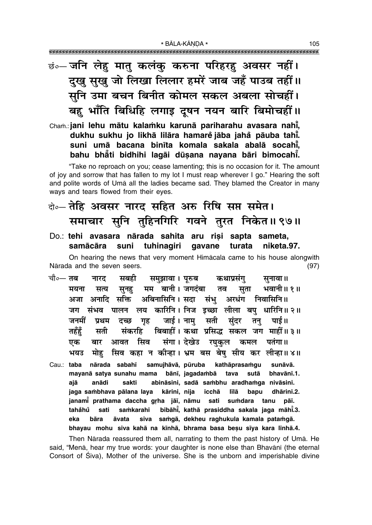# छं∘– जनि लेहु मातु कलंकु करुना परिहरहु अवसर नहीं। दुखु सुखु जो लिखा लिलार हमरें जाब जहँ पाउब तहीं।। सूनि उमा बचन बिनीत कोमल सकल अबला सोचहीं। बह भाँति बिधिहि लगाइ दूषन नयन बारि बिमोचहीं।।

Cham.: jani lehu mātu kalamku karunā pariharahu avasara nahi, dukhu sukhu jo likhā lilāra hamarė jāba jahå pāuba tahi. suni umā bacana binīta komala sakala abalā socahī. bahu bhåti bidhihi lagāi dūsana nayana bāri bimocahī.

"Take no reproach on you; cease lamenting; this is no occasion for it. The amount of joy and sorrow that has fallen to my lot I must reap wherever I go." Hearing the soft and polite words of Uma all the ladies became sad. They blamed the Creator in many ways and tears flowed from their eyes.

## बे॰– तेहि अवसर नारद सहित अरु रिषि सप्त समेत। समाचार सुनि तुहिनगिरि गवने तुरत निकेत॥९७॥

#### Do.: tehi avasara nārada sahita aru risi sapta sameta, tuhinagiri samācāra suni gavane turata niketa.97.

On hearing the news that very moment Himacala came to his house alongwith Nārada and the seven seers.  $(97)$ 

- सबही चौ०— **तब** नारट समुझावा । पूरुब कथाप्रसंग् सनावा ॥ मम बानी। जगदंबा तव सता भवानी॥ १॥ मयना सत्य सूनह अजा अनादि सक्ति अबिनासिनि । सदा संभ अरधंग निवासिनि ॥ जग संभव पालन लय कारिनि। निज इच्छा लीला बपु धारिनि॥२॥ जाई। नाम् सती जनमीं तनु पाई॥ प्रथम दच्छ गह संदर बिबाहीं। कथा प्रसिद्ध सकल जग माहीं॥३॥ तहँहँ सती संकरहि आवत सिव संगा। देखेउ रघुकुल कमल पतंगा॥ बार एक सिव कहा न कीन्हा। भ्रम बस बेषु सीय कर लीन्हा॥४॥ भयउ मोह
- samujhāvā, pūruba Cau.: taba nārada sabahī kathāprasamgu sunāvā. mayanā satya sunahu mama bānī, jagadambā tava sutā bhavānī.1. aiā anādi sakti abināsini, sadā sambhu aradhamga nivāsini. kārini, nija jaga sambhava pālana laya icchā līlā bapu dhārini.2. janami prathama daccha grha jāi, nāmu sati sumdara tanu pāī. bibāhi, kathā prasiddha sakala jaga māhi.3. tahåhů sati samkarahi siva samgā, dekheu raghukula kamala patamgā. eka bāra āvata bhayau mohu siya kahā na kīnhā, bhrama basa besu sīya kara līnhā.4.

Then Narada reassured them all, narrating to them the past history of Uma. He said, "Menā, hear my true words: your daughter is none else than Bhavānī (the eternal Consort of Siva), Mother of the universe. She is the unborn and imperishable divine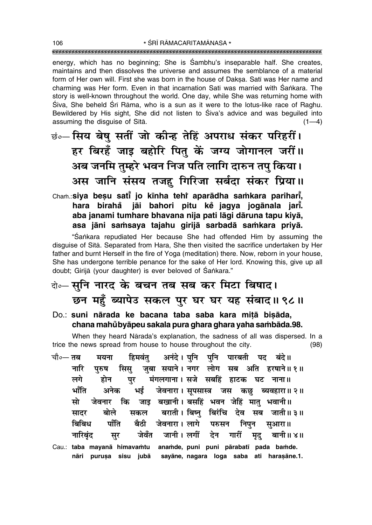energy, which has no beginning; She is Sambhu's inseparable half. She creates, maintains and then dissolves the universe and assumes the semblance of a material form of Her own will. First she was born in the house of Daksa. Satī was Her name and charming was Her form. Even in that incarnation Sati was married with Sankara. The story is well-known throughout the world. One day, while She was returning home with Śiva, She beheld Śrī Rāma, who is a sun as it were to the lotus-like race of Raghu. Bewildered by His sight, She did not listen to Siva's advice and was bequiled into assuming the disquise of Sītā.  $(1-4)$ 

<u>छंं-सिय बेषु सतीं जो कीन्ह तेहिं अपराध संकर परिहरीं।</u> हर बिरहँ जाड़ बहोरि पित् कें जग्य जोगानल जरीं।। अब जनमि तुम्हरे भवन निज पति लागि दारुन तपु किया। अस जानि संसय तजह गिरिजा सर्बदा संकर प्रिया।।

Cham.: siya beşu sati jo kinha tehî aparādha samkara parihari, hara birahă jāi bahori pitu ke jagya jogānala jarī. aba janami tumhare bhavana nija pati lāgi dāruna tapu kiyā, asa jāni samsaya tajahu girijā sarbadā samkara priyā.

"Sankara repudiated Her because She had offended Him by assuming the disguise of Sītā. Separated from Hara, She then visited the sacrifice undertaken by Her father and burnt Herself in the fire of Yoga (meditation) there. Now, reborn in your house, She has undergone terrible penance for the sake of Her lord. Knowing this, give up all doubt; Girijā (your daughter) is ever beloved of Śankara."

## वे. सुनि नारद के बचन तब सब कर मिटा बिषाद। छन महुँ ब्यापेउ सकल पुर घर घर यह संबाद॥ ९८॥

Do.: suni nārada ke bacana taba saba kara mitā bisāda, chana mahů byāpeu sakala pura ghara ghara yaha sambāda.98.

When they heard Nārada's explanation, the sadness of all was dispersed. In a trice the news spread from house to house throughout the city.  $(98)$ 

- चौ∘— **तब** अनंदे। पनि पनि पारबती पद बंदे॥ हिमवंत् मयना नारि जबा सयाने। नगर लोग सब अति हरषाने॥१॥ सिस परुष मंगलगाना। सजे सबहिं हाटक घट नाना॥ लगे होन पर भाँति अनेक भई जेवनारा। सुपसास्त्र जस कछ ब्यवहारा॥२॥ जाइ बखानी। बसहिं भवन जेहिं मात् भवानी॥ मो जेवनार कि बराती। बिष्नु बिरंचि देव सब जाती॥३॥ बोले सकल सादर जेवनारा। लागे पाँति बिबिध ਕੈਨੀ परुसन निपन सआरा॥ जेवँत जानी।लगीं देन नारिबंद सर गारीं मद बानी॥ ४॥
- Cau.: taba mayanā himavamtu anamde, puni puni pārabatī pada bamde. sayāne, nagara loga saba ati harasāne.1. nāri purusa sisu jubā

106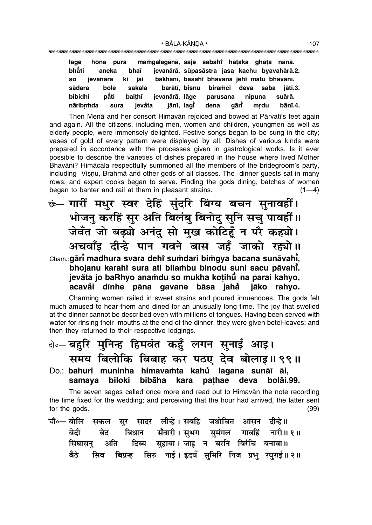| lage      | hona     | pura  |        | mamgalagānā, saje sabahi hātaka ghata nānā.  |          |      |        |                           |
|-----------|----------|-------|--------|----------------------------------------------|----------|------|--------|---------------------------|
| bhẳti     |          | aneka | bhaī   | jevanārā, sūpasāstra jasa kachu byavahārā.2. |          |      |        |                           |
| <b>SO</b> | ievanāra |       | ki jāi | bakhānī, basahi bhavana jehi mātu bhavānī.   |          |      |        |                           |
| sādara    |          | bole  | sakala | barātī, bisnu                                |          |      |        | biramci deva saba jātī.3. |
| bibidhi   |          | pằti  | baithī | jevanārā, lāge                               | parusana |      | nipuna | suārā.                    |
| nāribrmda |          | sura  | ievåta | jānī, lagī                                   | dena     | qāri | mrdu   | bānī.4.                   |

Then Menā and her consort Himavān rejoiced and bowed at Pārvatī's feet again and again. All the citizens, including men, women and children, youngmen as well as elderly people, were immensely delighted. Festive songs began to be sung in the city; vases of gold of every pattern were displayed by all. Dishes of various kinds were prepared in accordance with the processes given in gastrological works. Is it ever possible to describe the varieties of dishes prepared in the house where lived Mother Bhavānī? Himācala respectfully summoned all the members of the bridegroom's party, including Visnu, Brahma and other gods of all classes. The dinner guests sat in many rows; and expert cooks began to serve. Finding the gods dining, batches of women began to banter and rail at them in pleasant strains.  $(1-4)$ 

छं– गारीं मधुर स्वर देहिं सुंदरि बिंग्य बचन सुनावहीं। भोजनु करहिं सुर अति बिलंबु बिनोदु सुनि सचु पावहीं ॥ जेवँत जो बढ्यो अनंद सो मुख कोटिहूँ न परै कह्यो। अचवाँड दीन्हे पान गवने बास जहँ जाको रह्यो।। Cham.: gārī madhura svara dehi sumdari bimgya bacana sunāvahī, bhojanu karahi sura ati bilambu binodu suni sacu pāvahi. jevåta jo baRhyo anamdu so mukha kotihŭ na parai kahyo, acavăi dīnhe pāna gavane bāsa jahå iāko rahvo.

Charming women railed in sweet strains and poured innuendoes. The gods felt much amused to hear them and dined for an unusually long time. The joy that swelled at the dinner cannot be described even with millions of tonques. Having been served with water for rinsing their mouths at the end of the dinner, they were given betel-leaves; and then they returned to their respective lodgings.

#### के— बहुरि मुनिन्ह हिमवंत कहुँ लगन सुनाई आइ। समय बिलोकि बिबाह कर पठए देव बोलाइ॥ ९९॥ Do.: bahuri muninha himavamta kahů lagana sunāī āi, biloki bibāha kara deva samaya pathae bolāi.99.

The seven sages called once more and read out to Himavan the note recording the time fixed for the wedding; and perceiving that the hour had arrived, the latter sent for the gods.  $(99)$ 

चौ∘— बोलि सकल सर सादर लीन्हे। सबहि जथोचित आसन दीन्हे॥ बिधान सँवारी।सुभग सुमंगल गावहिं नारी॥१॥ बेदी बेद अति दिब्य सहावा। जाड न बरनि बिरंचि बनावा॥ सिंघासन सिव बिप्रन्ह सिरु नाई। हृदयँ समिरि निज प्रभ रघराई॥ २॥ बैठे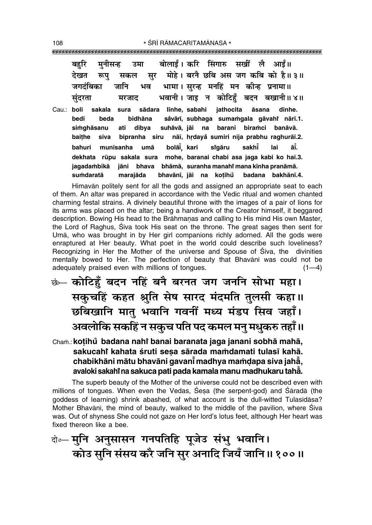बोलाईं। करि सिंगारु सखीं लै आईं॥ मनीसन्ह बर्हारे उमा मोहे। बरनै छबि अस जग कबि को है॥३॥ देखत सर रूप सकल जगदंबिका भामा। सरन्ह मनहिं मन कीन्ह प्रनामा॥ जानि भव भवानी। जाड़ न कोटिहँ बदन बखानी॥४॥ संदरता मरजाट Cau.: boli sakala sura sādara līnhe, sabahi jathocita āsana dīnhe. bedī beda bidhāna såvārī, subhaga sumamgala gāvahi nārī.1. simghāsanu dibva suhāvā, jāi na barani biramci banāvā. ati baithe bipranha siru nāi, hrdayå sumiri nija prabhu raghurāi.2. siva bahuri munīsanha umā bolāi kari sťaāru sakht lai āŤ dekhata rūpu sakala sura mohe, baranai chabi asa jaga kabi ko hai.3. iagadambikā iāni bhava bhāmā, suranha manahi mana kīnha pranāmā. sumdaratā marajāda bhavānī, jāi na kotihů badana bakhānī.4.

Himavan politely sent for all the gods and assigned an appropriate seat to each of them. An altar was prepared in accordance with the Vedic ritual and women chanted charming festal strains. A divinely beautiful throne with the images of a pair of lions for its arms was placed on the altar; being a handiwork of the Creator himself, it beggared description. Bowing His head to the Brāhmanas and calling to His mind His own Master, the Lord of Raghus, Siva took His seat on the throne. The great sages then sent for Umā, who was brought in by Her girl companions richly adorned. All the gods were enraptured at Her beauty. What poet in the world could describe such loveliness? Recognizing in Her the Mother of the universe and Spouse of Siva, the divinities mentally bowed to Her. The perfection of beauty that Bhavani was could not be adequately praised even with millions of tongues.  $(1-4)$ 

ॐ कोटिहुँ बदन नहिं बनै बरनत जग जननि सोभा महा। सकुचहिं कहत श्रुति सेष सारद मंदमति तुलसी कहा।। छबिखानि मातु भवानि गवनीं मध्य मंडप सिव जहाँ। अवलोकि सकहिं न सकुच पति पद कमल मनु मधुकरु तहाँ ॥

## Cham.: kotihů badana nahř banai baranata jaga janani sobhā mahā, sakucahi kahata śruti sesa sārada mamdamati tulasī kahā. chabikhāni mātu bhavāni gavanī madhya mamdapa siva jahā, avaloki sakahi na sakuca pati pada kamala manu madhukaru tahằ.

The superb beauty of the Mother of the universe could not be described even with millions of tongues. When even the Vedas, Sesa (the serpent-god) and Sarada (the goddess of learning) shrink abashed, of what account is the dull-witted Tulasidasa? Mother Bhavānī, the mind of beauty, walked to the middle of the pavilion, where Siva was. Out of shyness She could not gaze on Her lord's lotus feet, although Her heart was fixed thereon like a bee.

वे०- मुनि अनुसासन गनपतिहि पूजेउ संभु भवानि। कोउ सुनि संसय करै जनि सुर अनादि जियँ जानि॥१००॥

108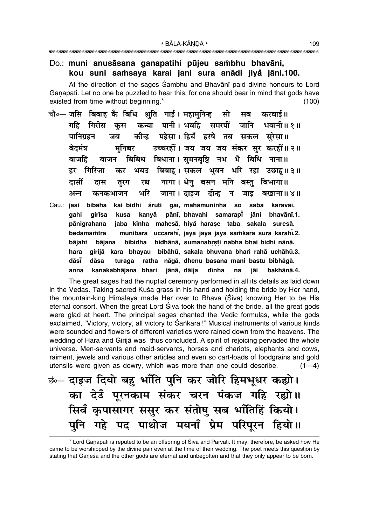### Do.: muni anusāsana ganapatihi pūjeu sambhu bhavāni, kou suni samsaya karai jani sura anādi jiya jāni.100.

At the direction of the sages Sambhu and Bhavānī paid divine honours to Lord Ganapati. Let no one be puzzled to hear this; for one should bear in mind that gods have existed from time without beginning.\*  $(100)$ 

- चौ०- जसि बिबाह कै बिधि श्रुति गाई। महामनिन्ह सब करवाई॥ मो कन्या पानी। भवहि समरपीं जानि भवानी॥१॥ गहि गिरीस कुस कीन्ह महेसा। हियँ हरषे तब सकल सुरेसा॥ पानिग्रहन जब बेदमंत्र उच्चरहीं। जय जय जय संकर सर करहीं॥२॥ मनिबर बिबिध बिधाना। समनबृष्टि नभ भै बिधि नाना॥ बाजहिं बाजन भयउ बिबाहू।सकल भुवन भरि रहा उछाहू॥३॥ हर गिरिजा कर नागा। धेनु बसन मनि बस्तु बिभागा॥ दासीं दास तूरग रथ भरि जाना। दाइज दीन्ह न जाइ अन कनकभाजन बखाना॥ ४॥
- kai bidhi śruti gāi, mahāmuninha so Cau.: jasi bibāha saba karavāī. pānī, bhavahi samarapī jāni qirīsa kusa kanyā bhavānī.1. qahi jaba kīnha mahesā, hiyå harase taba sakala suresā. pānigrahana munibara uccarahi, jaya jaya jaya samkara sura karahi.2. bedamamtra bājahř bibidha bidhānā, sumanabrsti nabha bhai bidhi nānā. bājana girijā kara bhayau bibāhū, sakala bhuvana bhari rahā uchāhū.3. hara dāsĬ dāsa turaga ratha nāgā, dhenu basana mani bastu bibhāgā. kanakabhājana bhari jānā, dāija dīnha bakhānā.4. anna na jāi

The great sages had the nuptial ceremony performed in all its details as laid down in the Vedas. Taking sacred Kuśa grass in his hand and holding the bride by Her hand, the mountain-king Himālaya made Her over to Bhava (Siva) knowing Her to be His eternal consort. When the great Lord Siva took the hand of the bride, all the great gods were glad at heart. The principal sages chanted the Vedic formulas, while the gods exclaimed, "Victory, victory, all victory to Sankara!" Musical instruments of various kinds were sounded and flowers of different varieties were rained down from the heavens. The wedding of Hara and Girijā was thus concluded. A spirit of rejoicing pervaded the whole universe. Men-servants and maid-servants, horses and chariots, elephants and cows, raiment, jewels and various other articles and even so cart-loads of foodgrains and gold utensils were given as dowry, which was more than one could describe.  $(1-4)$ 

<u>ं :-</u> दाइज दियो बहु भाँति पुनि कर जोरि हिमभूधर कह्यो। का देउँ पुरनकाम संकर चरन पंकज गहि रह्यो॥ सिवँ कृपासागर ससुर कर संतोषु सब भाँतिहिं कियो। गहे पद पाथोज मयनाँ प्रेम परिपूरन हियो॥ पनि

<sup>\*</sup> Lord Ganapati is reputed to be an offspring of Śiva and Pārvatī. It may, therefore, be asked how He came to be worshipped by the divine pair even at the time of their wedding. The poet meets this question by stating that Ganesa and the other gods are eternal and unbegotten and that they only appear to be born.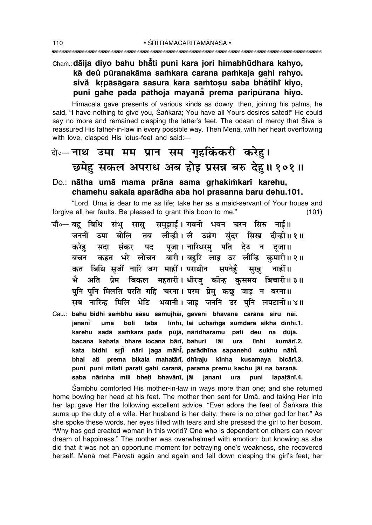## Cham.: dāija diyo bahu bhāti puni kara jori himabhūdhara kahyo, kā deŭ pūranakāma samkara carana pamkaja gahi rahyo. sivă krpāsāgara sasura kara samtosu saba bhātihi kiyo, puni gahe pada pāthoja mayana prema paripūrana hiyo.

Himācala gave presents of various kinds as dowry; then, joining his palms, he said. "I have nothing to give you. Sankara: You have all Yours desires sated!" He could say no more and remained clasping the latter's feet. The ocean of mercy that Siva is reassured His father-in-law in every possible way. Then Mena, with her heart overflowing with love, clasped His lotus-feet and said:-

# वे०- नाथ उमा मम प्रान सम गृहकिंकरी करेह।

## छमेहु सकल अपराध अब होइ प्रसन्न बरु देहु॥१०१॥

## Do.: nātha umā mama prāna sama grhakimkarī karehu, chamehu sakala aparādha aba hoi prasanna baru dehu.101.

"Lord, Umā is dear to me as life; take her as a maid-servant of Your house and forgive all her faults. Be pleased to grant this boon to me."  $(101)$ 

- चौ०— बहु बिधि संभु सासु समुझाई। गवनी भवन चरन सिरु नाई॥ तब लीन्ही। लै उछंग सुंदर सिख दीन्ही॥१॥ जननीं उमा बोलि पद पूजा। नारिधरमु पति देउ न दूजा॥ सदा संकर करेह कहत भरे लोचन बारी।बहुरि लाइ उर लीन्हि कुमारी॥२॥ बचन कत बिधि सृजीं नारि जग माहीं। पराधीन सपनेहँ सख नाहीं॥ अति प्रेम बिकल महतारी।श्रीरज् कीन्ह कसमय बिचारी॥३॥ भे पुनि पुनि मिलति परति गहि चरना। परम प्रेमु कछु जाइ न बरना॥ सब नारिन्ह मिलि भेटि भवानी। जाइ जननि उर पनि लपटानी॥४॥
- Cau.: bahu bidhi sambhu sāsu samujhāī, gavanī bhavana carana siru nāī. janant umā boli taba līnhī, lai uchamga sumdara sikha dīnhī.1. karehu sadā samkara pada pūjā, nāridharamu pati deu na dūjā. bacana kahata bhare locana bārī, bahuri lāi ura līnhi kumārī.2. kata bidhi srji nāri jaga māhi, parādhīna sapanehu sukhu nāhi. bhai ati prema bikala mahatārī, dhīraju kīnha kusamaya bicārī.3. puni puni milati parati gahi caranā, parama premu kachu jāi na baranā. saba nārinha mili bheti bhavānī, jāi janani ura puni lapatānī.4.

Sambhu comforted His mother-in-law in ways more than one; and she returned home bowing her head at his feet. The mother then sent for Uma, and taking Her into her lap gave Her the following excellent advice. "Ever adore the feet of Sankara this sums up the duty of a wife. Her husband is her deity; there is no other god for her." As she spoke these words, her eves filled with tears and she pressed the girl to her bosom. "Why has god created woman in this world? One who is dependent on others can never dream of happiness." The mother was overwhelmed with emotion; but knowing as she did that it was not an opportune moment for betraying one's weakness, she recovered herself. Menā met Pārvatī again and again and fell down clasping the girl's feet; her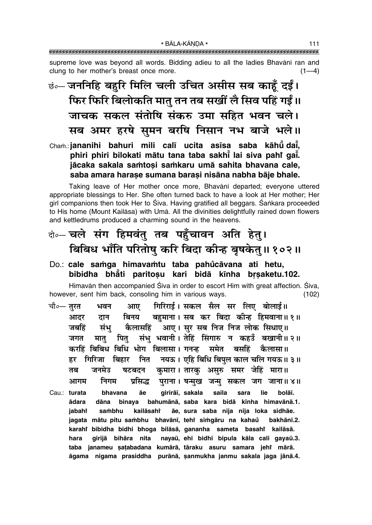supreme love was beyond all words. Bidding adieu to all the ladies Bhavānī ran and clung to her mother's breast once more.  $(1-4)$ 

छं… जननिहि बहुरि मिलि चली उचित असीस सब काहूँ दईं। फिर फिरि बिलोकति मात् तन तब सखीं लै सिव पहिं गईं।। जाचक सकल संतोषि संकरु उमा सहित भवन चले। सब अमर हरषे सुमन बरषि निसान नभ बाजे भले॥

Cham.: jananihi bahuri mili calī ucita asīsa saba kāhū dai, phiri phiri bilokati mātu tana taba sakhī lai siva pahi gaī. jācaka sakala samtosi samkaru umā sahita bhavana cale. saba amara harase sumana barasi nisāna nabha bāje bhale.

Taking leave of Her mother once more, Bhavani departed; everyone uttered appropriate blessings to Her. She often turned back to have a look at Her mother; Her girl companions then took Her to Śiva. Having gratified all beggars. Śankara proceeded to His home (Mount Kailasa) with Uma. All the divinities delightfully rained down flowers and kettledrums produced a charming sound in the heavens.

## वे∘– चले संग हिमवंत् तब पहुँचावन अति हेत्। बिबिध भाँति परितोषु करि बिदा कीन्ह बुषकेतु॥ १०२॥

Do.: cale samga himavamtu taba pahůcāvana ati hetu, bibidha bhati paritosu kari bidā kīnha brsaketu.102.

Himavān then accompanied Śiva in order to escort Him with great affection. Śiva, however, sent him back, consoling him in various ways.  $(102)$ 

ागिरिराई। सकल सैल सर लिए बोलाई**॥** चौ∘— तरत भवन आए बिनय बहमाना। सब कर बिदा कीन्ह हिमवाना॥१॥ आदर दान आए। सुर सब निज निज लोक सिधाए॥ कैलासहिं जबहिं संभ मातु पितु संभु भवानी । तेहिं सिंगारु न कहउँ बखानी ॥ २ ॥ जगत करहिं बिबिध बिधि भोग बिलासा। गनन्ह समेत बसहिं कैलासा॥ गिरिजा बिहार नित नयऊ। एहि बिधि बिपुल काल चलि गयऊ॥ ३॥ हर जनमेउ षटबदन कुमारा। तारकु असुरु समर जेहिं मारा॥ तब निगम प्रसिद्ध पुराना। षन्मुख जन्मु सकल जग जाना॥४॥ आगम Cau.: turata bhavana āe girirāī, sakala saila sara lie bolāī. ādara dāna binava bahumānā, saba kara bidā kīnha himavānā.1. āe, sura saba nija nija loka sidhāe. jabaht sambhu kailāsahi jagata mātu pitu sambhu bhavānī, tehi simgāru na kahaŭ bakhānī.2. karahi bibidha bidhi bhoga bilāsā, gananha sameta basahi kailāsā. girijā bihāra nita nayaū, ehi bidhi bipula kāla cali gayaū.3. hara taba janameu satabadana kumārā, tāraku asuru samara jehi mārā. āgama nigama prasiddha purānā, sanmukha janmu sakala jaga jānā.4.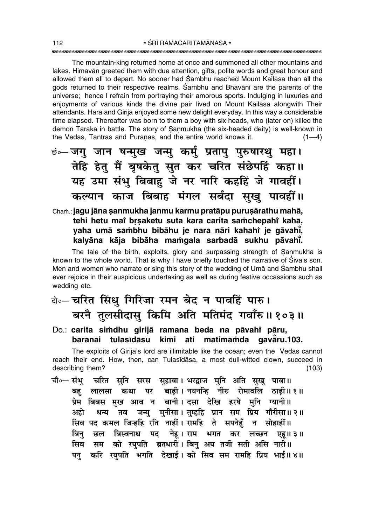The mountain-king returned home at once and summoned all other mountains and lakes. Himavan greeted them with due attention, gifts, polite words and great honour and allowed them all to depart. No sooner had Sambhu reached Mount Kailasa than all the gods returned to their respective realms. Sambhu and Bhavani are the parents of the universe; hence I refrain from portraying their amorous sports. Indulging in luxuries and enjoyments of various kinds the divine pair lived on Mount Kailasa alongwith Their attendants. Hara and Girijā enjoyed some new delight everyday. In this way a considerable time elapsed. Thereafter was born to them a boy with six heads, who (later on) killed the demon Tāraka in battle. The story of Sanmukha (the six-headed deity) is well-known in the Vedas, Tantras and Purānas, and the entire world knows it.  $(1-4)$ 

<u>छं०– जगु जान षन्मुख जन्मु कर्मु प्रतापु पुरुषारथु महा।</u> तेहि हेतु मैं बृषकेतु सुत कर चरित संछेपहिं कहा।। यह उमा संभु बिबाहु जे नर नारि कहहिं जे गावहीं। कल्यान काज बिबाह मंगल सर्बदा सुखु पावहीं॥

Cham.: jagu jāna sanmukha janmu karmu pratāpu purusārathu mahā, tehi hetu mai brsaketu suta kara carita samchepahi kahā, yaha umā sambhu bibāhu je nara nāri kahahi je gāvahi, kalyāna kāja bibāha mamqala sarbadā sukhu pāvahī.

The tale of the birth, exploits, glory and surpassing strength of Sanmukha is known to the whole world. That is why I have briefly touched the narrative of Siva's son. Men and women who narrate or sing this story of the wedding of Uma and Sambhu shall ever rejoice in their auspicious undertaking as well as during festive occassions such as wedding etc.

# बे-चरित सिंधु गिरिजा रमन बेद न पावहिं पारु। बरनै तुलसीदासु किमि अति मतिमंद गवाँरु॥१०३॥

Do.: carita simdhu girijā ramana beda na pāvahi pāru, baranai tulasīdāsu kimi ati matimamda gavāru.103.

The exploits of Girija's lord are illimitable like the ocean; even the Vedas cannot reach their end. How, then, can Tulasidasa, a most dull-witted clown, succeed in describing them?  $(103)$ 

चौ०— संभ चरित सुनि सरस सुहावा। भरद्वाज मुनि अति सुखु पावा॥ लालसा कथा पर बाढी।नयनन्हि नीरु रोमावलि ठाढी॥१॥ बह प्रेम बिबस मुख आव न बानी। दसा देखि हरषे मनि ग्यानी॥ धन्य तव जन्मु मुनीसा। तुम्हहि प्रान सम प्रिय गौरीसा॥२॥ अहो सिव पद कमल जिन्हहि रति नाहीं। रामहि ते सपनेहुँ न सोहाहीं॥ छल बिस्वनाथ पद नेहू। राम भगत कर लच्छन एहू॥३॥ बिन को रघुपति ब्रतधारी। बिनु अघ तजी सती असि नारी॥ सम मिव करि रघुपति भगति देखाई। को सिव सम रामहि प्रिय भाई॥४॥ पन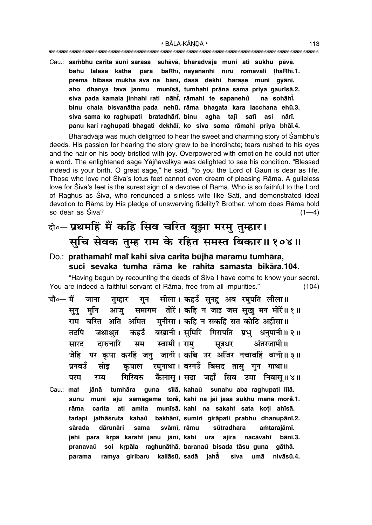\* BÅLA-KŰNœA \* 113 """""""""""""""""""""""""""""""""""""""""""""""""""""""""""""""""""""""""""""""""""

Cau.: **sa≈bhu carita suni sarasa suhåvå, bharadvåja muni ati sukhu påvå. bahu lålaså kathå para båRh∂, nayananhi n∂ru romåvali ¢håRh∂.1. prema bibasa mukha åva na bån∂, daså dekhi hara¶e muni gyån∂. aho dhanya tava janmu mun∂så, tumhahi pråna sama priya gaur∂så.2. siva pada kamala jinhahi rati nåh∂° , råmahi te sapanehu° na sohåh∂°** na sohāhi. binu chala bisvanātha pada nehū, rāma bhagata kara lacchana ehū.3. **siva sama ko raghupati bratadhår∂, binu agha taj∂ sat∂ asi når∂. panu kari raghupati bhagati dekhå∂, ko siva sama råmahi priya bhå∂.4.**

Bharadvāja was much delighted to hear the sweet and charming story of Sambhu's deeds. His passion for hearing the story grew to be inordinate; tears rushed to his eyes and the hair on his body bristled with joy. Overpowered with emotion he could not utter a word. The enlightened sage Yājñavalkya was delighted to see his condition. "Blessed indeed is your birth. O great sage," he said, "to you the Lord of Gaurī is dear as life. Those who love not Siva's lotus feet cannot even dream of pleasing Rāma. A guileless love for Siva's feet is the surest sign of a devotee of Rāma. Who is so faithful to the Lord of Raghus as Siva, who renounced a sinless wife like Satī, and demonstrated ideal devotion to Råma by His pledge of unswerving fidelity? Brother, whom does Råma hold so dear as  $\text{Siva?}$  (1—4)

## दो**०– प्रथमहिं मैं कहि सिव चरित बूझा मरमु तुम्हार।** सूचि सेवक तुम्ह राम के रहित समस्त बिकार॥१०४॥

### Do.: **prathamahiÚ maiÚ kahi siva carita bµujhå maramu tumhåra, suci sevaka tumha råma ke rahita samasta bikåra.104.**

"Having begun by recounting the deeds of Siva I have come to know your secret. You are indeed a faithful servant of Rāma, free from all impurities." (104)

- चौ०— मैं जाना तुम्हार गुन सीला। कहउँ सुनह अब रघुपति लीला॥ सूनु मुनि आजु समागम तोरें।कहिनजाइजससुखुमन**मोरें॥१॥ राम चरित अति अमित मनीसा । कहि न सकहिं सत कोटि अहीसा ।।** तदपि जथाश्रुत कहउँ बखानी।सुमिरि गिरापति प्रभु धनुपानी॥२॥ सारद दारुनारि सम स्वामी।**राम् सूत्रधर अंतरजामी**॥ **¡Á"U ¬⁄U ∑Χ¬Ê ∑§⁄U®"U ¡ŸÈ ¡ÊŸË– ∑§Á' ©U⁄U •Á¡⁄U ŸøÊfl®"U 'ÊŸËH 3H** प्रनवडँ सोइ कृपाल रघुनाथा। बरनडँ बिसद तासु गुन गाथा॥ परम रम्य गिरिबरु कैलासू।**सदा जहाँ सिव उमा निवासू॥४**॥
- Cau.: mat  **jånå tumhåra guna s∂lå, kahau° sunahu aba raghupati l∂lå. sunu muni åju samågama tore° , kahi na jåi jasa sukhu mana more°.1. råma carita ati amita mun∂så, kahi na sakahiÚ sata ko¢i ah∂så. tadapi jathå‹ruta kahau° bakhån∂, sumiri giråpati prabhu dhanupån∂.2. sårada dårunåri sama svåm∂, råmu sµutradhara a≈tarajåm∂.** jehi para kṛpā karahì janu jānī, kabi ura ajira nacāvahi̇́ nacāvahr bānī.3. **pranavau° soi kæpåla raghunåthå, baranau° bisada tåsu guna gåthå. parama ramya giribaru kailåsµu, sadå jahå° siva umå nivåsµu.4.**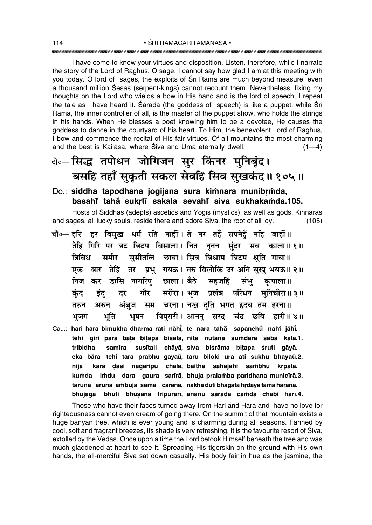I have come to know your virtues and disposition. Listen, therefore, while I narrate the story of the Lord of Raghus. O sage, I cannot say how glad I am at this meeting with you today. O lord of sages, the exploits of Sri Rama are much beyond measure; even a thousand million Sesas (serpent-kings) cannot recount them. Nevertheless, fixing my thoughts on the Lord who wields a bow in His hand and is the lord of speech. I repeat the tale as I have heard it. Sarada (the goddess of speech) is like a puppet; while Sri Rāma, the inner controller of all, is the master of the puppet show, who holds the strings in his hands. When He blesses a poet knowing him to be a devotee, He causes the goddess to dance in the courtyard of his heart. To Him, the benevolent Lord of Raghus, I bow and commence the recital of His fair virtues. Of all mountains the most charming and the best is Kailasa, where Siva and Uma eternally dwell.  $(1-4)$ 

## बे॰ सिद्ध तपोधन जोगिजन सुर किंनर मुनिबृंद। बसहिं तहाँ सुकृती सकल सेवहिं सिव सुखकंद॥१०५॥

### Do.: siddha tapodhana jogijana sura kimnara munibrmda, basahi taha sukrtī sakala sevahi siva sukhakamda.105.

Hosts of Siddhas (adepts) ascetics and Yogis (mystics), as well as gods, Kinnaras and sages, all lucky souls, reside there and adore Siva, the root of all joy.  $(105)$ 

चौ०— हरि हर बिमुख धर्म रति नाहीं। ते नर तहँ सपनेहँ नहिं जाहीं॥ तेहि गिरि पर बट बिटप बिसाला। नित नृतन संदर सब काला॥१॥ समीर सुसीतलि छाया। सिव बिश्राम बिटप श्रुति गाया॥ त्रिबिध एक बार तेहि तर प्रभु गयऊ। तरु बिलोकि उर अति सुखु भयऊ॥२॥ निज कर डासि नागरिप छाला।।बैठे सहजहिं संभ कपाला ॥ गौर सरीरा। भज प्रलंब परिधन मनिचीरा॥३॥ दर कंद इंद तरुन अरुन अंबुज सम चरना। नख दुति भगत हृदय तम हरना॥ भूषन त्रिपुरारी। आननु सरद चंद छबि हारी॥४॥ भजग भति Cau.: hari hara bimukha dharma rati nāhi, te nara tahă sapanehů nahř jāhi. tehi giri para bata bitapa bisālā, nita nūtana sumdara saba kālā.1. samīra susītali chāyā, siva biśrāma bitapa śruti gāyā. tribidha eka bāra tehi tara prabhu gayaū, taru biloki ura ati sukhu bhayaū.2. kara dāsi nāgaripu chālā, baithe sahajahi sambhu krpālā. nija kumda imdu dara gaura sarīrā, bhuja pralamba paridhana municīrā.3.

taruna aruna ambuja sama caranā, nakha duti bhagata hrdaya tama haranā. bhujaga bhūti bhūsana tripurārī, ānanu sarada camda chabi hārī.4. Those who have their faces turned away from Hari and Hara and have no love for

righteousness cannot even dream of going there. On the summit of that mountain exists a huge banyan tree, which is ever young and is charming during all seasons. Fanned by cool, soft and fragrant breezes, its shade is very refreshing. It is the favourite resort of Siva, extolled by the Vedas. Once upon a time the Lord betook Himself beneath the tree and was much gladdened at heart to see it. Spreading His tigerskin on the ground with His own hands, the all-merciful Siva sat down casually. His body fair in hue as the jasmine, the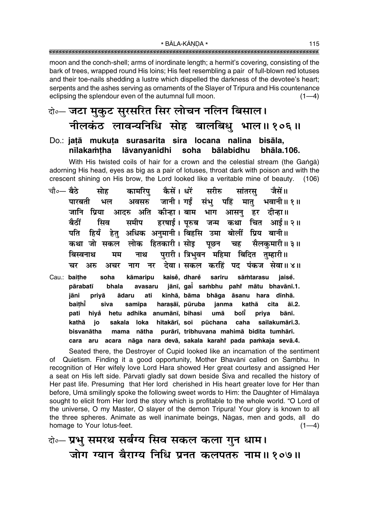moon and the conch-shell; arms of inordinate length; a hermit's covering, consisting of the bark of trees, wrapped round His loins; His feet resembling a pair of full-blown red lotuses and their toe-nails shedding a lustre which dispelled the darkness of the devotee's heart; serpents and the ashes serving as ornaments of the Slayer of Tripura and His countenance eclipsing the splendour even of the autumnal full moon.  $(1-4)$ 

## केन्चित मुकुट सुरसरित सिर लोचन नलिन बिसाल। नीलकंठ लावन्यनिधि सोह बालबिधु भाल॥१०६॥ Do.: jatā mukuta surasarita sira locana nalina bisāla,

#### nīlakamtha lāvanyanidhi soha bālabidhu bhala.106.

With His twisted coils of hair for a crown and the celestial stream (the Ganga) adorning His head, eyes as big as a pair of lotuses, throat dark with poison and with the crescent shining on His brow, the Lord looked like a veritable mine of beauty. (106)

- चौ०— बैठे कैसें। धरें सोह कामरिप् सरीरु सांतरस् जैसें॥ अवसरु जानी। गईं संभु पहिं मातु भवानी॥ १॥ पारबनी भल जानि प्रिया आदरु अति कीन्हा।बाम भाग आसनु हर दीन्हा॥ ਕੈਨੀਂ ਸ਼ਿਕ समीप हरषाई। पुरुब जन्म कथा चित आई॥२॥ पति हेत् अधिक अनुमानी। बिहसि उमा बोलीं प्रिय बानी॥ हियँ कथा जो सकल लोक हितकारी। सोइ पछन सैलकमारी॥ ३॥ चह पुरारी। त्रिभुवन महिमा बिदित तुम्हारी॥ बिस्वनाथ मम नाथ देवा। सकल करहिं पद पंकज सेवा॥४॥ नर चर अरु अचर नाग
- Cau.: baithe soha kāmaripu kaisě, dharě sarīru sāmtarasu jaise. jānī, gat sambhu pahr mātu bhavānī.1. pārabatī bhala avasaru kīnhā, bāma bhāga āsanu hara dīnhā. jāni priyā **ādaru** ati baithi siva samīpa harasāī, pūruba janma kathā cita  $\overline{a}$ ī.2. pati hivå hetu adhika anumānī, bihasi umā boli priva bānī. kathā io sakala loka hitakārī, soi pūchana caha sailakumārī.3. mama nātha purārī, tribhuvana mahimā bidita tumhārī. bisvanātha aru acara nāga nara devā, sakala karahi pada pamkaja sevā.4. cara

Seated there, the Destroyer of Cupid looked like an incarnation of the sentiment of Quietism. Finding it a good opportunity, Mother Bhavānī called on Śambhu. In recognition of Her wifely love Lord Hara showed Her great courtesy and assigned Her a seat on His left side. Pārvatī gladly sat down beside Siva and recalled the history of Her past life. Presuming that Her lord cherished in His heart greater love for Her than before, Umā smilingly spoke the following sweet words to Him: the Daughter of Himālaya sought to elicit from Her lord the story which is profitable to the whole world. "O Lord of the universe, O my Master, O slayer of the demon Tripura! Your glory is known to all the three spheres. Animate as well inanimate beings, Nāgas, men and gods, all do homage to Your lotus-feet.  $(1-4)$ 

वे॰– प्रभु समरथ सर्बग्य सिव सकल कला गुन धाम। जोग ग्यान बैराग्य निधि प्रनत कलपतरु नाम॥१०७॥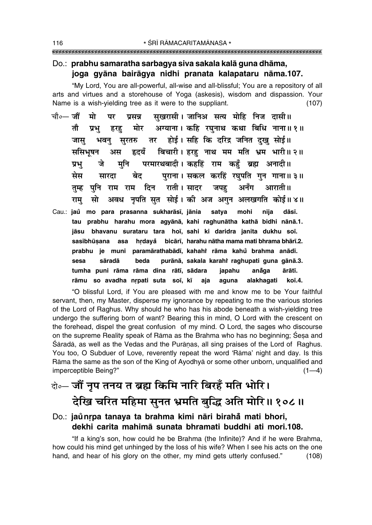### Do.: prabhu samaratha sarbagya siya sakala kalā guna dhāma, joga gyāna bairāgya nidhi pranata kalapataru nāma.107.

"My Lord, You are all-powerful, all-wise and all-blissful; You are a repository of all arts and virtues and a storehouse of Yoga (askesis), wisdom and dispassion. Your Name is a wish-yielding tree as it were to the suppliant.  $(107)$ 

- सखरासी। जानिअ सत्य मोहि निज दासी॥ चौ०— जौं मो पर प्रसन्न अग्याना । कहि रघुनाथ कथा बिधि नाना॥१॥ तौ मोर प्रभ हरह होई। सहि कि दरिद्र जनित दखु सोई॥ तर जास् भवन् सुरतरु बिचारी। हरह नाथ मम मति भ्रम भारी॥ २॥ ससिभषन हृदयँ अस परमारथबादी। कहहिं राम कहँ ब्रह्म अनादी॥ प्रभ जे मनि पुराना। सकल करहिं रघुपति गुन गाना॥३॥ बेद सेस सारदा तुम्ह पुनि राम राम दिन राती। सादर जपह अनँग आराती ॥ सो अवध नपति सत सोई। की अज अगन अलखगति कोई॥४॥ गम
- Cau.: jaŭ mo para prasanna sukharāsī, jānia satya mohi nija dāsī. tau prabhu harahu mora agyānā, kahi raghunātha kathā bidhi nānā.1. jāsu bhavanu surataru tara hoi, sahi ki daridra janita dukhu soi. sasibhūsana asa hrdayå bicārī, harahu nātha mama mati bhrama bhārī.2. prabhu je muni paramārathabādī, kahahi rāma kahů brahma anādī. purānā, sakala karahi raghupati guna gānā.3. sesa sāradā beda tumha puni rāma rāma dina rātī, sādara japahu anåga ārātī. rāmu so avadha nrpati suta soī, kī aja aquna alakhaqati koī.4.

"O blissful Lord, if You are pleased with me and know me to be Your faithful servant, then, my Master, disperse my ignorance by repeating to me the various stories of the Lord of Raghus. Why should he who has his abode beneath a wish-yielding tree undergo the suffering born of want? Bearing this in mind, O Lord with the crescent on the forehead, dispel the great confusion of my mind. O Lord, the sages who discourse on the supreme Reality speak of Rama as the Brahma who has no beginning; Sesa and Śāradā, as well as the Vedas and the Purānas, all sing praises of the Lord of Raghus. You too, O Subduer of Love, reverently repeat the word 'Rama' night and day. Is this Rāma the same as the son of the King of Ayodhyā or some other unborn, unqualified and imperceptible Being?"  $(1-4)$ 

# वे∘– जौं नृप तनय त ब्रह्म किमि नारि बिरहँ मति भोरि। देखि चरित महिमा सुनत भ्रमति बुद्धि अति मोरि॥ १०८॥

## Do.: jaůnrpa tanaya ta brahma kimi nāri birahă mati bhori, dekhi carita mahimā sunata bhramati buddhi ati mori.108.

"If a king's son, how could he be Brahma (the Infinite)? And if he were Brahma, how could his mind get unhinged by the loss of his wife? When I see his acts on the one hand, and hear of his glory on the other, my mind gets utterly confused."  $(108)$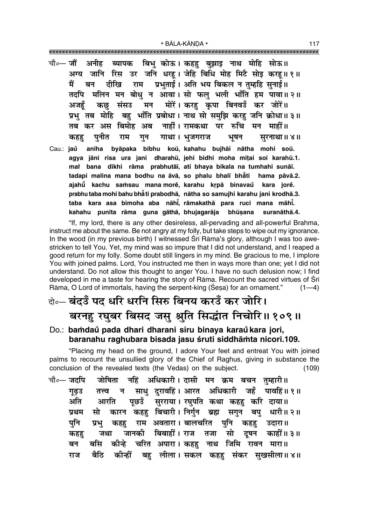\* BĀLA-KĀNDA \* 

- चौ०— जौं अनीह ब्यापक बिभ् कोऊ। कहह बझाइ नाथ मोहि सोऊ॥ अग्य जानि रिस उर जनि धरहू। जेहि बिधि मोह मिटै सोइ करहू॥१॥ प्रभताई। अति भय बिकल न तम्हहि सनाईं॥ राम मैं बन दीखि तदपि मलिन मन बोधु न आवा। सो फलु भली भाँति हम पावा॥२॥ मोरें। करह कुपा बिनवउँ कर जोरें॥ मन अजहँ कछ संसउ प्रभु तब मोहि बहु भाँति प्रबोधा। नाथ सो समुझि करह जनि क्रोधा॥ ३॥ तब कर अस बिमोह अब नार्ही। रामकथा पर रुचि मन माहीं॥ गाथा। भुजगराज पनीत कहह राम गुन भूषन सरनाथा ॥ ४॥ Cau.: **jaů** anīha byāpaka bibhu koū, kahahu bujhāi nātha mohi soū. agya jāni risa ura jani dharahū, jehi bidhi moha mițai soi karahū.1. mai bana dīkhi rāma prabhutāī, ati bhaya bikala na tumhahi sunāī. tadapi malina mana bodhu na āvā, so phalu bhalī bhāti hama pāvā.2. ajahū kachu samsau manamorė, karahu krpā binavau kara jorė.
	- prabhu taba mohi bahu bhåti prabodhā, nātha so samujhi karahu jani krodhā.3. taba kara asa bimoha aba nāhi, rāmakathā para ruci mana māhi. kahahu punīta rāma guna gāthā, bhujagarāja bhūsana suranāthā.4.

"If, my lord, there is any other desireless, all-pervading and all-powerful Brahma, instruct me about the same. Be not angry at my folly, but take steps to wipe out my ignorance. In the wood (in my previous birth) I witnessed Srī Rāma's glory, although I was too awestricken to tell You. Yet, my mind was so impure that I did not understand, and I reaped a good return for my folly. Some doubt still lingers in my mind. Be gracious to me, I implore You with joined palms. Lord, You instructed me then in ways more than one; yet I did not understand. Do not allow this thought to anger You. I have no such delusion now; I find developed in me a taste for hearing the story of Rama. Recount the sacred virtues of Sri Rāma, O Lord of immortals, having the serpent-king (Sesa) for an ornament."  $(1-4)$ 

# वे॰ बंदउँ पद धरि धरनि सिरु बिनय करउँ कर जोरि। बरनहु रघुबर बिसद जसु श्रुति सिद्धांत निचोरि॥ १०९॥

## Do.: bamdaŭ pada dhari dharani siru binaya karaŭ kara jori, baranahu raghubara bisada jasu śruti siddhāmta nicori.109.

"Placing my head on the ground, I adore Your feet and entreat You with joined palms to recount the unsullied glory of the Chief of Raghus, giving in substance the conclusion of the revealed texts (the Vedas) on the subject.  $(109)$ 

|       |  | चौ∘— जदपि   जोषिता   नहिं   अधिकारी । दासी  मन  क्रम  बचन  तुम्हारी॥ |  |  |                                                          |  |
|-------|--|----------------------------------------------------------------------|--|--|----------------------------------------------------------|--|
| गूढ़उ |  |                                                                      |  |  | तत्त्व न साधु दुरावहिं। आरत अधिकारी जहँ पावहिं॥१॥        |  |
|       |  | अति आरति पूछउँ सुरराया। रघुपति कथा कहहु करि दाया॥                    |  |  |                                                          |  |
|       |  |                                                                      |  |  | प्रथम सो कारन कहह बिचारी।निर्गुन ब्रह्म सगुन बपु धारी॥२॥ |  |
|       |  | पुनि प्रभु कहह राम अवतारा।बालचरित पुनि कहह उदारा॥                    |  |  |                                                          |  |
|       |  |                                                                      |  |  | कहह जथा जानकी बिबाहीं। राज तजा सो दूषन काहीं॥ ३॥         |  |
| बन    |  | बसि कीन्हे चरित अपारा। कहह नाथ जिमि रावन मारा॥                       |  |  |                                                          |  |
|       |  |                                                                      |  |  | राज बैठि कीन्हीं बहु लीला। सकल कहहु संकर सुखसीला॥४॥      |  |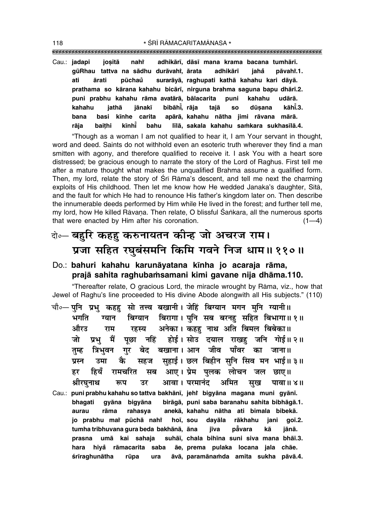| Cau.: <b>jadapi</b> |        |  |  |  | jositā nahi adhikārī, dāsī mana krama bacana tumhārī.<br>gūRhau tattva na sādhu durāvahi, ārata adhikārī jahă pāvahi.1. |
|---------------------|--------|--|--|--|-------------------------------------------------------------------------------------------------------------------------|
| ati a               | ārati  |  |  |  | pūchau surarāyā, raghupati kathā kahahu kari dāyā.                                                                      |
|                     |        |  |  |  | prathama so kārana kahahu bicārī, nirguna brahma saguna bapu dhārī.2.                                                   |
|                     |        |  |  |  | puni prabhu kahahu rāma avatārā, bālacarita puni kahahu udārā.                                                          |
| kahahu              |        |  |  |  | jathā jānakī bibāhi, rāja tajā so dūsana kāhi.3.                                                                        |
| bana                |        |  |  |  | basi kīnhe carita apārā, kahahu nātha jimi rāvana mārā.                                                                 |
| rāja                | baithi |  |  |  | kīnhīّ bahu  līlā, sakala kahahu saṁkara sukhasīlā.4.                                                                   |

ìThough as a woman I am not qualified to hear it, I am Your servant in thought, word and deed. Saints do not withhold even an esoteric truth wherever they find a man smitten with agony, and therefore qualified to receive it. I ask You with a heart sore distressed; be gracious enough to narrate the story of the Lord of Raghus. First tell me after a mature thought what makes the unqualified Brahma assume a qualified form. Then, my lord, relate the story of Śrī Rāma's descent, and tell me next the charming exploits of His childhood. Then let me know how He wedded Janaka's daughter, Sītā, and the fault for which He had to renounce His father's kingdom later on. Then describe the innumerable deeds performed by Him while He lived in the forest; and further tell me, my lord, how He killed Rāvana. Then relate, O blissful Sankara, all the numerous sports that were enacted by Him after his coronation.  $(1-4)$ 

# दो**०– बहुरि कहहु करुनायतन कीन्ह जो अचरज राम।** प्रजा सहित रघुबंसमनि किमि गवने निज धाम॥११०॥

### Do.: **bahuri kahahu karunåyatana k∂nha jo acaraja råma,** prajā sahita raghubamsamani kimi gavane nija dhāma.110.

ìThereafter relate, O gracious Lord, the miracle wrought by Råma, viz., how that Jewel of Raghu's line proceeded to His divine Abode alongwith all His subjects." (110)

चौ०– पनि प्रभु कहह सो तत्त्व बखानी। जेहिं बिग्यान मगन मुनि ग्यानी॥ <u>भगति ग्यान बिग्यान बिरागा। पुनि सब बरनह</u> सहित बिभागा॥१॥ <u>औरउ राम रहस्य अनेका। कहह</u> नाथ अति बिमल बिबेका॥ जो प्रभु मैं पूछा नहिं होई।सोउ दयाल राखह जनि गोई॥२॥ <u>तु</u>म्ह त्रिभुवन गुर बेद बखाना। आन जीव पाँवर का जाना॥ प्रस्न उमा कै सहज सुहाई।छल**िबिहीन सुनि सिव मन भाई॥३॥** हर हियँ रामचरित सब आए।**प्रेम पुलक लोचन जल छाए**॥ <u>श्रीरघनाथ रूप उर आवा। परमानंद अमित सख पावा॥ ४॥</u> Cau.: **puni prabhu kahahu so tattva bakhån∂, jehiÚ bigyåna magana muni gyån∂. bhagati gyåna bigyåna birågå, puni saba baranahu sahita bibhågå.1. aurau råma rahasya anekå, kahahu nåtha ati bimala bibekå.** jo prabhu ma<mark>î pūchā nahi̇̀ hoī, sou dayāla rākhahu jani goī.2.</mark> **tumha tribhuvana gura beda bakhånå, åna j∂va på°** kā iānā. **prasna umå kai sahaja suhå∂, chala bih∂na suni siva mana bhå∂.3. hara hiya° råmacarita saba åe, prema pulaka locana jala chåe.**

**‹r∂raghunåtha rµupa ura åvå, paramåna≈da amita sukha påvå.4.**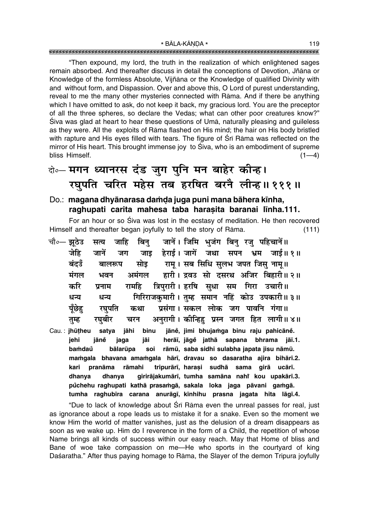"Then expound, my lord, the truth in the realization of which enlightened sages remain absorbed. And thereafter discuss in detail the conceptions of Devotion, Jñāna or Knowledge of the formless Absolute, Vijñana or the Knowledge of qualified Divinity with and without form, and Dispassion. Over and above this, O Lord of purest understanding, reveal to me the many other mysteries connected with Rama. And if there be anything which I have omitted to ask, do not keep it back, my gracious lord. You are the preceptor of all the three spheres, so declare the Vedas; what can other poor creatures know?" Siva was glad at heart to hear these questions of Uma, naturally pleasing and guileless as they were. All the exploits of Rama flashed on His mind; the hair on His body bristled with rapture and His eyes filled with tears. The figure of Sri Rāma was reflected on the mirror of His heart. This brought immense joy to Siva, who is an embodiment of supreme bliss Himself.  $(1-4)$ 

# दो०- मगन ध्यानरस दंड जुग पुनि मन बाहेर कीन्ह। रघपति चरित महेस तब हरषित बरनै लीन्ह।। १११॥

### Do.: magana dhyānarasa damda juga puni mana bāhera kīnha, raghupati carita mahesa taba harasita baranai linha.111.

For an hour or so Siva was lost in the ecstasy of meditation. He then recovered Himself and thereafter began joyfully to tell the story of Rāma.  $(111)$ 

| चौ०— झठेउ |         | सत्य जाहि |      | बिनु  | जानें। जिमि भुजंग बिनु रजु पहिचानें॥                             |  |                                                                       |  |
|-----------|---------|-----------|------|-------|------------------------------------------------------------------|--|-----------------------------------------------------------------------|--|
|           | जेहि    |           |      |       |                                                                  |  | जानें जग जाइ हेराई।जागें जथा सपन भ्रम जाई॥१॥                          |  |
|           | बंदउँ   |           |      |       | बालरूप सोइ राम् । सब सिधि सुलभ जपत जिसु नाम् ॥                   |  |                                                                       |  |
|           | मंगल    | भवन       |      | अमंगल |                                                                  |  | हारी। द्रवउ सो दसरथ अजिर बिहारी॥ २॥                                   |  |
|           | करि     | प्रनाम    |      |       | रामहि त्रिपुरारी। हरषि सुधा सम गिरा उचारी॥                       |  |                                                                       |  |
|           | धन्य    | धन्य      |      |       |                                                                  |  | गिरिराजकुमारी। तुम्ह समान नहिं कोउ उपकारी॥३॥                          |  |
|           | पूँछेहू |           |      |       | रघुपति कथा प्रसंगा।सकल लोक जग पावनि गंगा॥                        |  |                                                                       |  |
|           | तुम्ह   |           |      |       |                                                                  |  | रघुबीर चरन अनुरागी।कोन्हिहु प्रस्न जगत हित लागी॥४॥                    |  |
|           |         |           |      |       |                                                                  |  | Cau.: jhūtheu satya jāhi binu jāně, jimi bhujamga binu raju pahicāně. |  |
|           | jehi    | jānĕ      | jaga | jāi   |                                                                  |  | herāi, jāge jathā sapana bhrama jāi.1.                                |  |
|           | bamdaŭ  |           |      |       | bālarūpa soi rāmū, saba sidhi sulabha japata jisu nāmū.          |  |                                                                       |  |
|           |         |           |      |       |                                                                  |  | mamgala bhavana amamgala hārī, dravau so dasaratha ajira bihārī.2.    |  |
|           | kari    |           |      |       | pranāma rāmahi tripurārī, harași sudhā sama girā ucārī.          |  |                                                                       |  |
|           | dhanya  |           |      |       |                                                                  |  | dhanya girirājakumārī, tumha samāna nahi kou upakārī.3.               |  |
|           |         |           |      |       | půchehu raghupati kathā prasamgā, sakala loka jaga pāvani gamgā. |  |                                                                       |  |
|           |         |           |      |       |                                                                  |  | tumha raghubīra carana anurāgī, kīnhihu prasna jagata hita lāgī.4.    |  |

"Due to lack of knowledge about Sri Rama even the unreal passes for real, just as ignorance about a rope leads us to mistake it for a snake. Even so the moment we know Him the world of matter vanishes, just as the delusion of a dream disappears as soon as we wake up. Him do I reverence in the form of a Child, the repetition of whose Name brings all kinds of success within our easy reach. May that Home of bliss and Bane of woe take compassion on me—He who sports in the courtyard of king Daśaratha." After thus paying homage to Rāma, the Slayer of the demon Tripura joyfully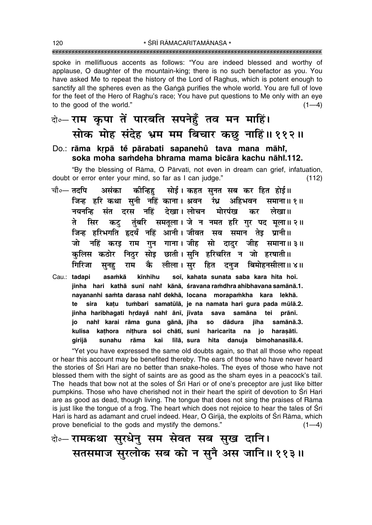spoke in mellifluous accents as follows: "You are indeed blessed and worthy of applause, O daughter of the mountain-king; there is no such benefactor as you. You have asked Me to repeat the history of the Lord of Raghus, which is potent enough to sanctify all the spheres even as the Ganga purifies the whole world. You are full of love for the feet of the Hero of Raghu's race; You have put questions to Me only with an eye to the good of the world."  $(1-4)$ 

बे॰- राम कृपा तें पारबति सपनेहँ तव मन माहिं। सोक मोह संदेह भ्रम मम बिचार कछ नाहिं॥११२॥

### Do.: rāma krpā tě pārabati sapanehů tava mana māhi, soka moha samdeha bhrama mama bicāra kachu nāhi.112.

"By the blessing of Rāma. O Pārvatī, not even in dream can grief, infatuation. doubt or error enter your mind, so far as I can judge."  $(112)$ 

- चौ∘— तदपि असंका कोन्हिह सोई । कहत सनत सब कर हित होई॥ जिन्ह हरि कथा सनी नहिं काना। श्रवन रंध्र अहिभवन समाना॥१॥ नयनन्हि संत दरस नहिं देखा। लोचन मोरपंख कर लेखा।। कट़ तुंबरि समतूला। जे न नमत हरि गुर पद मूला॥२॥ ते सिर जिन्ह हरिभगति हृदयँ नहिं आनी। जीवत सव समान तेड़ प्रानी॥ जो नहिं करइ राम गुन गाना।जीह सो दादुर जीह समाना॥३॥ निठुर सोइ छाती। सुनि हरिचरित न जो हरषाती॥ कलिस कठोर गिरिजा कै लीला। सुर हित दनुज बिमोहनसीला॥४॥ राम सूनहु
- Cau.: tadapi asamkā kīnhihu soi, kahata sunata saba kara hita hoi. jinha hari kathā sunī nahi kānā, śravana ramdhra ahibhavana samānā.1. nayananhi samta darasa nahi dekhā, locana morapamkha kara lekhā. te sira katu tumbari samatūlā, je na namata hari gura pada mūlā.2. jinha haribhagati hrdayå nahi ānī, jīvata sava samāna tei prānī. io nahi karai rāma guna gānā, jīha dādura samānā.3. **SO** iīha kathora nithura soi chātī, suni kulisa haricarita na jo harasātī. girijā sunahu rāma līlā, sura danuja bimohanasīlā.4. kai hita

"Yet you have expressed the same old doubts again, so that all those who repeat or hear this account may be benefited thereby. The ears of those who have never heard the stories of Sri Hari are no better than snake-holes. The eves of those who have not blessed them with the sight of saints are as good as the sham eyes in a peacock's tail. The heads that bow not at the soles of Sri Hari or of one's preceptor are just like bitter pumpkins. Those who have cherished not in their heart the spirit of devotion to Sri Hari are as good as dead, though living. The tongue that does not sing the praises of Rāma is just like the tongue of a frog. The heart which does not rejoice to hear the tales of Sri Hari is hard as adamant and cruel indeed. Hear, O Girija, the exploits of Sri Rama, which prove beneficial to the gods and mystify the demons."  $(1-4)$ 

के-रामकथा सुरधेनु सम सेवत सब सुख दानि। सतसमाज सुरलोक सब को न सुनै अस जानि॥ ११३॥

120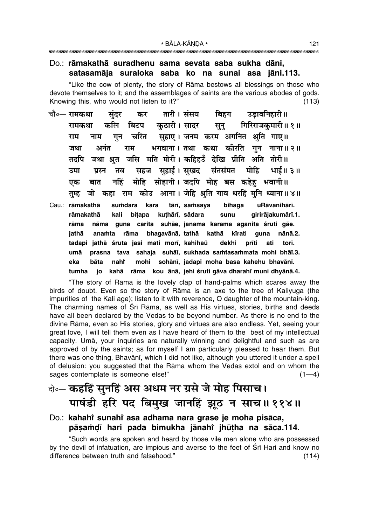### Do.: rāmakathā suradhenu sama sevata saba sukha dāni, satasamāja suraloka saba ko na sunai asa jāni.113.

"Like the cow of plenty, the story of Rāma bestows all blessings on those who devote themselves to it; and the assemblages of saints are the various abodes of gods. Knowing this, who would not listen to it?"  $(113)$ 

- तारी। संसय बिहग उडावनिहारी॥ चौ∘— रामकथा कर संदर बिटप कुठारी। सादर सुनु गिरिराजकुमारी॥१॥ कलि रामकथा सुहाए। जनम करम अगनित श्रुति गाए॥ गन चरित राम नाम भगवाना। तथा कथा कीरति गन नाना॥ २॥ जथा अनंत राम जथा श्रुत जसि मति मोरी। कहिहउँ देखि प्रीति अति तोरी॥ तदपि सहज सुहाई। सुखद संतसंमत मोहि उमा प्रस्न तव भाई॥ ३॥ मोहि सोहानी। जदपि मोह बस कहेह भवानी॥ नहिं बात एक जो कहा राम कोउ आना। जेहि श्रति गाव धरहिं मनि ध्याना॥४॥ तम्ह
- Cau.: rāmakathā tārī, samsaya sumdara kara bihaga uRāvanihārī. bitapa kuthārī, sādara rāmakathā kali sunu girirājakumārī.1. nāma guna carita suhāe, janama karama aganita śruti gāe. rāma bhagavānā, tathā kathā kīrati jathā anamta rāma guna nānā.2. tadapi jathā śruta jasi mati morī, kahihaŭ dekhi prīti ati torī. prasna tava sahaja suhāi, sukhada samtasammata mohi bhāi.3. umā mohi sohānī, jadapi moha basa kahehu bhavānī. eka bāta naht tumha io kahā rāma kou ānā, jehi śruti gāva dharahi muni dhyānā.4.

"The story of Rāma is the lovely clap of hand-palms which scares away the birds of doubt. Even so the story of Rāma is an axe to the tree of Kaliyuga (the impurities of the Kali age); listen to it with reverence, O daughter of the mountain-king. The charming names of Sri Rāma, as well as His virtues, stories, births and deeds have all been declared by the Vedas to be beyond number. As there is no end to the divine Rāma, even so His stories, glory and virtues are also endless. Yet, seeing your great love, I will tell them even as I have heard of them to the best of my intellectual capacity. Uma, your inguiries are naturally winning and delightful and such as are approved of by the saints; as for myself I am particularly pleased to hear them. But there was one thing, Bhavānī, which I did not like, although you uttered it under a spell of delusion: you suggested that the Rama whom the Vedas extol and on whom the sages contemplate is someone else!"  $(1-4)$ 

## वे॰ कहहिं सुनहिं अस अधम नर ग्रसे जे मोह पिसाच। पाषंडी हरि पद बिमुख जानहिं झूठ न साच॥११४॥

### Do.: kahahi sunahi asa adhama nara grase je moha pisāca, pāsamdī hari pada bimukha jānahi jhūtha na sāca.114.

"Such words are spoken and heard by those vile men alone who are possessed by the devil of infatuation, are impious and averse to the feet of Srī Hari and know no difference between truth and falsehood."  $(114)$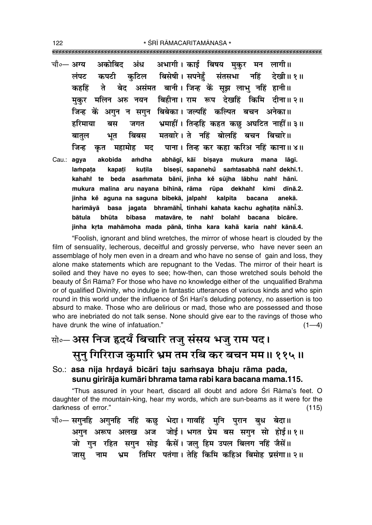- अकोबिट अभागी। कार्ड बिषय मुकर मन लागी।। चौ०— अग्य अंध बिसेषी। सपनेहँ संतसभा लंपट कपटी कटिल नहिं देखी॥१॥ असंमत बानी। जिन्ह कें सूझ लाभु नहिं हानी॥ कहहिं ते बेट बिहीना। राम रूप देखहिं किमि दीना॥ २॥ मकर मलिन अरु नयन जिन्ह कें अगुन न सगुन बिबेका। जल्पहिं कल्पित बचन अनेका॥ जगत भ्रमाहीं। तिन्हहि कहत कछ अघटित नाहीं॥३॥ हरिमाया बस मतवारे। ते नहिं बोलहिं बचन बिचारे॥ बातल भूत बिबस पाना । तिन्ह कर कहा करिअ नहिं काना॥४॥ जिन्ह कत महामोह मद
- abhāgī, kāī bisaya mukura mana lāgī. Cau.: agya akobida amdha bisesī, sapanehů samtasabhā nahř dekhī.1. lampata kapatī kutila kahahi te beda asammata bānī, jinha ke sūjha lābhu nahi hānī. mukura malina aru nayana bihinā, rāma rūpa dekhahi kimi dīnā.2. jinha ke aguna na saguna bibekā, jalpahî kalpita bacana anekā. basa jagata bhramāhi, tinhahi kahata kachu aghatita nāhi.3. harimāvā bātula bhūta bibasa matavāre, te nahi bolahi bacana bicāre. jinha krta mahāmoha mada pānā, tinha kara kahā karia nahi kānā.4.

"Foolish, ignorant and blind wretches, the mirror of whose heart is clouded by the film of sensuality, lecherous, deceitful and grossly perverse, who have never seen an assemblage of holy men even in a dream and who have no sense of gain and loss, they alone make statements which are repugnant to the Vedas. The mirror of their heart is soiled and they have no eyes to see; how-then, can those wretched souls behold the beauty of Sri Rāma? For those who have no knowledge either of the unqualified Brahma or of qualified Divinity, who indulge in fantastic utterances of various kinds and who spin round in this world under the influence of Sri Hari's deluding potency, no assertion is too absurd to make. Those who are delirious or mad, those who are possessed and those who are inebriated do not talk sense. None should give ear to the ravings of those who have drunk the wine of infatuation."  $(1-4)$ 

सो०-अस निज हृदयँ बिचारि तजु संसय भजु राम पद। सूनु गिरिराज कुमारि भ्रम तम रबि कर बचन मम॥ ११५॥

## So.: asa nija hrdayå bicāri taju samsaya bhaju rāma pada, sunu girirāja kumāri bhrama tama rabi kara bacana mama.115.

"Thus assured in your heart, discard all doubt and adore Srī Rāma's feet. O daughter of the mountain-king, hear my words, which are sun-beams as it were for the darkness of error."  $(115)$ 

चौ०— सगुनहि अगुनहि नहिं कछ भेदा। गावहिं मुनि पुरान बुध बेदा॥ अगन अरूप अलख अज जोई। भगत प्रेम बस सगन सो होई॥१॥ जो गुन रहित सगुन सोड़ कैसें। जलु हिम उपल बिलग नहिं जैसें॥ जास नाम भ्रम तिमिर पतंगा। तेहि किमि कहिअ बिमोह प्रसंगा॥ २॥

122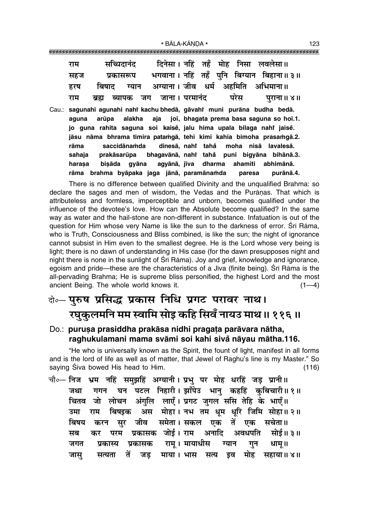| राम | सच्चिदानंद | दिनेसा। नहिं तहँ मोह निसा लवलेसा॥                                       |              |
|-----|------------|-------------------------------------------------------------------------|--------------|
| सहज |            | प्रकासरूप भगवाना । नहिं तहँ पुनि बिग्यान बिहाना॥३॥                      |              |
| हरष |            | बिषाद ग्यान अग्याना।जीव धर्म अहमिति अभिमाना॥                            |              |
| राम |            | ब्रह्म ब्यापक जग जाना। परमानंद   परेस                                   | पुराना ॥ ४ ॥ |
|     |            | Cau.: sagunahi agunahi nahi kachu bhedā, gāvahi muni purāna budha bedā. |              |

aquna arūpa alakha aja joi, bhagata prema basa saguna so hoi.1. jo guna rahita saguna soi kaisė, jalu hima upala bilaga naht jaisė. jāsu nāma bhrama timira patamgā, tehi kimi kahia bimoha prasamgā.2. rāma saccidānamda dinesā, nahi tahå moha nisā lavalesā. bhagavānā, nahi tahå puni bigyāna bihānā.3. sahaja prakāsarūpa harasa bişāda gyāna agyānā, jīva dharma ahamiti abhimānā. rāma brahma byāpaka jaga jānā, paramānamda paresa purānā.4.

There is no difference between qualified Divinity and the unqualified Brahma: so declare the sages and men of wisdom, the Vedas and the Purānas. That which is attributeless and formless, imperceptible and unborn, becomes qualified under the influence of the devotee's love. How can the Absolute become qualified? In the same way as water and the hail-stone are non-different in substance. Infatuation is out of the question for Him whose very Name is like the sun to the darkness of error. Srī Rāma, who is Truth, Consciousness and Bliss combined, is like the sun; the night of ignorance cannot subsist in Him even to the smallest degree. He is the Lord whose very being is light; there is no dawn of understanding in His case (for the dawn presupposes night and night there is none in the sunlight of Sri Rama). Joy and grief, knowledge and ignorance, egoism and pride—these are the characteristics of a Jiva (finite being). Srī Rāma is the all-pervading Brahma; He is supreme bliss personified, the highest Lord and the most ancient Being. The whole world knows it.  $(1-4)$ 

## वे⊶ पुरुष प्रसिद्ध प्रकास निधि प्रगट परावर नाथ। रघुकुलमनि मम स्वामि सोड़ कहि सिवँ नायउ माथ ॥ ११६ ॥

### Do.: purușa prasiddha prakāsa nidhi pragata parāvara nātha, raghukulamani mama svāmi soi kahi sivă nāyau mātha.116.

"He who is universally known as the Spirit, the fount of light, manifest in all forms and is the lord of life as well as of matter, that Jewel of Raghu's line is my Master." So saying Siva bowed His head to Him.  $(116)$ 

चौ∘— निज भ्रम नहिं समझहिं अग्यानी। प्रभ पर मोह धरहिं जड प्रानी॥ घन पटल निहारी। झाँपेउ भानु कहहिं कुबिचारी॥१॥ जथा गगन अंगलि लाएँ। प्रगट जगल ससि तेहि के भाएँ॥ जो लोचन चितव अस मोहा। नभ तम धूम धूरि जिमि सोहा॥ २॥ उमा राम बिषडक करन सुर जीव समेता। सकल एक तें एक सचेता॥ बिषय प्रकासक जोई। राम अनादि अवधपति सोई॥ ३॥ सब कर परम राम् । मायाधीस ग्यान प्रकासक गन धाम॥ जगत प्रकास्य तें जड माया। भास सत्य इव मोह सहाया॥४॥ जास सत्यता

123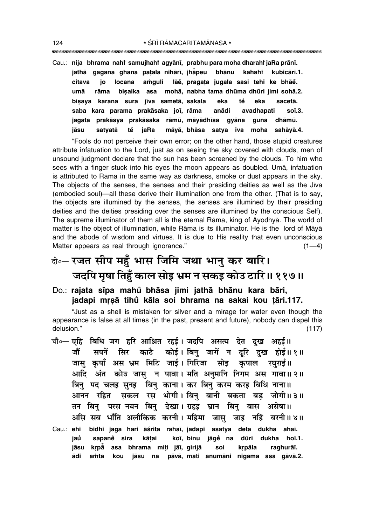Cau.: nija bhrama nahi samujhahi agyānī, prabhu para moha dharahi jaRa prānī. jathā gagana ghana patala nihārī, jhāpeu bhānu kahahi kubicārī.1. citava jo locana amguli lāe, pragața jugala sasi tehi ke bhāe. umā rāma bisaika asa mohā, nabha tama dhūma dhūri jimi sohā.2. bisaya karana sura jīva sametā, sakala eka tě eka sacetā. saba kara parama prakāsaka joī, rāma anādi avadhapati  $so<sub>1</sub>3$ . jagata prakāsya prakāsaka rāmū, māyādhīsa gyāna guna dhāmū. satvatā jaRa māyā, bhāsa satya iva moha jāsu tě sahāyā.4.

"Fools do not perceive their own error; on the other hand, those stupid creatures attribute infatuation to the Lord, just as on seeing the sky covered with clouds, men of unsound judgment declare that the sun has been screened by the clouds. To him who sees with a finger stuck into his eves the moon appears as doubled. Uma, infatuation is attributed to Rāma in the same way as darkness, smoke or dust appears in the sky. The objects of the senses, the senses and their presiding deities as well as the Jiva (embodied soul)—all these derive their illumination one from the other. (That is to say, the objects are illumined by the senses, the senses are illumined by their presiding deities and the deities presiding over the senses are illumined by the conscious Self). The supreme illuminator of them all is the eternal Rama, king of Ayodhya. The world of matter is the object of illumination, while Rama is its illuminator. He is the lord of Maya and the abode of wisdom and virtues. It is due to His reality that even unconscious Matter appears as real through ignorance."  $(1-4)$ 

# वे॰- रजत सीप महँ भास जिमि जथा भानु कर बारि। जदपि मृषा तिहुँ काल सोइ भ्रम न सकइ कोउ टारि॥ ११७॥

### Do.: rajata sīpa mahu bhāsa jimi jathā bhānu kara bāri, jadapi mrsā tihů kāla soi bhrama na sakai kou tāri.117.

"Just as a shell is mistaken for silver and a mirage for water even though the appearance is false at all times (in the past, present and future), nobody can dispel this delusion."  $(117)$ 

चौ० - एहि बिधि जग हरि आश्रित रहर्ड। जदपि असत्य देत दख अहर्ड।। सपनें सिर काटै कोई। बिनु जागें न दूरि दुख होई॥१॥ जौं जासु कृपाँ अस भ्रम मिटि जाई। गिरिजा सोइ कृपाल रघुराई॥ आदि अंत कोउ जासु न पावा। मति अनुमानि निगम अस गावा॥२॥ बिनु पद चलइ सुनइ बिनु काना। कर बिनु करम करइ बिधि नाना॥ आनन रहित सकल रस भोगी।।बिनु बानी बकता बड़ जोगी॥३॥ तन बिनु परस नयन बिनु देखा। ग्रहइ घ्रान बिनु बास असेषा॥ असि सब भाँति अलौकिक करनी। महिमा जासु जाइ नहिं बरनी॥४॥ bidhi jaga hari āśrita rahaī, jadapi asatya deta dukha ahaī. Cau.: ehi sapaně sira kātai koī, binu jāgě na dūri dukha hoī.1. jaů krpå asa bhrama miți jāī, girijā jāsu soi krpāla raghurāī. amta kou jāsu na pāvā, mati anumāni nigama asa gāvā.2. ādi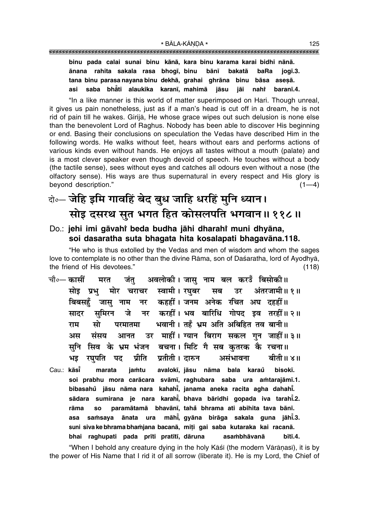binu pada calai sunai binu kānā, kara binu karama karai bidhi nānā. ānana rahita sakala rasa bhoqī, binu bānī bakatā baRa jogī.3. tana binu parasa navana binu dekhā, grahai ghrāna binu bāsa asesā. saba bhati alaukika karanī, mahimā asi jāsu iāi nahi baranī.4.

"In a like manner is this world of matter superimposed on Hari. Though unreal, it gives us pain nonetheless, just as if a man's head is cut off in a dream, he is not rid of pain till he wakes. Girijā, He whose grace wipes out such delusion is none else than the benevolent Lord of Raghus. Nobody has been able to discover His beginning or end. Basing their conclusions on speculation the Vedas have described Him in the following words. He walks without feet, hears without ears and performs actions of various kinds even without hands. He enjoys all tastes without a mouth (palate) and is a most clever speaker even though devoid of speech. He touches without a body (the tactile sense), sees without eyes and catches all odours even without a nose (the olfactory sense). His ways are thus supernatural in every respect and His glory is beyond description."  $(1-4)$ 

# दो॰ जेहि इमि गावहिं बेद बुध जाहि धरहिं मुनि ध्यान। सोइ दसरथ सुत भगत हित कोसलपति भगवान॥ ११८॥

### Do.: jehi imi gāvahi beda budha jāhi dharahi muni dhyāna, soi dasaratha suta bhagata hita kosalapati bhagavāna.118.

"He who is thus extolled by the Vedas and men of wisdom and whom the sages love to contemplate is no other than the divine Rāma, son of Daśaratha, lord of Ayodhyā, the friend of His devotees."  $(118)$ 

चौ०— कासीं अवलोकी। जासु नाम बल करउँ बिसोकी॥ मरत जंत स्वामी। रघुबर सब उर अंतरजामी॥१॥ सोड प्रभ मोर चराचर कहहीं। जनम अनेक रचित अघ दहहीं॥ बिबसहँ जास नाम नर समिरन नर करहीं। भव बारिधि गोपद इव तरहीं॥२॥ जे सादर भवानी। तहँ भ्रम अति अबिहित तव बानी॥ राम मो परमातमा उर माहीं। ग्यान बिराग सकल गुन जाहीं॥३॥ अस संसय आनत बचना। मिटि गै सब कुतरक कै रचना॥ सनि सिव के भ्रम भंजन प्रतीती । दारुन प्रीति बीती॥ ४॥ भड रघपति पद असंभावना

Cau.: kāsī jamtu avalokī, jāsu nāma bala karaŭ bisokī. marata soi prabhu mora carācara svāmī, raghubara saba ura amtarajāmī.1. bibasahů jāsu nāma nara kahahi, janama aneka racita agha dahahi. sādara sumirana je nara karahi, bhava bāridhi gopada iva tarahi.2. paramātamā bhavānī, tahå bhrama ati abihita tava bānī. rāma **SO** samsaya ānata ura māhi, gyāna birāga sakala guna jāhi.3. asa suni siva ke bhrama bhamjana bacanā, miți gai saba kutaraka kai racanā. bhai raghupati pada prīti pratītī, dāruna asambhāvanā bītī.4.

"When I behold any creature dying in the holy Kāśī (the modern Vārānasī), it is by the power of His Name that I rid it of all sorrow (liberate it). He is my Lord, the Chief of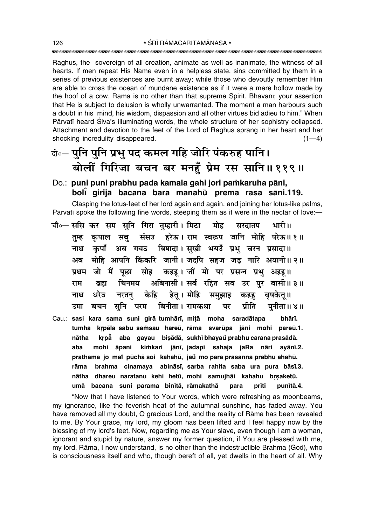Raghus, the sovereign of all creation, animate as well as inanimate, the witness of all hearts. If men repeat His Name even in a helpless state, sins committed by them in a series of previous existences are burnt away; while those who devoutly remember Him are able to cross the ocean of mundane existence as if it were a mere hollow made by the hoof of a cow. Rama is no other than that supreme Spirit. Bhavani; your assertion that He is subject to delusion is wholly unwarranted. The moment a man harbours such a doubt in his mind, his wisdom, dispassion and all other virtues bid adieu to him." When Pārvatī heard Śiva's illuminating words, the whole structure of her sophistry collapsed. Attachment and devotion to the feet of the Lord of Raghus sprang in her heart and her shocking incredulity disappeared.  $(1-4)$ 

## केन्पुनि पुनि प्रभु पद कमल गहि जोरि पंकरुह पानि। बोलीं गिरिजा बचन बर मनहूँ प्रेम रस सानि॥११९॥

## Do.: puni puni prabhu pada kamala gahi jori pamkaruha pāni, boli girijā bacana bara manahů prema rasa sāni.119.

Clasping the lotus-feet of her lord again and again, and joining her lotus-like palms, Pārvatī spoke the following fine words, steeping them as it were in the nectar of love:-

- चौ०— ससि कर सम सनि गिरा तुम्हारी। मिटा मोह भारी॥ सरदातप ्कृपाल सबु संसउ हरेऊ।उराम स्वरूप जानि मोहि परेऊ॥१॥ तम्ह कुपाँ अब गयउ बिषादा।सुखी भयउँ प्रभु चरन प्रसादा॥ नाथ मोहि आपनि किंकरि जानी। जदपि सहज जड़ नारि अयानी॥२॥ अब प्रथम जो मैं पूछा सोइ कहहू। जौं मो पर प्रसन्न प्रभु अहहू॥ अबिनासी। सर्ब रहित सब उर पुर बासी॥३॥ चिनमय राम ब्रह्म धरेउ नरतन हेत् । मोहि बषकेत॥ केहि कहह नाथ समझाड बचन सनि परम बिनीता । रामकथा प्रीति पनीता॥ ४॥ उमा पर
- Cau.: sasi kara sama suni girā tumhārī, mitā moha saradātapa bhārī. tumha krpāla sabu samsau hareū, rāma svarūpa jāni mohi pareū.1. krpå aba gayau bişādā, sukhī bhayaŭ prabhu carana prasādā. nātha mohi āpani kimkari jānī, jadapi sahaja jaRa nāri ayānī.2. aba prathama jo mai pūchā soi kahahū, jaŭ mo para prasanna prabhu ahahū. brahma cinamaya abināsī, sarba rahita saba ura pura bāsī.3. rāma nātha dhareu naratanu kehi hetū, mohi samujhāi kahahu brsaketū. umā bacana suni parama binītā, rāmakathā para prīti punītā.4.

"Now that I have listened to Your words, which were refreshing as moonbeams, my ignorance, like the feverish heat of the autumnal sunshine, has faded away. You have removed all my doubt, O gracious Lord, and the reality of Rāma has been revealed to me. By Your grace, my lord, my gloom has been lifted and I feel happy now by the blessing of my lord's feet. Now, regarding me as Your slave, even though I am a woman, ignorant and stupid by nature, answer my former question, if You are pleased with me, my lord. Rāma, I now understand, is no other than the indestructible Brahma (God), who is consciousness itself and who, though bereft of all, yet dwells in the heart of all. Why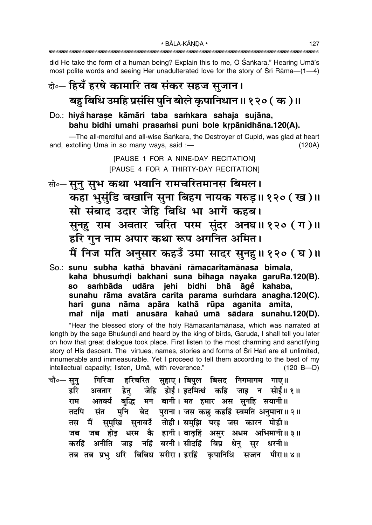did He take the form of a human being? Explain this to me, O Sankara." Hearing Uma's most polite words and seeing Her unadulterated love for the story of Sri Rāma-(1-4)

# बेञ्- हियँ हरषे कामारि तब संकर सहज सुजान। बह बिधि उमहि प्रसंसि पुनि बोले कुपानिधान॥१२० ( क )॥

## Do.: hiyå harase kāmāri taba samkara sahaja sujāna, bahu bidhi umahi prasamsi puni bole krpānidhāna.120(A).

-The all-merciful and all-wise Sankara, the Destroyer of Cupid, was glad at heart and, extolling Umā in so many ways, said :- $(120A)$ 

> [PAUSE 1 FOR A NINE-DAY RECITATION] [PAUSE 4 FOR A THIRTY-DAY RECITATION]

क्षे∘–सून् सुभ कथा भवानि रामचरितमानस बिमल। कहा भुसुंडि बखानि सुना बिहग नायक गरुड़॥१२० ( ख)॥ सो संबाद उदार जेहि बिधि भा आगें कहब। सुनहु राम अवतार चरित परम सुंदर अनघ॥१२० (ग)॥ हरि गुन नाम अपार कथा रूप अगनित अमित। मैं निज मति अनुसार कहउँ उमा सादर सुनहु॥१२० (घ)॥

So.: sunu subha kathā bhavāni rāmacaritamānasa bimala, kahā bhusumdi bakhāni sunā bihaga nāyaka garuRa.120(B). so sambāda udāra jehi bidhi bhā āgě kahaba, sunahu rāma avatāra carita parama sumdara anagha.120(C). hari guna nāma apāra kathā rūpa aganita amita, nija mati anusāra kahaŭ umā sādara sunahu.120(D). mar

"Hear the blessed story of the holy Rāmacaritamānasa, which was narrated at length by the sage Bhusundi and heard by the king of birds, Garuda, I shall tell you later on how that great dialogue took place. First listen to the most charming and sanctifying story of His descent. The virtues, names, stories and forms of Srī Hari are all unlimited, innumerable and immeasurable. Yet I proceed to tell them according to the best of my intellectual capacity; listen, Umā, with reverence."  $(120 B-D)$ 

गिरिजा हरिचरित सुहाए।विपुल बिसद निगमागम गाए॥ चौ०— सन हेतु जेहि होई। इदमित्थं कहि जाइ न सोई॥ १॥ हरि अवतार अतर्क्य बुद्धि मन बानी। मत हमार अस सुनहि सयानी॥ राम तदपि संत मुने बेद पुराना। जस कछु कहहिं स्वमति अनुमाना॥ २॥ तस मैं सुमुखि सुनावडँ तोही। समुझि परइ जस कारन मोही॥ जब होइ धरम कै हानी। बाढ़हिं असुर अधम अभिमानी॥३॥ जब करहिं अनीति जाइ नहिं बरनी।सीदहिं बिप्र धेनु सुर धरनी॥ तब तब प्रभु धरि बिबिध सरीरा। हरहिं कृपानिधि सज्जन पीरा॥४॥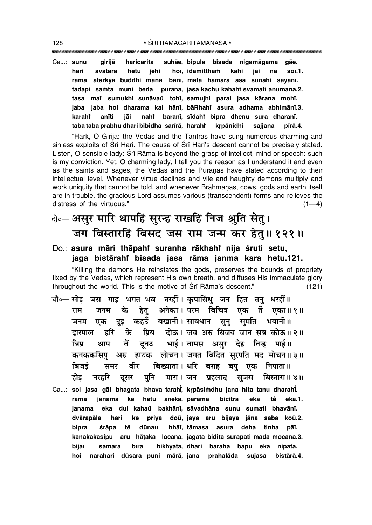\* ŚRĪ RĀMACARITAMĀNASA \* 

suhāe, bipula bisada nigamāgama Cau.: sunu girijā haricarita gāe. hoī, idamittham hari avatāra hetu jehi kahi jāi na soī.1. atarkya buddhi mana bānī, mata hamāra asa sunahi savānī, rāma tadapi samta muni beda purānā, jasa kachu kahahi svamati anumānā.2. tasa mai sumukhi sunāvaŭ tohī, samujhi parai jasa kārana mohī. jaba jaba hoi dharama kai hānī, bāRhaht asura adhama abhimānī.3. karaht anīti iāi nahi baranī, sīdahi bipra dhenu sura dharanī. taba taba prabhu dhari bibidha sarīrā, harahi krpānidhi saiiana pīrā.4.

"Hark, O Girijā: the Vedas and the Tantras have sung numerous charming and sinless exploits of Srī Hari. The cause of Srī Hari's descent cannot be precisely stated. Listen, O sensible lady: Śrī Rāma is beyond the grasp of intellect, mind or speech: such is my conviction. Yet, O charming lady, I tell you the reason as I understand it and even as the saints and sages, the Vedas and the Puranas have stated according to their intellectual level. Whenever virtue declines and vile and haughty demons multiply and work uniquity that cannot be told, and whenever Brāhmanas, cows, gods and earth itself are in trouble, the gracious Lord assumes various (transcendent) forms and relieves the distress of the virtuous."  $(1-4)$ 

## बे-असुर मारि थापहिं सुरन्ह राखहिं निज श्रुति सेतु। जग बिस्तारहिं बिसद जस राम जन्म कर हेतु॥१२१॥

## Do.: asura māri thāpahi suranha rākhahi nija śruti setu, jaga bistārahi bisada jasa rāma janma kara hetu.121.

"Killing the demons He reinstates the gods, preserves the bounds of propriety fixed by the Vedas, which represent His own breath, and diffuses His immaculate glory throughout the world. This is the motive of Srī Rāma's descent."  $(121)$ 

- चौ०— सोइ जस गाइ भगत भव तरहीं। कृपासिंधु जन हित तनु धरहीं॥ हेत अनेका। परम बिचित्र एक तें एका॥१॥ राम जनम के एक दुइ कहउँ बखानी।सावधान सुनु सुमति भवानी॥ जनम प्रिय दोऊ। जय अरु बिजय जान सब कोऊ॥२॥ हरि द्रारपाल के दुनउ भाई। तामस असुर देह तिन्ह पाई॥ तें बिप श्राप कनककसिप् अरु हाटक लोचन। जगत बिदित सुरपति मद मोचन॥३॥ बिजर्ड बिख्याता। धरि बराह बपु एक निपाता॥ समर बीर पनि होड नरहरि मारा। जन प्रहलाद सुजस बिस्तारा॥४॥ दुसर Cau.: soi jasa gāi bhagata bhava tarahi, krpāsimdhu jana hita tanu dharahi.
- hetu anekā, parama ke bicitra rāma janama eka tě ekā.1. eka dui kahaŭ bakhānī, sāvadhāna sunu sumati bhavānī. ianama priya doū, jaya aru bijaya jāna saba dvārapāla hari ke koū.2. dūnau bhāī, tāmasa asura deha tinha bipra śrāpa tě pāī. kanakakasipu aru hāṭaka locana, jagata bidita surapati mada mocana.3. bijaī samara bīra bikhyātā, dhari barāha bapu eka nipātā. hoi narahari dūsara puni mārā, jana prahalāda sujasa bistārā.4.

128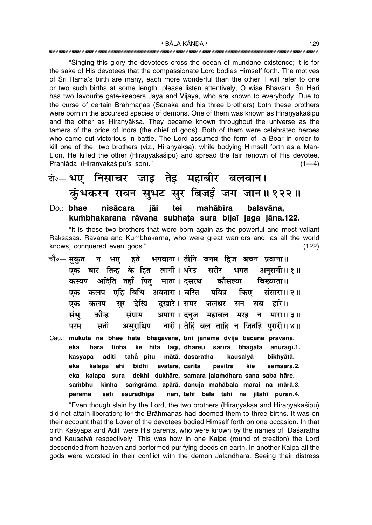"Singing this glory the devotees cross the ocean of mundane existence; it is for the sake of His devotees that the compassionate Lord bodies Himself forth. The motives of Sri Rāma's birth are many, each more wonderful than the other. I will refer to one or two such births at some length; please listen attentively, O wise Bhavānī. Śrī Hari has two favourite gate-keepers Jaya and Vijaya, who are known to everybody. Due to the curse of certain Brāhmanas (Sanaka and his three brothers) both these brothers were born in the accursed species of demons. One of them was known as Hiranyakasipu and the other as Hiranyaksa. They became known throughout the universe as the tamers of the pride of Indra (the chief of gods). Both of them were celebrated heroes who came out victorious in battle. The Lord assumed the form of a Boar in order to kill one of the two brothers (viz., Hiranyāksa); while bodying Himself forth as a Man-Lion, He killed the other (Hiranyakaśipu) and spread the fair renown of His devotee, Prahlāda (Hiranyakaśipu's son)."  $(1-4)$ 

# बे॰ भए निसाचर जाइ तेइ महाबीर बलवान। कुंभकरन रावन सुभट सुर बिजई जग जान॥१२२॥

iāi tei mahābīra balavāna.  $Do: bhae$ nisācara kumbhakarana rāvana subhata sura bijaī jaga jāna.122.

"It is these two brothers that were born again as the powerful and most valiant Rāksasas. Rāvana and Kumbhakarna, who were great warriors and, as all the world knows, conquered even gods."  $(122)$ 

- चौ∘— मकत भए हते भगवाना । तीनि जनम द्विज बचन प्रवाना॥ न एक बार तिन्ह के हित लागी। धरेउ सरीर अनुरागी॥ १॥ भगत अदिति तहाँ पित माता। दसरथ कस्यप कौमल्या बिख्याता ॥ एहि बिधि अवतारा। चरित पवित्र एक कलप किए संसारा॥ २॥ दुखारे। समर जलंधर सर देखि सन एक सब हारे ॥ कलप अपारा। दनुज महाबल कीन्ह संग्राम मरड न मारा॥ ३॥ संभ नारी। तेहिं बल ताहि न जितहिं पुरारी॥४॥ परम सती असुराधिप
- Cau.: mukuta na bhae hate bhagavānā, tīni janama dvija bacana pravānā. sarīra ke hita lāgī, dhareu eka bāra tinha bhagata anurāgī.1. tahå pitu mātā, dasaratha kasvapa aditi kausalyā bikhyātā. eka kalapa ehi bidhi avatārā, carita pavitra kie samsārā.2. dekhi dukhāre, samara jalamdhara sana saba hāre. eka kalapa sura samgrāma apārā, danuja mahābala marai na mārā.3. sambhu kīnha asurādhipa nārī, tehi bala tāhi na jitahi purārī.4. parama satī

"Even though slain by the Lord, the two brothers (Hiranyaksa and Hiranyakasipu) did not attain liberation; for the Brāhmanas had doomed them to three births. It was on their account that the Lover of the devotees bodied Himself forth on one occasion. In that birth Kaśyapa and Aditi were His parents, who were known by the names of Daśaratha and Kausalyā respectively. This was how in one Kalpa (round of creation) the Lord descended from heaven and performed purifying deeds on earth. In another Kalpa all the gods were worsted in their conflict with the demon Jalandhara. Seeing their distress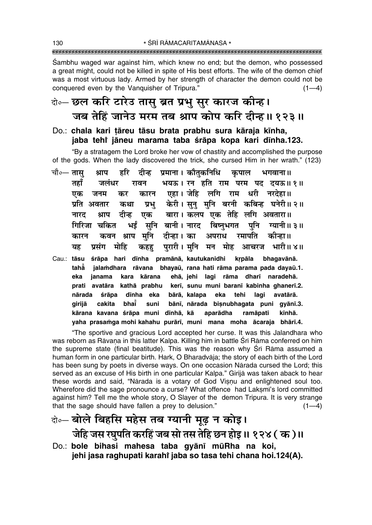Sambhu waged war against him, which knew no end; but the demon, who possessed a great might, could not be killed in spite of His best efforts. The wife of the demon chief was a most virtuous lady. Armed by her strength of character the demon could not be conquered even by the Vanquisher of Tripura."  $(1-4)$ 

## के-छल करि टारेउ तासु ब्रत प्रभु सुर कारज कीन्ह। जब तेहिं जानेउ मरम तब श्राप कोप करि दीन्ह।। १२३॥

### Do.: chala kari tāreu tāsu brata prabhu sura kāraja kīnha, jaba tehi jāneu marama taba śrāpa kopa kari dīnha.123.

"By a stratagem the Lord broke her vow of chastity and accomplished the purpose of the gods. When the lady discovered the trick, she cursed Him in her wrath." (123)

- दीन्ह प्रमाना । कौतकनिधि चौ∘— तास श्राप द्वरि कपाल भगवाना ॥ तहाँ भयऊ। रन हति राम परम पद दयऊ॥१॥ जलंधर रावन एहा। जेहि लगि राम धरी नरदेहा॥ एक जनम कर कारन प्रति अवतार केरी। सन् मनि बरनी कबिन्ह घनेरी॥२॥ कथा प्रभ् बारा। कलप एक तेहि लगि अवतारा॥ नारद श्राप दीन्ह एक सुनि बानी। नारद गिरिजा चकित भई बिष्नुभगत पनि ग्यानी॥ ३॥ दीन्हा । का श्राप मुनि अपराध रमापति कीन्हा॥ कारन कवन पुरारी। मूनि मन मोह भारी॥४॥ प्रसंग मोहि आचरज यह कहह
- śrāpa hari dīnha pramānā, kautukanidhi Cau.: tāsu krpāla bhagavānā. tahẵ jalamdhara rāvana bhayaū, rana hati rāma parama pada dayaū.1. ianama ehā, jehi lagi rāma dharī naradehā. eka kara kārana prati avatāra kathā prabhu kerī, sunu muni baranī kabinha ghanerī.2. dīnha eka bārā, kalapa eka tehi lagi nārada śrāpa avatārā. qirijā cakita bhai suni bānī, nārada bisnubhagata puni gyānī.3. kārana kavana śrāpa muni dīnhā, kā aparādha ramāpati kīnhā. yaha prasamga mohi kahahu purārī, muni mana moha ācaraja bhārī.4.

"The sportive and gracious Lord accepted her curse. It was this Jalandhara who was reborn as Rāvana in this latter Kalpa. Killing him in battle Srī Rāma conferred on him the supreme state (final beatitude). This was the reason why Srī Rāma assumed a human form in one particular birth. Hark, O Bharadvāja; the story of each birth of the Lord has been sung by poets in diverse ways. On one occasion Narada cursed the Lord; this served as an excuse of His birth in one particular Kalpa." Girijā was taken aback to hear these words and said, "Nārada is a votary of God Visnu and enlightened soul too. Wherefore did the sage pronounce a curse? What offence had Laksmi's lord committed against him? Tell me the whole story, O Slayer of the demon Tripura. It is very strange that the sage should have fallen a prey to delusion."  $(1-4)$ 

- बे-बोले बिहसि महेस तब ग्यानी मूढ़ न कोइ। जेहि जस रघुपति करहिं जब सो तस तेहि छन होड़॥ १२४ ( क )॥
- Do.: bole bihasi mahesa taba gyānī mūRha na koi, jehi jasa raghupati karahi jaba so tasa tehi chana hoi.124(A).

130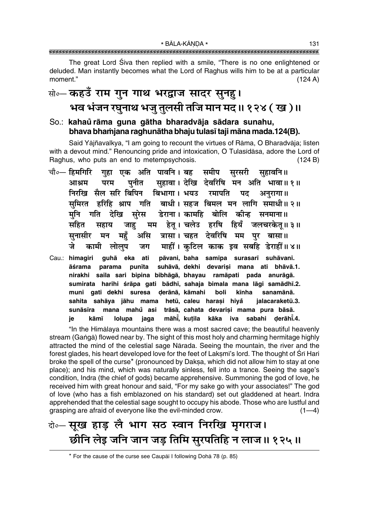\* BĀLA-KĀNDA \* 

The great Lord Siva then replied with a smile, "There is no one enlightened or deluded. Man instantly becomes what the Lord of Raghus wills him to be at a particular moment."  $(124 A)$ 

# सो०— कहउँ राम गुन गाथ भरद्वाज सादर सुनहु। भव भंजन रघुनाथ भजु तुलसी तजि मान मद ॥ १२४ ( ख )॥

## So.: kahaŭ rāma guna gātha bharadvāja sādara sunahu, bhava bhamjana raghunātha bhaju tulasī taji māna mada.124(B).

Said Yājñavalkya, "I am going to recount the virtues of Rāma, O Bharadvāja; listen with a devout mind." Renouncing pride and intoxication, O Tulasidasa, adore the Lord of Raghus, who puts an end to metempsychosis.  $(124 B)$ 

- चौ∘— हिमगिरि गहा एक अति पावनि।बह समीप सरसरी सहावनि॥ पुनीत सुहावा। देखि देवरिषि मन अति भावा॥१॥ आश्रम परम निरखि सैल सरि बिपिन बिभागा। भयउ रमापति पद अनरागा। समिरत हरिहि श्राप गति बाधी। सहज बिमल मन लागि समाधी॥ २॥ मनि गति देखि सरेस डेराना। कामहि बोलि कीन्ह सनमाना॥ जाहु मम हेतू।चलेउ हरषि हियँ जलचरकेतू॥३॥ सहित सहाय असि त्रासा। चहत देवरिषि मम पर बासा॥ सनासीर मन महँ जे कामी लोलप जग माहीं। कटिल काक इव सबहि डेराहीं॥४॥
- Cau.: himagiri guhā eka ati pāvani, baha samīpa surasarī suhāvani. suhāvā, dekhi devarisi mana ati bhāvā.1. āśrama parama punīta nirakhi saila sari bipina bibhāgā, bhayau ramāpati pada anurāgā. sumirata harihi śrāpa gati bādhī, sahaja bimala mana lāgi samādhī.2. muni gati dekhi suresa derānā, kāmahi boli kīnha sanamānā. sahita sahāya jāhu mama hetū, caleu harasi hiyå ialacaraketū.3. mahů asi trāsā, cahata devariși mama pura bāsā. sunāsīra mana lolupa māhī, kutila kāka iva sabahi derāhī.4. je kāmī jaga

"In the Himalaya mountains there was a most sacred cave; the beautiful heavenly stream (Ganga) flowed near by. The sight of this most holy and charming hermitage highly attracted the mind of the celestial sage Nārada. Seeing the mountain, the river and the forest glades, his heart developed love for the feet of Laksmi's lord. The thought of Sri Hari broke the spell of the curse<sup>\*</sup> (pronounced by Daksa, which did not allow him to stay at one place); and his mind, which was naturally sinless, fell into a trance. Seeing the sage's condition, Indra (the chief of gods) became apprehensive. Summoning the god of love, he received him with great honour and said, "For my sake go with your associates!" The god of love (who has a fish emblazoned on his standard) set out gladdened at heart. Indra apprehended that the celestial sage sought to occupy his abode. Those who are lustful and grasping are afraid of everyone like the evil-minded crow.  $(1-4)$ 

## के-सूख हाड़ लै भाग सठ स्वान निरखि मृगराज। छीनि लेइ जनि जान जड़ तिमि सुरपतिहि न लाज॥ १२५॥

\* For the cause of the curse see Caupai I following Doha 78 (p. 85)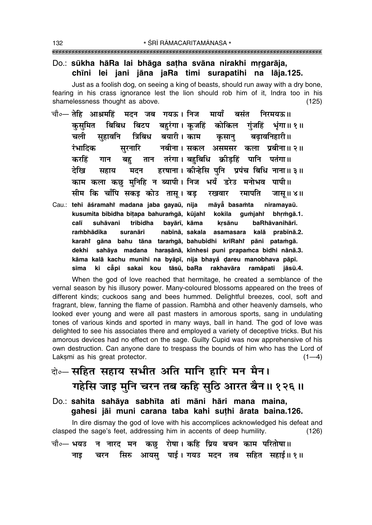### Do.: sūkha hāRa lai bhāga satha svāna nirakhi mrgarāja, chīni lei jani jāna jaRa timi surapatihi na lāja.125.

Just as a foolish dog, on seeing a king of beasts, should run away with a dry bone, fearing in his crass ignorance lest the lion should rob him of it, Indra too in his shamelessness thought as above.  $(125)$ 

- मदन जब गयऊ।।निज मायाँ बसंत चौ०— तेहि आश्रमहिं निरमयऊ॥ बिबिध बिटप बहरंगा।कजहिं कोकिल गंजहिं कसमित भंगा॥ १॥ त्रिबिध बयारी। काम कुसानु चली सहावनि बढावनिहारी॥ सुरनारि नबीना । सकल असमसर कला प्रबीना॥ २॥ रंभादिक तान तरंगा । बहुबिधि क्रीडहिं पानि पतंगा ॥ करहिं बह गान मदन हरषाना। कीन्हेसि पुनि प्रपंच बिधि नाना॥३॥ देखि सहाय काम कला कछ मनिहि न ब्यापी। निज भयँ डरेउ मनोभव पापी॥ सीम कि चाँपि सकड़ कोउ तासु। बड रखवार रमापति जास।। ४॥
- Cau.: tehi āśramahi madana jaba gayaū, nija māyā basamta niramayaū. kusumita bibidha bitapa bahuramgā, kūjahi kokila quṁjahi bhrmqā.1. calī suhāvani tribidha bavārī. kāma krsānu baRhāvanihārī. rambhādika suranāri nabīnā, sakala asamasara kalā prabīnā.2. karahi gāna bahu tāna taramgā, bahubidhi krīRahi pāni patamgā. dekhi sahāya madana haraşānā, kīnhesi puni prapamca bidhi nānā.3. kāma kalā kachu munihi na byāpī, nija bhayå dareu manobhava pāpī. ki cāpi sakai kou tāsū, baRa rakhavāra ramāpati jāsū.4. sīma

When the god of love reached that hermitage, he created a semblance of the vernal season by his illusory power. Many-coloured blossoms appeared on the trees of different kinds; cuckoos sang and bees hummed. Delightful breezes, cool, soft and fragrant, blew, fanning the flame of passion. Rambha and other heavenly damsels, who looked ever young and were all past masters in amorous sports, sang in undulating tones of various kinds and sported in many ways, ball in hand. The god of love was delighted to see his associates there and employed a variety of deceptive tricks. But his amorous devices had no effect on the sage. Guilty Cupid was now apprehensive of his own destruction. Can anyone dare to trespass the bounds of him who has the Lord of Laksmī as his great protector.  $(1-4)$ 

# वे॰– सहित सहाय सभीत अति मानि हारि मन मैन। गहेसि जाइ मुनि चरन तब कहि सुठि आरत बैन॥ १२६॥

Do.: sahita sahāya sabhīta ati māni hāri mana maina, gahesi jāi muni carana taba kahi suthi ārata baina.126.

In dire dismay the god of love with his accomplices acknowledged his defeat and clasped the sage's feet, addressing him in accents of deep humility.  $(126)$ न नारद मन कछु रोषा। कहि प्रिय बचन काम परितोषा॥ चौ०— भयउ सिरु आयसु पाई। गयउ मदन तब सहित सहाई॥ १॥ चरन नाड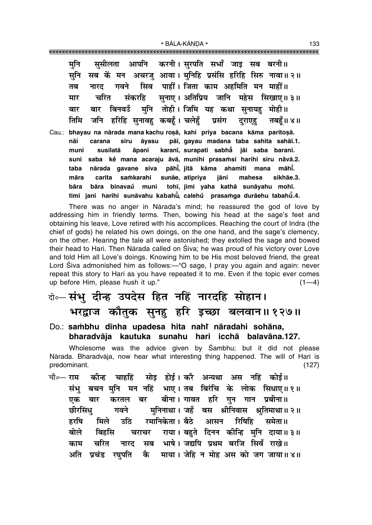\* BĀLA-KĀNDA \*

मनि ससीलता आपनि करनी। सरपति सभाँ जाड़ सब बरनी॥ सब कें मन अचरजु आवा। मुनिहि प्रसंसि हरिहि सिरु नावा॥२॥ सनि सिव पाहीं। जिता काम अहमिति मन माहीं॥ तब नारद गवने सनाए। अतिप्रिय जानि महेस सिखाए॥३॥ चरित संकरहि मार मनि तोही। जिमि यह कथा सुनायह मोही॥ बिनवउँ बार बार जनि हरिहि सुनावहु कबहूँ। चलेहुँ तिमि प्रसंग दराएह तबहँ॥ ४॥ Cau.: bhayau na nārada mana kachu rosā, kahi priya bacana kāma paritosā. nāi siru pāī, gayau madana taba sahita sahāī.1. carana āyasu karanī, surapati sabhā jāi saba baranī. muni susīlatā āpani saba ke mana acaraju āvā, munihi prasamsi harihi siru nāvā.2. suni nārada gavane siva pāhi, jitā kāma ahamiti māhī. taba mana māra carita samkarahi sunāe, atipriya jāni mahesa sikhāe.3. tohī, jimi yaha kathā sunāyahu mohī. **bāra** bāra binavaŭ muni timi jani harihi sunāvahu kabahū, calehů prasamga durāehu tabahū.4.

There was no anger in Nārada's mind; he reassured the god of love by addressing him in friendly terms. Then, bowing his head at the sage's feet and obtaining his leave, Love retired with his accomplices. Reaching the court of Indra (the chief of gods) he related his own doings, on the one hand, and the sage's clemency, on the other. Hearing the tale all were astonished; they extolled the sage and bowed their head to Hari. Then Nārada called on Siva; he was proud of his victory over Love and told Him all Love's doings. Knowing him to be His most beloved friend, the great Lord Siva admonished him as follows:—"O sage, I pray you again and again: never repeat this story to Hari as you have repeated it to me. Even if the topic ever comes up before Him, please hush it up."  $(1-4)$ 

## बे॰ संभु दीन्ह उपदेस हित नहिं नारदहि सोहान। भरद्वाज कौतुक सुनहु हरि इच्छा बलवान॥१२७॥

### Do.: sambhu dīnha upadesa hita nahi nāradahi sohāna, bharadvāja kautuka sunahu hari icchā balavāna.127.

Wholesome was the advice given by Sambhu; but it did not please Nārada. Bharadvāja, now hear what interesting thing happened. The will of Hari is predominant.  $(127)$ 

सोड होई। करै अन्यथा अस नहिं कोई॥ चौ∘— राम कीन्ह चाहहिं बचन मुनि मन नहिं भाए। तब बिरंचि के लोक सिधाए॥१॥ संभ बीना । गावत हरि गुन गान प्रबीना ॥ बार करतल बर एक छीरसिंध गवने मनिनाथा। जहँ बस श्रीनिवास श्रतिमाथा॥२॥ रमानिकेता। बैठे आसन रिषिहि समेता॥ हरषि मिले उठि बोले राया। बहुते दिनन कीन्हि मनि दाया॥३॥ बिहसि चराचर सब भाषे। जद्यपि प्रथम बरजि सिवँ राखे॥ काम चरित नारद अति प्रचंड रघपति कै माया। जेहि न मोह अस को जग जाया॥४॥ 133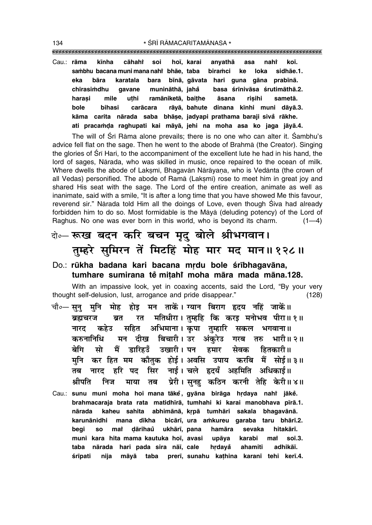\* ŚRĪ RĀMACARITAMĀNASA \* 

anyathā nahi Cau.: rāma kīnha cāhahi soi hoī, karai asa koī. sambhu bacana muni mana nahi bhae, taba biramci loka sidhāe.1. ke bāra karatala bīnā, gāvata hari guna gāna prabīnā. eka bara chīrasimdhu munināthā, jahå basa śrīnivāsa śrutimāthā.2. gavane harasi mile uthi ramāniketā, baithe āsana risihi sametā. bole **bihasi** carācara rāyā, bahute dinana kīnhi muni dāyā.3. kāma carita nārada saba bhāṣe, jadyapi prathama baraji sivå rākhe. ati pracamda raghupati kai māyā, jehi na moha asa ko jaga jāyā.4.

The will of Srī Rāma alone prevails; there is no one who can alter it. Sambhu's advice fell flat on the sage. Then he went to the abode of Brahma (the Creator). Singing the glories of Srī Hari, to the accompaniment of the excellent lute he had in his hand, the lord of sages, Nārada, who was skilled in music, once repaired to the ocean of milk. Where dwells the abode of Laksmi, Bhagavān Nārāyana, who is Vedānta (the crown of all Vedas) personified. The abode of Rama (Laksmi) rose to meet him in great joy and shared His seat with the sage. The Lord of the entire creation, animate as well as inanimate, said with a smile, "It is after a long time that you have showed Me this favour, reverend sir." Nārada told Him all the doings of Love, even though Siva had already forbidden him to do so. Most formidable is the Maya (deluding potency) of the Lord of Raghus. No one was ever born in this world, who is beyond its charm.  $(1-4)$ 

# बे- रूख बदन करि बचन मृदु बोले श्रीभगवान। तुम्हरे सुमिरन तें मिटहिं मोह मार मद मान॥१२८॥

### Do.: rūkha badana kari bacana mrdu bole śrībhagavāna, tumhare sumirana tě mitahř moha māra mada māna.128.

With an impassive look, yet in coaxing accents, said the Lord, "By your very thought self-delusion, lust, arrogance and pride disappear."  $(128)$ 

- चौ∘— सन् मनि मोह होड़ मन ताकें। ग्यान बिराग हृदय नहिं जाकें॥ रत मतिधीरा। तुम्हहि कि करइ मनोभव पीरा॥१॥ ब्रह्मचरज ब्रत सहित अभिमाना। कृपा तुम्हारि सकल भगवाना॥ कहेउ नारद मन दीख बिचारी। उर अंकुरेउ गरब तरु भारी॥ २॥ करुनानिधि बेगि मो मैं डारिहउँ उखारी । पन हमार सेवक हितकारी॥ कर हित मम कौतुक होई। अवसि उपाय करबि मैं सोई॥३॥ मनि नारद हरि पद सिर नाई। चले हृदयँ अहमिति अधिकाई॥ तब प्रेरी। सनह कठिन करनी तेहि केरी॥४॥ श्रीपति निज तब माया
- Cau.: sunu muni moha hoi mana tāke, gyāna birāga hrdaya nahi jāke. brahmacaraja brata rata matidhīrā, tumhahi ki karai manobhava pīrā.1. nārada kaheu sahita abhimānā, kṛpā tumhāri sakala bhagavānā. karunānidhi mana dīkha bicārī, ura amkureu garaba taru bhārī.2.  $SO<sub>2</sub>$ mat dārihaů ukhārī, pana hamāra hitakārī. beai sevaka muni kara hita mama kautuka hoi, avasi mat upāya karabi  $sin 3$ nārada hari pada sira nāī, cale hrdayå adhikāī. taba ahamiti śrīpati nija māyā taba prerī, sunahu kathina karanī tehi kerī.4.

134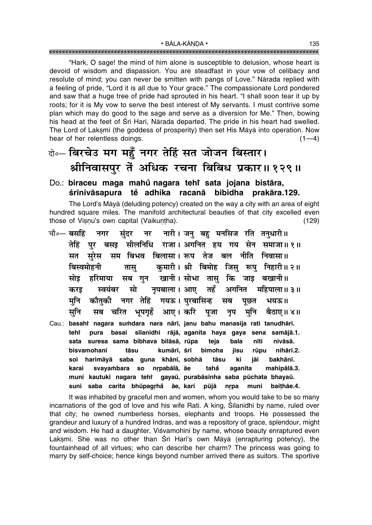"Hark, O sage! the mind of him alone is susceptible to delusion, whose heart is devoid of wisdom and dispassion. You are steadfast in your vow of celibacy and resolute of mind; you can never be smitten with pangs of Love." Nārada replied with a feeling of pride, "Lord it is all due to Your grace." The compassionate Lord pondered and saw that a huge tree of pride had sprouted in his heart. "I shall soon tear it up by roots; for it is My yow to serve the best interest of My servants. I must contrive some plan which may do good to the sage and serve as a diversion for Me." Then, bowing his head at the feet of Sri Hari, Narada departed. The pride in his heart had swelled. The Lord of Laksmi (the goddess of prosperity) then set His Maya into operation. Now hear of her relentless doings.  $(1-4)$ 

# बे॰ बिरचेउ मग महँ नगर तेहिं सत जोजन बिस्तार। श्रीनिवासपुर तें अधिक रचना बिबिध प्रकार॥१२९॥

### Do.: biraceu maga mahů nagara tehř sata jojana bistāra, śrīnivāsapura tě adhika racanā bibidha prakāra.129.

The Lord's Māyā (deluding potency) created on the way a city with an area of eight hundred square miles. The manifold architectural beauties of that city excelled even those of Visnu's own capital (Vaikuntha).  $(129)$ 

- नर नारी। जनु बहु मनसिज रति तनुधारी॥ चौ०— बसहिं नगर संदर तेहिं पुर बसइ सीलनिधि राजा। अगनित हय गय सेन समाजा॥१॥ सुरेस सम बिभव बिलासा। रूप तेज बल नीति निवासा॥ सत कमारी। श्री बिमोह जिस रूप निहारी॥ २॥ बिस्वमोहनी तास सब गुन खानी।सोभा तासु कि जाइ बखानी॥ हरिमाया सोड नृपबाला । आए तहँ स्वयंबर सो अगनित महिपाला॥ ३॥ करड मुनि कौतुकी नगर तेहिं गयऊ। पुरबासिन्ह सब भयऊ॥ पूछत सब चरित भूपगृहँ आए।करि पूजा नृप मूनि सनि बैठाए॥ ४॥ Cau.: basahi nagara sumdara nara nārī, janu bahu manasija rati tanudhārī. teht pura basai sīlanidhi rājā, aganita haya gaya sena samājā.1. sata suresa sama bibhava bilāsā, rūpa teia bala nīti nivāsā. bisvamohanī tāsu kumārī, śrī bimoha iisu rūpu nihārī.2.
- harimāyā saba guna khānī, sobhā tāsu ki jāi bakhānī. soi svayambara so nrpabālā, āe tahå karai aganita mahipālā.3. muni kautukī nagara tehi gayaū, purabāsinha saba pūchata bhayaū. suni saba carita bhūpagrhå āe, kari pūjā nrpa muni baithae.4.

It was inhabited by graceful men and women, whom you would take to be so many incarnations of the god of love and his wife Rati. A king, Silanidhi by name, ruled over that city; he owned numberless horses, elephants and troops. He possessed the grandeur and luxury of a hundred Indras, and was a repository of grace, splendour, might and wisdom. He had a daughter, Viśvamohinī by name, whose beauty enraptured even Laksmī. She was no other than Srī Hari's own Māyā (enrapturing potency), the fountainhead of all virtues; who can describe her charm? The princess was going to marry by self-choice; hence kings beyond number arrived there as suitors. The sportive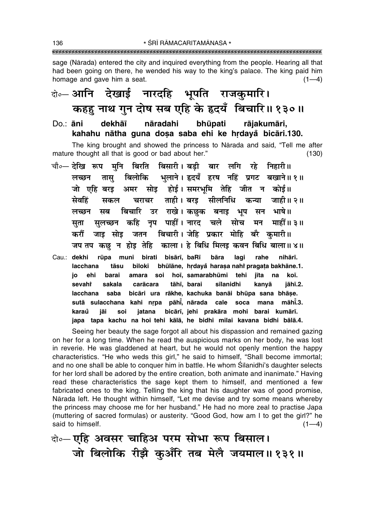sage (Nārada) entered the city and inquired everything from the people. Hearing all that had been going on there, he wended his way to the king's palace. The king paid him homage and gave him a seat.  $(1-4)$ 

बे॰ आनि देखाई नारदहि भूपति राजकुमारि। कहहु नाथ गुन दोष सब एहि के हृदयँ बिचारि॥ १३०॥

nāradahi  $Do:$   $\bar{a}$ ni dekhāī bhūpati rājakumāri, kahahu nātha quna dosa saba ehi ke hrdaya bicāri.130.

The king brought and showed the princess to Narada and said, "Tell me after mature thought all that is good or bad about her."  $(130)$ 

- चौ∘— देखि रूप मुनि बिरति **बिसारी। बडी बार लगि** रहे निहारी॥ भुलाने। हृदयँ हरष नहिं प्रगट बखाने॥१॥ बिलोकि लच्छन तास् अमर सोइ होई।समरभूमि तेहि जीत न कोई॥ जो एहि बरइ ताही । बरड सीलनिधि सेवहिं चराचर कन्या जाही॥२॥ सकल बिचारि उर राखे। कछुक बनाइ भूप सन भाषे॥ लच्छन सब सलच्छन कहि नूप पाहीं। नारद चले सोच मन माहीं॥३॥ सता जाइ सोइ जतन बिचारी। जेहि प्रकार मोहि बरै कुमारी॥ करों जप तप कछ न होइ तेहि काला । हे बिधि मिलइ कवन बिधि बाला॥४॥
- Cau.: dekhi rūpa muni birati bisārī, baRī bāra lagi rahe nihārī. tāsu bhūlāne, hrdayå harasa nahi pragata bakhāne.1. lacchana biloki barai hoī, samarabhūmi tehi jīta na io ehi amara soi koī. sakala tāhī, barai sīlanidhi sevahi carācara kanyā jāhī.2. bicāri ura rākhe, kachuka banāi bhūpa sana bhāse. lacchana saba sutā sulacchana kahi nrpa pāhī, nārada cale soca mana māhī.3. bicārī, jehi prakāra mohi barai kumārī. karaů iāi soi jatana japa tapa kachu na hoi tehi kālā, he bidhi milai kavana bidhi bālā.4.

Seeing her beauty the sage forgot all about his dispassion and remained gazing on her for a long time. When he read the auspicious marks on her body, he was lost in reverie. He was gladdened at heart, but he would not openly mention the happy characteristics. "He who weds this girl," he said to himself, "Shall become immortal; and no one shall be able to conquer him in battle. He whom Silanidhi's daughter selects for her lord shall be adored by the entire creation, both animate and inanimate." Having read these characteristics the sage kept them to himself, and mentioned a few fabricated ones to the king. Telling the king that his daughter was of good promise, Nārada left. He thought within himself, "Let me devise and try some means whereby the princess may choose me for her husband." He had no more zeal to practise Japa (muttering of sacred formulas) or austerity. "Good God, how am I to get the girl?" he said to himself.  $(1-4)$ 

बे॰- एहि अवसर चाहिअ परम सोभा रूप बिसाल। जो बिलोकि रीझै कुअँरि तब मेलै जयमाल॥१३१॥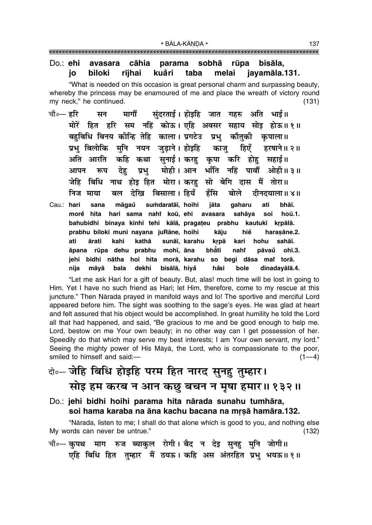#### Do.: ehi avasara cāhia parama sobhā rūpa bisāla, rījhai kuåri biloki taba melai jayamāla.131. jo

"What is needed on this occasion is great personal charm and surpassing beauty, whereby the princess may be enamoured of me and place the wreath of victory round my neck," he continued.  $(131)$ 

- सुंदरताई। होइहि जात गहरु अति भाई॥ चौ०— द्वरि मार्गों सन मोरें हित हरि सम नहिं कोऊ। एहि अवसर सहाय सोड़ होऊ॥१॥ बहबिधि बिनय कीन्हि तेहि काला। प्रगटेउ प्रभु कौतकी कपाला॥ प्रभ बिलोकि मनि नयन जडाने। होइहि काज हिएँ हरषाने ॥ २ ॥ कहि कथा सुनाई।कसरह कृपा करि होह सहाई॥ अति आरति मोही। आन भाँति नहिं पावौँ ओही॥३॥ आपन रूप देह प्रभ् जेहि बिधि नाथ होइ हित मोरा। करह सो बेगि दास मैं तोरा॥ देखि बिसाला। हियँ हँसि निज माया बोले दीनदयाला ॥ ४॥ बल
- Cau.: hari sana māgaů sumdaratāī, hoihi jāta gaharu ati bhāī. more hita hari sama nahi koū, ehi avasara sahāya soi hoū.1. bahubidhi binaya kīnhi tehi kālā, pragateu prabhu kautukī krpālā. prabhu biloki muni nayana juRāne, hoihi kāju hiě harasāne.2. ati ārati kahi kathā sunāī, karahu sahāī. krpā kari hohu āpana rūpa dehu prabhu mohī, āna bhåti nahi pāvaů ohī.3. jehi bidhi nātha hoi hita morā, karahu so begi dāsa mai torā. māvā bala dekhi bisālā, hivå hắsi bole dīnadavālā.4. nija

"Let me ask Hari for a gift of beauty. But, alas! much time will be lost in going to Him. Yet I have no such friend as Hari; let Him, therefore, come to my rescue at this juncture." Then Nārada prayed in manifold ways and lo! The sportive and merciful Lord appeared before him. The sight was soothing to the sage's eyes. He was glad at heart and felt assured that his object would be accomplished. In great humility he told the Lord all that had happened, and said, "Be gracious to me and be good enough to help me. Lord, bestow on me Your own beauty; in no other way can I get possession of her. Speedily do that which may serve my best interests; I am Your own servant, my lord." Seeing the mighty power of His Māyā, the Lord, who is compassionate to the poor, smiled to himself and said:- $(1-4)$ 

## बे-जीहि बिधि होइहि परम हित नारद सुनहु तुम्हार। सोड़ हम करब न आन कछ बचन न मुषा हमार॥ १३२॥

Do.: jehi bidhi hoihi parama hita nārada sunahu tumhāra, soi hama karaba na āna kachu bacana na mrṣā hamāra.132.

"Nārada, listen to me; I shall do that alone which is good to you, and nothing else My words can never be untrue."  $(132)$ 

चौ०— कुपथ माग रुज ब्याकुल रोगी। बैद न देइ सुनहु मुनि जोगी।। एहि बिधि हित तुम्हार मैं ठयऊ। कहि अस अंतरहित प्रभु भयऊ॥१॥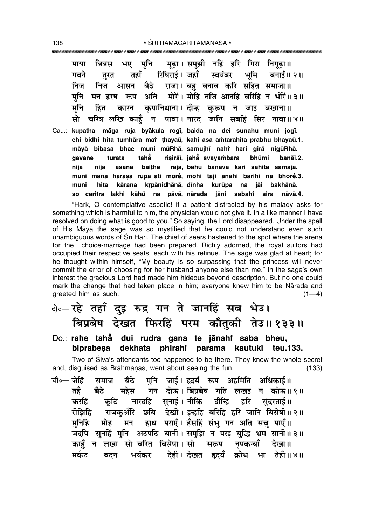**माया बिबस भए मुनि मुढा।समुझी नहिं हरि** गिरा निगुढा॥ <u>गवने तरत तहाँ रिषिराई।ञजहाँ स्वयंबर भमि बनाई॥२॥</u> निज निज आसन बैठे राजा। बह बनाव करि सहित समाजा॥ **मनि मन हरष रूप अति मोरें। मोहि तजि आनहि बरिहि न भोरें॥३॥** <u>म</u>नि हित कारन कृपानिधाना।दीन्ह कुरूप न जाइ बखाना॥ सो चरित्र लखि काहँ न पावा। नारद जानि सबहिं सिर नावा॥४॥ Cau.: **kupatha måga ruja byåkula rog∂, baida na dei sunahu muni jog∂. ehi bidhi hita tumhåra maiÚ ¢hayaµu, kahi asa a≈tarahita prabhu bhayaµu.1. måyå bibasa bhae muni mµuRhå, samujh∂ nahiÚ hari girå nigµuRhå. gavane turata tahå° ri¶irå∂, jahå° svaya≈bara bhµumi banå∂.2. nija nija åsana bai¢he råjå, bahu banåva kari sahita samåjå. muni mana hara¶a rµupa ati more° , mohi taji ånahi barihi na bhore°.3. muni hita kårana kæpånidhånå, d∂nha kurµupa na jåi bakhånå. so caritra lakhi kåhu na påvå, ° nårada jåni sabahiÚ sira nåvå.4.**

"Hark, O contemplative ascetic! if a patient distracted by his malady asks for something which is harmful to him, the physician would not give it. In a like manner I have resolved on doing what is good to you." So saying, the Lord disappeared. Under the spell of His Måyå the sage was so mystified that he could not understand even such unambiguous words of Śrī Hari. The chief of seers hastened to the spot where the arena for the choice-marriage had been prepared. Richly adorned, the royal suitors had occupied their respective seats, each with his retinue. The sage was glad at heart; for he thought within himself, "My beauty is so surpassing that the princess will never commit the error of choosing for her husband anyone else than me." In the sage's own interest the gracious Lord had made him hideous beyond description. But no one could mark the change that had taken place in him; everyone knew him to be Nårada and queeted him as such.  $(1-4)$ 

# दो**०– रहे तहाँ दुइ रुद्र गन ते जानहिं सब भेउ। बिप्रबेष देखत फिरहिं परम कौतुकी तेउ॥१३३॥**

Do.: **rahe tahå° dui rudra gana te jånahiÚ saba bheu, biprabe¶a dekhata phirahiÚ parama kautuk∂ teu.133.**

Two of Siva's attendants too happened to be there. They knew the whole secret and, disguised as Brāhmanas, went about seeing the fun. (133)

चौ०— जेहिं समाज बैठे मुनि जाई। हृदयँ रूप अहमिति अधिकाई॥ तहँ बैठे महेस गन**्दोऊ। बिप्रबेष गति लखड़ न कोऊ॥१॥** करहिं कटि नारदहि सनाई। नीकि दीन्हि हरि संदरताई॥  $\hat{\mathcal{U}}$ झिहि राजकुअँरि छबि देखी।इन्हहि बरिहि हरि जानि बिसेषी॥२॥ <u>मुनिहि</u> मोह मन हाथ पराएँ। हँसहिं संभु गन अति सचु पाएँ॥ जदपि सुनहिं मुनि अटपटि बानी। समुझि न परइ बुद्धि भ्रम सानी॥३॥ **काहुँ न लखा सो चरित बिसेषा। सो सरूप नृपकन्याँ देखा॥** मर्कट बदन भयंकर देही। देखत हृदयँ क्रोध भा तेही॥४॥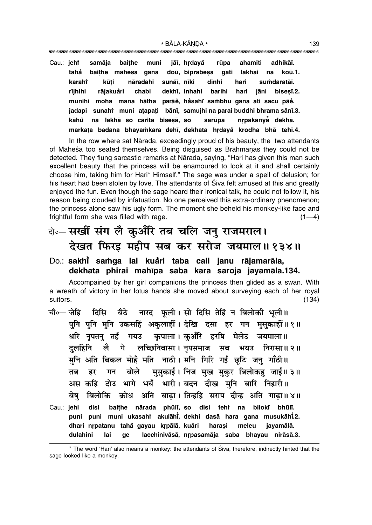Cau.: jehř samāja baithe muni jāī, hrdayå rūpa ahamiti adhikāī. doū, biprabesa tahå baithe mahesa gana qati lakhai na koū.1. nāradahi sunāī, nīki karahi kūti dīnhi hari sumdaratāī. rījhihi rājakuåri chabi dekhī, inhahi barihi hari jāni bisesī.2. munihi moha mana hātha parāĕ, håsahi sambhu gana ati sacu pāĕ. jadapi sunahi muni atapati bānī, samujhi na parai buddhi bhrama sānī.3. na lakhā so carita bisesā, so kāhů sarūpa nrpakanya dekhā. markata badana bhayamkara dehī, dekhata hrdayå krodha bhā tehī.4.

In the row where sat Nārada, exceedingly proud of his beauty, the two attendants of Maheśa too seated themselves. Being disquised as Brāhmanas they could not be detected. They flung sarcastic remarks at Nārada, saying, "Hari has given this man such excellent beauty that the princess will be enamoured to look at it and shall certainly choose him, taking him for Hari\* Himself." The sage was under a spell of delusion; for his heart had been stolen by love. The attendants of Siva felt amused at this and greatly enjoyed the fun. Even though the sage heard their ironical talk, he could not follow it, his reason being clouded by infatuation. No one perceived this extra-ordinary phenomenon; the princess alone saw his ugly form. The moment she beheld his monkey-like face and frightful form she was filled with rage.  $(1-4)$ 

## वे॰ सखीं संग लै कुअँरि तब चलि जन राजमराल। देखत फिरड महीप सब कर सरोज जयमाल॥१३४॥

Do.: sakhi samga lai kuåri taba cali janu rājamarāla, dekhata phirai mahīpa saba kara saroja jayamāla.134.

Accompained by her girl companions the princess then glided as a swan. With a wreath of victory in her lotus hands she moved about surveying each of her royal suitors.  $(134)$ 

नारद फली। सो दिसि तेहिं न बिलोकी भुली॥ चौ∘— जेहि दिसि ਕੈਠੇ पुनि पुनि मुनि उकसहिं अकुलाहीं। देखि दसा हर गन मुसुकाहीं॥१॥ धरि नृपतन् तहँ गयउ कृपाला।कुआँरि हरषि मेलेउ जयमाला॥ लै गे लच्छिनिवासा। नपसमाज सब भयउ निरासा॥२॥ दलहिनि मनि अति बिकल मोहँ मति नाठी। मनि गिरि गई छटि जन गाँठी।। गन बोले मुसुकाई। निज मुख मुकुर बिलोकहु जाई॥३॥ हर तब अस कहि दोउ भागे भयँ भारी। बदन दीख मनि बारि निहारी॥ बिलोकि क्रोध अति बाढ़ा। तिन्हहि सराप दीन्ह अति गाढ़ा॥४॥ बेष Cau.: jehi disi baithe nārada phūlī, so disi teht na bilokī bhūlī. puni puni muni ukasahi akulāhi, dekhi dasā hara gana musukāhi.2. dhari nrpatanu tahå gayau krpālā, kuåri harasi meleu javamālā. lacchinivāsā, nrpasamāja saba bhayau nirāsā.3. dulahini lai ge

<sup>\*</sup> The word 'Hari' also means a monkey: the attendants of Siva, therefore, indirectly hinted that the sage looked like a monkey.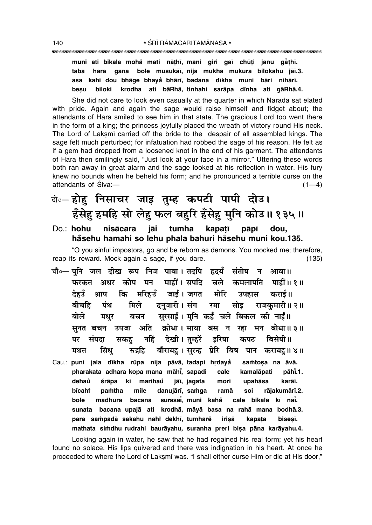### 

muni ati bikala mohå mati nāthī, mani giri gaī chūți janu gåthī. hara gana bole musukāi, nija mukha mukura bilokahu jāi.3. taba asa kahi dou bhāge bhavå bhārī, badana dīkha muni bāri nihārī. krodha ati bāRhā, tinhahi sarāpa dīnha ati gāRhā.4. biloki besu

She did not care to look even casually at the quarter in which Nārada sat elated with pride. Again and again the sage would raise himself and fidget about; the attendants of Hara smiled to see him in that state. The gracious Lord too went there in the form of a king: the princess jovfully placed the wreath of victory round His neck. The Lord of Laksmi carried off the bride to the despair of all assembled kings. The sage felt much perturbed; for infatuation had robbed the sage of his reason. He felt as if a gem had dropped from a loosened knot in the end of his garment. The attendants of Hara then smilingly said, "Just look at your face in a mirror." Uttering these words both ran away in great alarm and the sage looked at his reflection in water. His fury knew no bounds when he beheld his form; and he pronounced a terrible curse on the attendants of Siva:- $(1-4)$ 

# बे॰-होहु निसाचर जाइ तुम्ह कपटी पापी दोउ। हँसेह़ हमहि सो लेहु फल बहुरि हँसेहु मुनि कोउ॥१३५॥

Do.: hohu nisācara iāi tumha kapatī pāpī dou. håsehu hamahi so lehu phala bahuri håsehu muni kou.135.

"O you sinful impostors, go and be reborn as demons. You mocked me; therefore, reap its reward. Mock again a sage, if you dare.  $(135)$ 

- चौ०— पनि जल दीख रूप निज पावा। तदपि हृदयँ संतोष न आवा ॥ फरकत अधर कोप मन माहीं।सपदि चले कमलापति पाहीं॥१॥ मरिहउँ जाई । जगत देहउँ कि मोरि कराई॥ श्राप उपहास दनजारी। संग रमा राजकमारी॥ २॥ बीचहिं पंथ मिले सोड सुरसाईं। मुनि कहँ चले बिकल की नाईं॥ बोले मधर बचन सनत बचन उपजा अति क्रोधा।माया बस न रहा मन बोधा॥३॥ देखी। तम्हरें बिसेषी ॥ पर संपदा सकह नहिं डरिषा कपट बौरायहू । सुरन्ह प्रेरि बिष पान करायहु॥४॥ मथत सिंध रुद्रहि
- Cau.: puni jala dīkha rūpa nija pāvā, tadapi hrdayå samtosa na āvā. pharakata adhara kopa mana māhi, sapadi kamalāpati pāhi.1. cale dehaů śrāpa ki marihaů iāī, iagata mori upahāsa karāī. bīcaht pamtha mile danujārī, samga soi rājakumārī.2. ramā bole madhura bacana surasāi, muni kahå cale bikala kī nāi. sunata bacana upajā ati krodhā, māyā basa na rahā mana bodhā.3. para sampadā sakahu nahi dekhī, tumhare irisā kapata bisesī. mathata simdhu rudrahi baurāyahu, suranha preri bisa pāna karāyahu.4.

Looking again in water, he saw that he had regained his real form; yet his heart found no solace. His lips quivered and there was indignation in his heart. At once he proceeded to where the Lord of Laksmi was. "I shall either curse Him or die at His door,"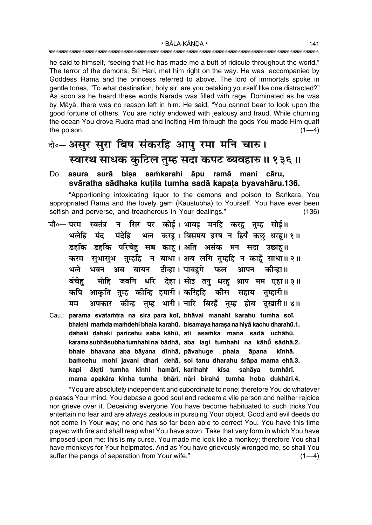he said to himself, "seeing that He has made me a butt of ridicule throughout the world." The terror of the demons, Sri Hari, met him right on the way. He was accompanied by Goddess Rama and the princess referred to above. The lord of immortals spoke in gentle tones, "To what destination, holy sir, are you betaking yourself like one distracted?" As soon as he heard these words Nārada was filled with rage. Dominated as he was by Māyā, there was no reason left in him. He said, "You cannot bear to look upon the good fortune of others. You are richly endowed with jealousy and fraud. While churning the ocean You drove Rudra mad and inciting Him through the gods You made Him quaff the poison.  $(1-4)$ 

## बे॰ असुर सुरा बिष संकरहि आपु रमा मनि चारु। स्वारथ साधक कुटिल तुम्ह सदा कपट ब्यवहारु॥ १३६॥

Do.: asura surā bisa samkarahi āpu ramā mani cāru, svāratha sādhaka kutila tumha sadā kapata byavahāru.136.

"Apportioning intoxicating liquor to the demons and poison to Sankara, You appropriated Ramā and the lovely gem (Kaustubha) to Yourself. You have ever been selfish and perverse, and treacherous in Your dealings."  $(136)$ 

- चौ०— परम स्वतंत्र न सिर पर कोई। भावइ मनहि करहु तुम्ह सोई॥ भल करह। बिसमय हरष न हियँ कछ धरह॥ १॥ भलेहि मंद मंदेहि डहकि डहकि परिचेह सब काह। अति असंक मन सदा उछाह।। करम सुभासुभ तुम्हहि न बाधा। अब लगि तुम्हहि न काहँ साधा॥ २॥ भवन अब बायन दीन्हा। पावहगे फल भले आपन कीन्हा॥ मोहि जवनि धरि देहा। सोड़ तन् धरह श्राप मम एहा॥३॥ बंचेह कपि आकृति तुम्ह कीन्हि हमारी। करिहहिं कीस सहाय तुम्हारी॥ अपकार कीन्ह तुम्ह भारी। नारि बिरहँ तुम्ह होब दुखारी॥४॥ मम
- Cau.: parama svatamtra na sira para koī, bhāvai manahi karahu tumha soī. bhalehi mamda mamdehi bhala karahū, bisamaya harașa na hiyå kachu dharahū.1. dahaki dahaki paricehu saba kāhū, ati asamka mana sadā uchāhū. karama subhāsubha tumhahi na bādhā, aba lagi tumhahi na kāhū sādhā.2. bhale bhavana aba bāyana dīnhā, pāvahuge phala āpana kīnhā. bamcehu mohi javani dhari dehā, soi tanu dharahu śrāpa mama ehā.3. ākrti tumha kīnhi hamārī, karihahî kīsa sahāya tumhārī. kapi mama apakāra kīnha tumha bhārī, nāri birahå tumha hoba dukhārī.4.

"You are absolutely independent and subordinate to none; therefore You do whatever pleases Your mind. You debase a good soul and redeem a vile person and neither rejoice nor grieve over it. Deceiving everyone You have become habituated to such tricks. You entertain no fear and are always zealous in pursuing Your object. Good and evil deeds do not come in Your way; no one has so far been able to correct You. You have this time played with fire and shall reap what You have sown. Take that very form in which You have imposed upon me: this is my curse. You made me look like a monkey; therefore You shall have monkeys for Your helpmates. And as You have grievously wronged me, so shall You suffer the pangs of separation from Your wife."  $(1-4)$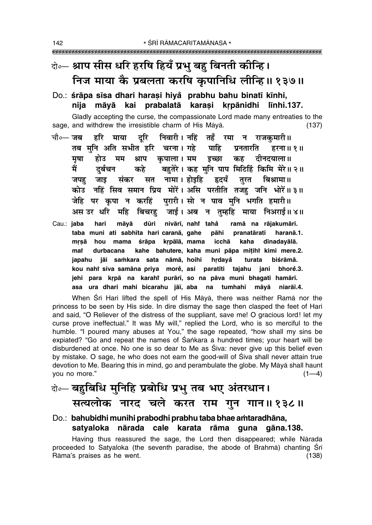# बे॰– श्राप सीस धरि हरषि हियँ प्रभु बहु बिनती कीन्हि। निज माया कै प्रबलता करषि कुपानिधि लीन्हि ॥ १३७॥

Do.: śrāpa sīsa dhari harasi hiya prabhu bahu binatī kīnhi, nija māyā kai prabalatā karasi krpānidhi līnhi.137.

Gladly accepting the curse, the compassionate Lord made many entreaties to the sage, and withdrew the irresistible charm of His Māyā.  $(137)$ 

- हरि माया दरि निवारी। नहिं तहँ रमा न राजकमारी॥ चौ०— **जब** तब मनि अति सभीत हरि चरना। गहे पाहि प्रनतारति हरना ॥ १ ॥ होउ मम श्राप कपाला।मम इच्छा मषा दीनदयाला ॥ कह कहे बहुतेरे। कह मुनि पाप मिटिहिं किमि मेरे॥ २॥ मैं दर्बचन जपह जाड संकर सत नामा।।होडहि हृदयँ तरत बिश्रामा॥ कोउ नहिं सिव समान प्रिय मोरें। असि परतीति तजह जनि भोरें॥३॥ जेहि पर कपा न करहिं परारी।सो न पाव मनि भगति हमारी॥ अस उर धरि महि बिचरह जाई। अब न तम्हहि माया निअराई॥४॥
- dūri nivārī, nahi tahå hari māyā ramā na rājakumārī. Cau.: jaba taba muni ati sabhīta hari caranā, gahe pāhi pranatārati haranā.1. mrsā hou mama śrāpa krpālā, mama icchā kaha dīnadavālā. durbacana kahe bahutere, kaha muni pāpa mițihi kimi mere.2. mat japahu jāi samkara sata nāmā, hoihi hrdayå turata biśrāmā. kou nahi siva samāna priya more, asi paratīti tajahu jani bhore.3. jehi para krpā na karahi purārī, so na pāva muni bhagati hamārī. asa ura dhari mahi bicarahu jāī, aba na tumhahi māyā niarāī.4.

When Sri Hari lifted the spell of His Maya, there was neither Rama nor the princess to be seen by His side. In dire dismay the sage then clasped the feet of Hari and said, "O Reliever of the distress of the suppliant, save me! O gracious lord! let my curse prove ineffectual." It was My will," replied the Lord, who is so merciful to the humble. "I poured many abuses at You," the sage repeated, "how shall my sins be expiated? "Go and repeat the names of Sankara a hundred times; your heart will be disburdened at once. No one is so dear to Me as Siva: never give up this belief even by mistake. O sage, he who does not earn the good-will of Siva shall never attain true devotion to Me. Bearing this in mind, go and perambulate the globe. My Māyā shall haunt you no more."  $(1-4)$ 

# बे॰ बहुबिधि मुनिहि प्रबोधि प्रभु तब भए अंतरधान। सत्यलोक नारद चले करत राम गुन गान॥१३८॥

### Do.: bahubidhi munihi prabodhi prabhu taba bhae amtaradhāna, satyaloka nārada cale karata rāma guna gāna.138.

Having thus reassured the sage, the Lord then disappeared; while Nārada proceeded to Satyaloka (the seventh paradise, the abode of Brahma) chanting Sri Rāma's praises as he went.  $(138)$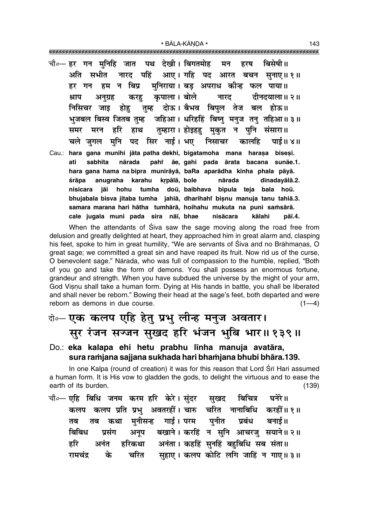\* BĀLA-KĀNDA \* 

|  |  | चौ०— हर गन मुनिहि जात पथ देखी।1बिगतमोह मन हरष बिसेषी॥        |  |  |  |
|--|--|--------------------------------------------------------------|--|--|--|
|  |  | अति सभीत नारद पहिं आए।गहि पद आरत बचन सुनाए॥१॥                |  |  |  |
|  |  | हर गन हम न बिप्र मुनिराया। बड़ अपराध कीन्ह फल पाया॥          |  |  |  |
|  |  | श्राप अनुग्रह करहू कृपाला।।बोले नारद दीनदयाला॥२॥             |  |  |  |
|  |  | निसिचर जाइ होहु तुम्ह दोऊ।बैभव बिपुल तेज बल होऊ॥             |  |  |  |
|  |  | भुजबल बिस्व जितब तुम्ह जहिआ। धरिहहिं बिष्नु मनुज तनु तहिआ॥३॥ |  |  |  |
|  |  | समर मरन हरि हाथ तुम्हारा।होइहहु मुकुत न पुनि संसारा॥         |  |  |  |
|  |  | चले जुगल मुनि पद सिर नाई। भए निसाचर कालहि पाई॥४॥             |  |  |  |
|  |  |                                                              |  |  |  |

Cau.: hara gana munihi jāta patha dekhī, bigatamoha mana harasa bisesī. sabhīta nārada pahî āe, gahi pada ārata bacana sunāe.1. ati hara gana hama na bipra munirāyā, baRa aparādha kīnha phala pāyā. śrāpa anugraha karahu krpālā, bole nārada dīnadavālā.2. nisicara jāi hohu tumha doū, baibhava bipula teja bala hoū. bhujabala bisva jitaba tumha jahiā, dharihahi bisnu manuja tanu tahiā.3. samara marana hari hātha tumhārā, hoihahu mukuta na puni samsārā. cale jugala muni pada sira nāi, bhae nisācara kālahi pāī.4.

When the attendants of Siva saw the sage moving along the road free from delusion and greatly delighted at heart, they approached him in great alarm and, clasping his feet, spoke to him in great humility, "We are servants of Siva and no Brāhmanas, O great sage; we committed a great sin and have reaped its fruit. Now rid us of the curse, O benevolent sage." Nārada, who was full of compassion to the humble, replied, "Both of you go and take the form of demons. You shall possess an enormous fortune, grandeur and strength. When you have subdued the universe by the might of your arm, God Visnu shall take a human form. Dying at His hands in battle, you shall be liberated and shall never be reborn." Bowing their head at the sage's feet, both departed and were reborn as demons in due course.  $(1-4)$ 

# के- एक कलप एहि हेतु प्रभु लीन्ह मनुज अवतार। सुर रंजन सज्जन सुखद हरि भंजन भुबि भार॥१३९॥

## Do.: eka kalapa ehi hetu prabhu līnha manuja avatāra, sura ramjana sajjana sukhada hari bhamjana bhubi bhāra.139.

In one Kalpa (round of creation) it was for this reason that Lord Srī Hari assumed a human form. It is His vow to gladden the gods, to delight the virtuous and to ease the earth of its burden.  $(139)$ 

चौ०— एहि बिधि जनम करम हरि केरे। सुंदर सुखद विचित्र घनेरे॥ कलप कलप प्रति प्रभु अवतरहीं। चारु चरित नानाबिधि करहीं॥१॥ मनीसन्ह गाई। परम पनीत प्रबंध बनाई॥ तब कथा तब अनूप बखाने। करहिं न सुनि आचरजु सयाने॥२॥ बिबिध प्रसंग हरिकथा अनंता। कहहिं सुनहिं बहुबिधि सब संता॥ हरि अनंत चरित सहाए। कलप कोटि लगि जाहिं न गाए॥३॥ के रामचंद्र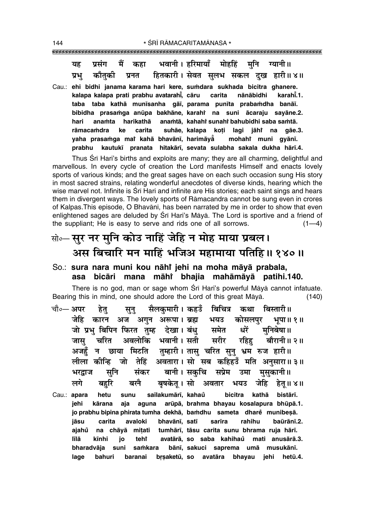मैं भवानी। हरिमायाँ मोहहिं मनि ग्यानी॥ पसंग कहा यह कौतकी हितकारी। सेवत सुलभ सकल दुख हारी॥४॥ प्रभ प्रनत Cau.: ehi bidhi janama karama hari kere, sumdara sukhada bicitra ghanere. kalapa kalapa prati prabhu avatarahi, cāru carita nānābidhi karahi.1. taba taba kathā munīsanha gāī, parama punīta prabamdha banāī. bibidha prasamga anūpa bakhāne, karahi na suni ācaraju sayāne.2. anamtā. kahahi sunahi bahubidhi saba samtā. hari anamta harikathā rāmacamdra ke carita suhāe, kalapa koți lagi jāhî na gāe.3. yaha prasamga mai kahā bhavānī, harimāyā mohahî muni gyānī. prabhu kautukī pranata hitakārī, sevata sulabha sakala dukha hārī.4.

Thus Srī Hari's births and exploits are many; they are all charming, delightful and marvellous. In every cycle of creation the Lord manifests Himself and enacts lovely sports of various kinds; and the great sages have on each such occasion sung His story in most sacred strains, relating wonderful anecdotes of diverse kinds, hearing which the wise marvel not. Infinite is Srī Hari and infinite are His stories; each saint sings and hears them in divergent ways. The lovely sports of Ramacandra cannot be sung even in crores of Kalpas. This episode, O Bhavānī, has been narrated by me in order to show that even enlightened sages are deluded by Sri Hari's Maya. The Lord is sportive and a friend of the suppliant; He is easy to serve and rids one of all sorrows.  $(1-4)$ 

## सो॰ सुर नर मुनि कोउ नाहिं जेहि न मोह माया प्रबल। अस बिचारि मन माहिं भजिअ महामाया पतिहि॥ १४०॥

## So.: sura nara muni kou nāhi jehi na moha māyā prabala, asa bicāri mana māhi bhajia mahāmāyā patihi.140.

There is no god, man or sage whom Srī Hari's powerful Māyā cannot infatuate. Bearing this in mind, one should adore the Lord of this great Māyā.  $(140)$ 

सैलकुमारी। कहउँ बिचित्र चौ०— अपर कथा बिस्तारी॥ हेत सून् जेहि कारन अज अगुन अरूपा।ब्रह्म भयउ कोसलपर भूषा॥ १॥ जो प्रभ बिपिन फिरत तुम्ह देखा। बंध् समेत धरें मनिबेषा॥ अवलोकि भवानी। सती मरीर चरित रहिह बौरानी॥ २॥ जास अजहँ न छाया मिटति तुम्हारी। तासु चरित सुनु भ्रम रुज हारी॥ अवतारा। सो सब कहिहउँ मति अनुसारा॥३॥ जो तेहिं लीला कोन्हि बानी। सकचि संकर सप्रेम मसकानी ॥ सनि उमा भरद्राज बषकेत् । सो अवतार बरनै लगे बहरि भयउ जेहि हेतू ॥ ४ ॥ saīlakumārī, kahaů kathā Cau.: apara hetu sunu bicitra bistārī. jehi kārana aguna arūpā, brahma bhayau kosalapura bhūpā.1. aja jo prabhu bipina phirata tumha dekhā, bamdhu sameta dhare munibesā. jāsu carita avaloki bhavānī, satī sarīra rahihu baūrānī.2. ajahů na chāyā mitati tumhārī, tāsu carita sunu bhrama ruja hārī. avatārā, so saba kahihaŭ mati anusārā.3. līlā kīnhi jo teht bharadvāja suni samkara bānī, sakuci saprema umā musukānī. bahuri baranai brsaketū, so avatāra bhayau jehi hetū.4. lage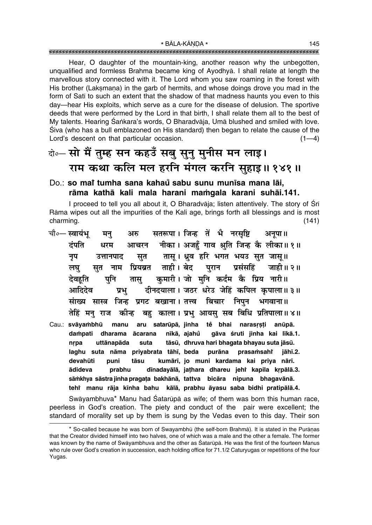Hear, O daughter of the mountain-king, another reason why the unbegotten, ungualified and formless Brahma became king of Ayodhya. I shall relate at length the marvellous story connected with it. The Lord whom you saw roaming in the forest with His brother (Laksmana) in the garb of hermits, and whose doings drove you mad in the form of Sati to such an extent that the shadow of that madness haunts you even to this day—hear His exploits, which serve as a cure for the disease of delusion. The sportive deeds that were performed by the Lord in that birth, I shall relate them all to the best of My talents. Hearing Śankara's words, O Bharadvāja, Umā blushed and smiled with love. Śiva (who has a bull emblazoned on His standard) then began to relate the cause of the Lord's descent on that particular occasion.  $(1-4)$ 

# बे॰ सो मैं तुम्ह सन कहउँ सबु सुनु मुनीस मन लाइ। राम कथा कलि मल हरनि मंगल करनि सुहाइ॥१४१॥

## Do.: so mai tumha sana kahaŭ sabu sunu munīsa mana lāi, rāma kathā kali mala harani mamgala karani suhāi.141.

I proceed to tell you all about it, O Bharadvaja; listen attentively. The story of Sri Rāma wipes out all the impurities of the Kali age, brings forth all blessings and is most charming.  $(141)$ 

- सतरूपा। जिन्ह तें भै नरसष्टि चौ०— स्वायंभ् मन अरु अनपा॥ नीका। अजहुँ गाव श्रुति जिन्ह कै लीका॥१॥ दंपति धरम आचरन तासू। ध्रुव हरि भगत भयउ सुत जासू॥ उत्तानपाद सत नुप प्रियब्रत ताही।बेद परान प्रसंसहिं जाही ॥ २ ॥ सत नाम लघ कुमारी। जो मुनि कर्दम कै प्रिय नारी॥ देवहति पुनि तास् दीनदयाला। जठर धरेउ जेहिं कपिल कृपाला॥३॥ आदिदेव प्रभु सांख्य सास्त्र जिन्ह प्रगट बखाना।तत्त्व बिचार निपुन भगवाना ॥ तेहिं मन् राज कीन्ह बह काला। प्रभ् आयस् सब बिधि प्रतिपाला॥४॥ manu aru satarūpā, jinha tě bhai narasrsti anūpā. Cau.: svāvambhū
- nīkā, ajahů gāva śruti jinha kai līkā.1. dampati dharama ācarana tāsū, dhruva hari bhagata bhayau suta jāsū. nrpa uttānapāda suta laghu suta nāma priyabrata tāhī, beda purāna prasamsahi jāhī.2. kumārī, jo muni kardama kai priya nārī. devahūti puni tāsu ādideva prabhu dīnadayālā, jathara dhareu jehr kapila krpālā.3. sāmkhya sāstra jinha pragata bakhānā, tattva bicāra nipuna bhagavānā. tehi manu rāja kīnha bahu kālā, prabhu āyasu saba bidhi pratipālā.4.

Swāyambhuva\* Manu had Śatarūpā as wife; of them was born this human race, peerless in God's creation. The piety and conduct of the pair were excellent; the standard of morality set up by them is sung by the Vedas even to this day. Their son

<sup>\*</sup> So-called because he was born of Swayambhū (the self-born Brahmā). It is stated in the Purānas that the Creator divided himself into two halves, one of which was a male and the other a female. The former was known by the name of Swāyambhuva and the other as Śatarūpā. He was the first of the fourteen Manus who rule over God's creation in succession, each holding office for 71.1/2 Caturyugas or repetitions of the four Yugas.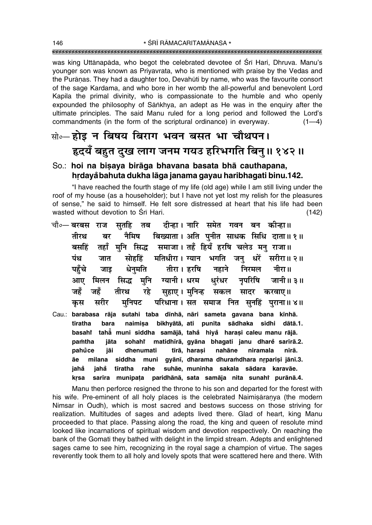was king Uttānapāda, who begot the celebrated devotee of Śrī Hari, Dhruva. Manu's younger son was known as Priyavrata, who is mentioned with praise by the Vedas and the Puranas. They had a daughter too, Devahuti by name, who was the favourite consort of the sage Kardama, and who bore in her womb the all-powerful and benevolent Lord Kapila the primal divinity, who is compassionate to the humble and who openly expounded the philosophy of Sankhya, an adept as He was in the enguiry after the ultimate principles. The said Manu ruled for a long period and followed the Lord's commandments (in the form of the scriptural ordinance) in everyway.  $(1-4)$ 

## सो०- होइ न बिषय बिराग भवन बसत भा चौथपन। हृदयँ बहुत दुख लाग जनम गयउ हरिभगति बिन् ॥ १४२ ॥

## So.: hoi na bisava birāga bhavana basata bhā cauthapana. hrdayå bahuta dukha lāga janama gayau haribhagati binu.142.

"I have reached the fourth stage of my life (old age) while I am still living under the roof of my house (as a householder); but I have not yet lost my relish for the pleasures of sense," he said to himself. He felt sore distressed at heart that his life had been wasted without devotion to Srī Hari.  $(142)$ 

- दीन्हा। नारि समेत गवन बन कीन्हा॥ चौ∘— बरबस राज सतहि तब बिख्याता। अति पुनीत साधक सिधि दाता॥१॥ तीरथ नैमिष बर तहाँ मनि सिद्ध समाजा। तहँ हियँ हरषि चलेउ मन् राजा॥ बसहिं सोहहिं मतिधीरा। ग्यान भगति जनु धरें सरीरा॥ २॥ पंथ जात धेनुमति तीरा । हरषि नहाने पहँचे निरमल नीरा॥ जाड मनि ग्यानी। धरम धरंधर नुपरिषि जानी ॥ ३ ॥ आए मिलन सिद्ध जहँ जहँ तीरथ रहे सहाए। मुनिन्ह सकल सादर करवाए॥ परिधाना। सत समाज नित सुनहिं पुराना॥४॥ सरीर मनिपट कुस
- Cau.: barabasa rāja sutahi taba dīnhā, nāri sameta gavana bana kīnhā. naimisa bikhyātā, ati punīta sādhaka sidhi dātā.1. tīratha bara basahi taha muni siddha samājā, tahå hiyå harasi caleu manu rājā. pamtha iāta sohahi matidhīrā, gyāna bhagati janu dhare sarīrā.2. pahůce iāi dhenumati tīrā, harași nahāne niramala nīrā. āe milana siddha muni gyānī, dharama dhuramdhara nrparisi jānī.3. suhāe, muninha sakala sādara karavāe. iahå tīratha rahe iahå sarīra munipata paridhānā, sata samāja nita sunahi purānā.4. krsa

Manu then perforce resigned the throne to his son and departed for the forest with his wife. Pre-eminent of all holy places is the celebrated Naimisaranya (the modern Nimsar in Oudh), which is most sacred and bestows success on those striving for realization. Multitudes of sages and adepts lived there. Glad of heart, king Manu proceeded to that place. Passing along the road, the king and queen of resolute mind looked like incarnations of spiritual wisdom and devotion respectively. On reaching the bank of the Gomati they bathed with delight in the limpid stream. Adepts and enlightened sages came to see him, recognizing in the royal sage a champion of virtue. The sages reverently took them to all holy and lovely spots that were scattered here and there. With

146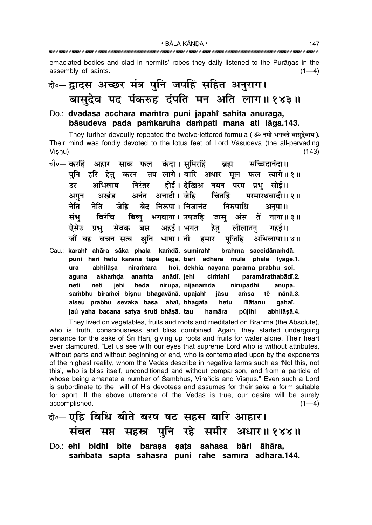emaciated bodies and clad in hermits' robes they daily listened to the Purānas in the assembly of saints.  $(1-4)$ 

# बे॰ द्वादस अच्छर मंत्र पुनि जपहिं सहित अनुराग। बासुदेव पद पंकरुह दंपति मन अति लाग॥१४३॥

### Do.: dvādasa acchara mamtra puni japahi sahita anurāga, bāsudeva pada pamkaruha dampati mana ati lāga.143.

They further devoutly repeated the twelve-lettered formula (3% नमो भगवते वासुदेवाय). Their mind was fondly devoted to the lotus feet of Lord Vāsudeva (the all-pervading Visnu).  $(143)$ 

- चौ०— करहिं अहार साक फल कंदा। समिरहिं ब्रह्म सच्चिदानंदा॥ तप लागे। बारि अधार मूल फल त्यागे॥१॥ पनि हरि हेतु करन उर अभिलाष निरंतर होई। देखिअन्चिन परम् प्रभ सोई॥ अनंत अनादी। जेहि चितहिं अखंड परमारथबादी॥ २॥ अगुन नेति जेहि नेति बेद निरूपा। निजानंद निरुपाधि अनपा ॥ बिरंचि बिष्न भगवाना। उपजहिं तें संभ अंस जास् नाना॥ ३॥ ऐसेउ अहर्ड। भगत हेत प्रभ सेवक बस लीलातन गहर्ड ॥ जौं यह बचन सत्य श्रति भाषा । तौ हमार पजिहि अभिलाषा॥४॥
- kamdā, sumiraht brahma saccidānamdā. Cau.: karahî ahāra sāka phala puni hari hetu karana tapa lāge, bāri adhāra mūla phala tyāge.1. abhilāsa niramtara hoī, dekhia nayana parama prabhu soī. ura anamta anādī, jehi cimtaht paramārathabādī.2. aguna akhaṁda neti neti jehi beda nirūpā, nijānamda nirupādhi anūpā. sambhu biramci bisnu bhagavānā, upajahî iāsu amsa nānā.3. tě aiseu prabhu sevaka basa ahai, bhagata hetu līlātanu qahaī. jaů vaha bacana satva śruti bhāsā, tau hamāra pūjihi abhilāsā.4.

They lived on vegetables, fruits and roots and meditated on Brahma (the Absolute), who is truth, consciousness and bliss combined. Again, they started undergoing penance for the sake of Sri Hari, giving up roots and fruits for water alone, Their heart ever clamoured, "Let us see with our eyes that supreme Lord who is without attributes, without parts and without beginning or end, who is contemplated upon by the exponents of the highest reality, whom the Vedas describe in negative terms such as 'Not this, not this', who is bliss itself, unconditioned and without comparison, and from a particle of whose being emanate a number of Sambhus, Virañcis and Visnus." Even such a Lord is subordinate to the will of His devotees and assumes for their sake a form suitable for sport. If the above utterance of the Vedas is true, our desire will be surely accomplished.  $(1-4)$ 

वे - एहि बिधि बीते बरष षट सहस बारि आहार। संबत सप्त सहस्र पुनि रहे समीर अधार॥१४४॥ Do.: ehi bidhi bīte barasa sata sahasa bāri āhāra. sambata sapta sahasra puni rahe samīra adhāra.144.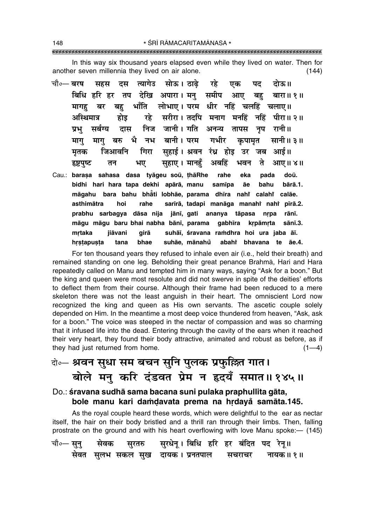In this way six thousand years elapsed even while they lived on water. Then for another seven millennia they lived on air alone.  $(144)$ 

- चौ०— बरष दस त्यागेउ सोऊ।ठाढे रहे सहस एक पट दोऊ॥ बिधि हरि हर तप देखि अपारा। मन समीप आए बह बारा॥ १॥ भाँति लोभाए। परम धीर नहिं चलहिं चलाए॥ मागह बर बह अस्थिमात्र होड रहे सरीरा । तदपि मनाग मनहिं नहिं पीरा॥२॥ निज जानी। गति अनन्य तापस नप रानी॥ प्रभ सर्बग्य दास भै नभ बानी। परम गभीर माग माग बरु कपामत सानी॥ ३॥ जिआवनि गिरा सहाई। श्रवन रंध्र होड़ उर जब आई॥ मतक सुहाए। मानहुँ अबहिं ते हृष्टपुष्ट भए भवन आए॥४॥ तन Cau.: barasa sahasa dasa tyāgeu soū, thāRhe rahe eka pada doū. bidhi hari hara tapa dekhi apārā, manu samīpa āe bahu bārā.1. māgahu bara bahu bhāti lobhāe, parama dhīra nahi calahi calāe. asthimātra hoi rahe sarīrā, tadapi manāga manahi nahi pīrā.2. prabhu sarbagya dāsa nija jānī, gati ananya tāpasa nrpa rānī.
	- gabhīra māgu māgu baru bhai nabha bānī, parama krpāmrta sānī.3. suhāī, śravana ramdhra hoi ura jaba āī. mrtaka jiāvani qirā suhāe, mānahů bhae abahî bhavana te āe.4. hrstapusta tana

For ten thousand years they refused to inhale even air (i.e., held their breath) and remained standing on one leg. Beholding their great penance Brahma, Hari and Hara repeatedly called on Manu and tempted him in many ways, saying "Ask for a boon." But the king and queen were most resolute and did not swerve in spite of the deities' efforts to deflect them from their course. Although their frame had been reduced to a mere skeleton there was not the least anguish in their heart. The omniscient Lord now recognized the king and queen as His own servants. The ascetic couple solely depended on Him. In the meantime a most deep voice thundered from heaven, "Ask, ask for a boon." The voice was steeped in the nectar of compassion and was so charming that it infused life into the dead. Entering through the cavity of the ears when it reached their very heart, they found their body attractive, animated and robust as before, as if they had just returned from home.  $(1-4)$ 

## वे०- श्रवन सुधा सम बचन सुनि पुलक प्रफुल्लित गात। बोले मन् करि दंडवत प्रेम न हृदयँ समात॥१४५॥

### Do.: śravana sudhā sama bacana suni pulaka praphullita gāta, bole manu kari damdavata prema na hrdaya samāta.145.

As the royal couple heard these words, which were delightful to the ear as nectar itself, the hair on their body bristled and a thrill ran through their limbs. Then, falling prostrate on the ground and with his heart overflowing with love Manu spoke: - (145)

|  | चौ∘— सुनु सेवक सुरतरु सुरधेनू । बिधि हरि हर बंदित पद रेनू॥ |  |  |  |
|--|------------------------------------------------------------|--|--|--|
|  | सेवत सुलभ सकल सुख दायक। प्रनतपाल  सचराचर   नायक॥१॥         |  |  |  |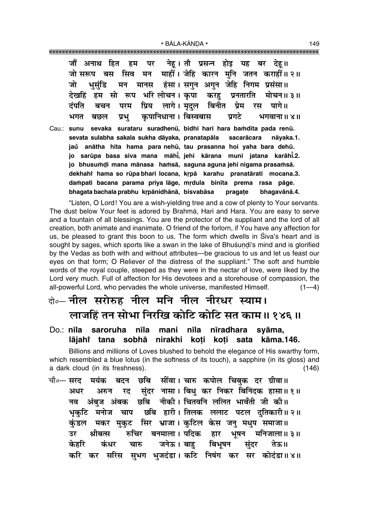\* BĀLA-KĀNDA \*

जौं अनाथ हित हम पर नेह। तौ प्रसन्न होड़ यह बर देह॥ माहीँ। जेहि कारन मनि जतन कराहीँ॥२॥ जो सरूप बस सिव मन हंसा। सगन अगन जेहि निगम प्रसंसा॥ जो भसंडि मन मानस भरि लोचन । कपा देखहिं करह प्रनतारति मोचन॥ ३॥ हम सो रूप लागे। मदल बिनीत प्रेम दंपति बचन परम प्रिय रस पागे।। कपानिधाना । बिस्वबास भगत बछल प्रभ प्रगटे भगवाना ॥ ४॥ Cau.: sunu sevaka surataru suradhenū, bidhi hari hara bamdita pada renū. sevata sulabha sakala sukha dāyaka, pranatapāla sacarācara nāyaka.1. jaů anātha hita hama para nehū, tau prasanna hoi yaha bara dehū. jo sarūpa basa siva mana māhi, jehi kārana muni jatana karāhi.2. jo bhusumdi mana mānasa hamsā, saguna aguna jehi nigama prasamsā. dekhahi hama so rūpa bhari locana, krpā karahu pranatārati mocana.3. dampati bacana parama priya lāge, mrdula binīta prema rasa pāge. bhagata bachala prabhu krpānidhānā, bisvabāsa pragațe bhagavānā.4.

"Listen, O Lord! You are a wish-yielding tree and a cow of plenty to Your servants. The dust below Your feet is adored by Brahma, Hari and Hara. You are easy to serve and a fountain of all blessings. You are the protector of the suppliant and the lord of all creation, both animate and inanimate. O friend of the forlorn, if You have any affection for us, be pleased to grant this boon to us. The form which dwells in Siva's heart and is sought by sages, which sports like a swan in the lake of Bhusundi's mind and is glorified by the Vedas as both with and without attributes—be gracious to us and let us feast our eyes on that form; O Reliever of the distress of the suppliant." The soft and humble words of the royal couple, steeped as they were in the nectar of love, were liked by the Lord very much. Full of affection for His devotees and a storehouse of compassion, the all-powerful Lord, who pervades the whole universe, manifested Himself.  $(1-4)$ 

## क्षे∝– नील सरोरुह नील मनि नील नीरधर स्याम। लाजहिं तन सोभा निरखि कोटि कोटि सत काम॥ १४६॥

#### Do.: **nīla** saroruha nīla mani nīla nīradhara svāma. lājahi tana sobhā nirakhi koti koti sata kāma.146.

Billions and millions of Loves blushed to behold the elegance of His swarthy form, which resembled a blue lotus (in the softness of its touch), a sapphire (in its gloss) and a dark cloud (in its freshness).  $(146)$ 

चौ०— सरद मयंक बदन छबि सींवा। चारु कपोल चिबक दर ग्रीवा॥ संदर नासा। बिध कर निकर बिनिंदक हासा॥१॥ अधर अरुन रट अंबज अंबक छबि नीकी। चितवनि ललित भावँती जी की॥ नव छबि हारी। तिलक ललाट पटल दुतिकारी॥२॥ भकटि मनोज चाप सिर भ्राजा। कुटिल केस जनु मधुप समाजा॥ कंडल मकर मकट रुचिर बनमाला। पदिक हार भूषन मनिजाला॥३॥ उर श्रीबत्स जनेऊ। बाहु बिभूषन केहरि कंधर चारु संदर तेऊ॥ करि कर सरिस सुभग भुजदंडा। कटि निषंग कर सर कोदंडा॥४॥ 149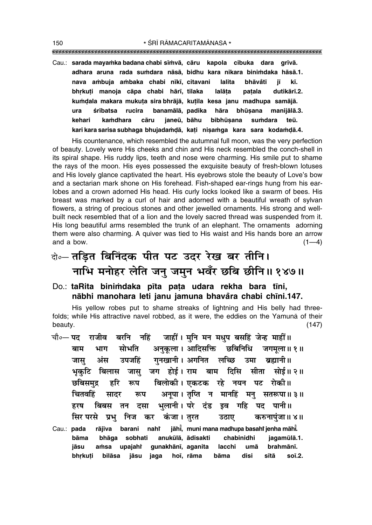\* ŚRĪ RĀMACARITAMĀNASA \* 

Cau.: sarada mayamka badana chabi sīmvā, cāru kapola cibuka dara grīvā. adhara aruna rada sumdara nāsā, bidhu kara nikara binimdaka hāsā.1. nava ambuja ambaka chabi nīkī, citavani lalita bhāvåtī ΪĪ kī. bhrkuti manoja cāpa chabi hārī, tilaka lalāta patala dutikārī.2. kumdala makara mukuta sira bhrājā, kutila kesa janu madhupa samājā. ura śrībatsa rucira banamālā, padika hāra bhūsana manijālā.3. kamdhara cāru janeū, bāhu bibhūsana sumdara kehari teū. kari kara sarisa subhaga bhujadamdā, kati nisamga kara sara kodamdā.4.

His countenance, which resembled the autumnal full moon, was the very perfection of beauty. Lovely were His cheeks and chin and His neck resembled the conch-shell in its spiral shape. His ruddy lips, teeth and nose were charming. His smile put to shame the rays of the moon. His eves possessed the exquisite beauty of fresh-blown lotuses and His lovely glance captivated the heart. His eyebrows stole the beauty of Love's bow and a sectarian mark shone on His forehead. Fish-shaped ear-rings hung from his earlobes and a crown adorned His head. His curly locks looked like a swarm of bees. His breast was marked by a curl of hair and adorned with a beautiful wreath of sylvan flowers, a string of precious stones and other jewelled ornaments. His strong and wellbuilt neck resembled that of a lion and the lovely sacred thread was suspended from it. His long beautiful arms resembled the trunk of an elephant. The ornaments adorning them were also charming. A quiver was tied to His waist and His hands bore an arrow and a bow.  $(1-4)$ 

# बे-तडित बिनिंदक पीत पट उदर रेख बर तीनि। नाभि मनोहर लेति जनु जमुन भवँर छबि छीनि॥१४७॥

### Do.: taRita binimdaka pīta pata udara rekha bara tīni, nābhi manohara leti janu jamuna bhavåra chabi chīni.147.

His yellow robes put to shame streaks of lightning and His belly had threefolds; while His attractive navel robbed, as it were, the eddies on the Yamuna of their beauty.  $(147)$ 

जाहीं। मनि मन मधप बसहिं जेन्ह माहीं॥ चौ०— **पद** राजीव बरनि नहिं अनुकुला । आदिसक्ति छबिनिधि जगमुला॥१॥ सोभति बाम भाग गुनखानी। अगनित लच्छि उमा ब्रह्मानी॥ जास अंस उपजहिं भकटि बिलास जास जग होई।1राम बाम दिसि सीता सोई॥२॥ बिलोकी। एकटक रहे नयन पट रोकी॥ छबिसमद्र हरि रूप अनुपा। तृप्ति न मानहिं मन् सतरूपा॥३॥ चितवहिं सादर रूप भुलानी। परे दंड इव गहि पद पानी॥ हरष बिबस तन दसा सिर परसे प्रभ निज कर कंजा । तुरत उठाए करुनापंजा॥४॥ jāhi, muni mana madhupa basahi jenha māhi. Cau.: pada rāiīva barani nahi anukūlā, ādisakti chabinidhi bāma bhāqa sobhati jagamūlā.1. amsa gunakhānī, aganita lacchi brahmānī. jāsu upajahi umā bhrkuti bilāsa jāsu jaga hoī, rāma bāma disi sītā  $so\bar{1}$ .2.

150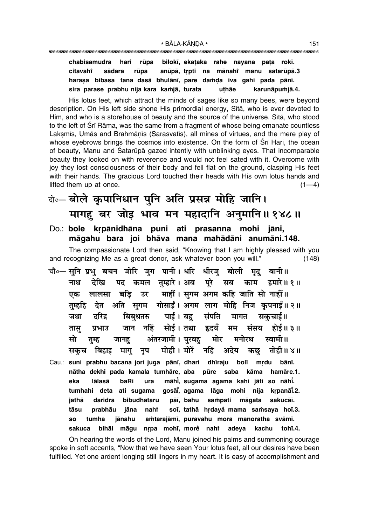chabisamudra hari rūpa bilokī, ekataka rahe nayana pata rokī. anūpā, trpti na mānahi manu satarūpā.3 citavahi sādara rūpa harasa bibasa tana dasā bhulānī, pare damda iya gahi pada pānī. sira parase prabhu nija kara kamjā, turata uthãe karunāpumjā.4.

His lotus feet, which attract the minds of sages like so many bees, were beyond description. On His left side shone His primordial energy, Sita, who is ever devoted to Him, and who is a storehouse of beauty and the source of the universe. Sita, who stood to the left of Srī Rāma, was the same from a fragment of whose being emanate countless Laksmis, Umās and Brahmānis (Sarasvatis), all mines of virtues, and the mere play of whose eyebrows brings the cosmos into existence. On the form of Sri Hari, the ocean of beauty, Manu and Satarūpā gazed intently with unblinking eyes. That incomparable beauty they looked on with reverence and would not feel sated with it. Overcome with joy they lost consciousness of their body and fell flat on the ground, clasping His feet with their hands. The gracious Lord touched their heads with His own lotus hands and lifted them up at once.  $(1-4)$ 

## दो०-बोले कुपानिधान पुनि अति प्रसन्न मोहि जानि। मागह बर जोड़ भाव मन महादानि अनुमानि॥१४८॥

### Do.: bole krpānidhāna puni ati prasanna mohi jāni, māgahu bara joi bhāva mana mahādāni anumāni.148.

The compassionate Lord then said, "Knowing that I am highly pleased with you and recognizing Me as a great donor, ask whatever boon you will."  $(148)$ 

- चौ०-सूनि प्रभु बचन जोरि जग पानी। धरि धीरज बोली मद बानी॥ पद कमल तम्हारे। अब परे नाथ देखि सब काम हमारे॥ १॥ माहीं। सुगम अगम कहि जाति सो नाहीं॥ बडि उर एक लालसा देत अति सुगम गोसाईं। अगम लाग मोहि निज कृपनाईं॥ २॥ तम्हहि जथा पाई । बह संपति दरिद्र बिबधतरु सकचाई।। मागत नहिं सोई।तथा हृदयँ प्रभाउ जान मम संसय होई॥ ३॥ तास् अंतरजामी। पुरवह मोर सो तम्ह जानह मनोरथ स्वामी ॥ मोही। मोरें नहिं बिहाइ माग नुप अदेय तोही ॥ ४ ॥ सकच कछ
- Cau.: suni prabhu bacana jori juga pānī, dhari dhīraju bolī mrdu bānī. nātha dekhi pada kamala tumhāre, aba pūre saba kāma hamāre.1. eka lālasā baRi ura māhi, sugama agama kahi jāti so nāhi. tumhahi deta ati sugama gosāi, agama lāga mohi nija krpanāi.2. jathā daridra bibudhataru pāī, bahu sampati māgata sakucāī. tāsu prabhāu iāna naht soī, tathā hrdaya mama samsaya hoī.3. jānahu amtarajāmī, puravahu mora manoratha svāmī.  $\epsilon$ tumha sakuca bihāi māgu nrpa mohī, more nahr adeva kachu tohī.4.

On hearing the words of the Lord, Manu joined his palms and summoning courage spoke in soft accents, "Now that we have seen Your lotus feet, all our desires have been fulfilled. Yet one ardent longing still lingers in my heart. It is easy of accomplishment and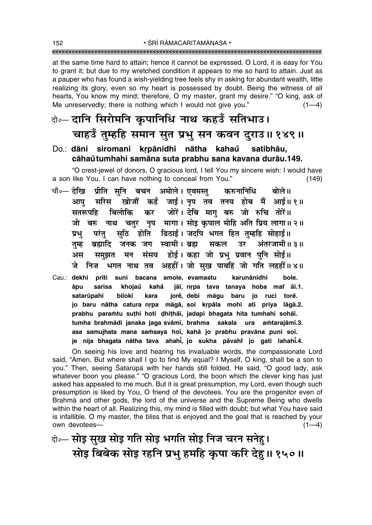at the same time hard to attain; hence it cannot be expressed. O Lord, it is easy for You to grant it; but due to my wretched condition it appears to me so hard to attain. Just as a pauper who has found a wish-vielding tree feels shy in asking for abundant wealth, little realizing its glory, even so my heart is possessed by doubt. Being the witness of all hearts, You know my mind; therefore, O my master, grant my desire." "O king, ask of Me unreservedly; there is nothing which I would not give you."  $(1-4)$ 

# बे॰ दानि सिरोमनि कुपानिधि नाथ कहउँ सतिभाउ। चाहउँ तुम्हहि समान सुत प्रभु सन कवन दुराउ॥ १४९॥

#### Do.: dāni siromani krpānidhi nātha kahaŭ satibhāu, cāhaŭtumhahi samāna suta prabhu sana kavana durāu.149.

"O crest-jewel of donors, O gracious lord, I tell You my sincere wish: I would have a son like You. I can have nothing to conceal from You."  $(149)$ 

- चौ∘— देखि प्रीति सुनि बचन अमोले । एवमस्त् करुनानिधि बोले॥ खोजौं कहँ जाई। नप तव तनय होब मैं आई॥ १॥ मरिस आप कर जोरें। देबि माग बरु जो रुचि तोरें॥ सतरूपहि बिलोकि जो बरु नाथ चतुर नृप मागा। सोइ कृपाल मोहि अति प्रिय लागा॥ २॥ सठि होति ढिठाई। जदपि भगत हित तम्हहि सोहाई॥ प्रभ परंत ब्रह्मादि जनक जग स्वामी।ब्रह्म सकल उर अंतरजामी॥ ३॥ तुम्ह संसय होई। कहा जो प्रभु प्रवान पनि सोई॥ अस समुझत मन भगत नाथ तव अहहीं। जो सख पावहिं जो गति लहहीं॥४॥ जे निज
- Cau.: dekhi prīti suni bacana amole, evamastu karunānidhi bole. āpu sarisa khojaů kahå jāi, nrpa tava tanaya hoba mai āi.1. satarūpahi biloki kara jorě, debi māgu baru jo ruci torě. jo baru nātha catura nrpa māgā, soi krpāla mohi ati priya lāgā.2. prabhu paramtu suthi hoti dhithāi, jadapi bhagata hita tumhahi sohāi. tumha brahmādi janaka jaga svāmī, brahma sakala ura amtarajāmī.3. asa samujhata mana samsaya hoi, kahā jo prabhu pravāna puni soi. je nija bhagata nātha tava ahahī, jo sukha pāvahi jo gati lahahī.4.

On seeing his love and hearing his invaluable words, the compassionate Lord said, "Amen. But where shall I go to find My equal? I Myself, O king, shall be a son to you." Then, seeing Satarūpā with her hands still folded, He said, "O good lady, ask whatever boon you please." "O gracious Lord, the boon which the clever king has just asked has appealed to me much. But it is great presumption, my Lord, even though such presumption is liked by You, O friend of the devotees. You are the progenitor even of Brahmā and other gods, the lord of the universe and the Supreme Being who dwells within the heart of all. Realizing this, my mind is filled with doubt; but what You have said is infallible. O my master, the bliss that is enjoyed and the goal that is reached by your own devotees- $(1-4)$ 

बे॰- सोइ सुख सोइ गति सोइ भगति सोइ निज चरन सनेहु। सोइ बिबेक सोइ रहनि प्रभु हमहि कुपा करि देहु॥ १५०॥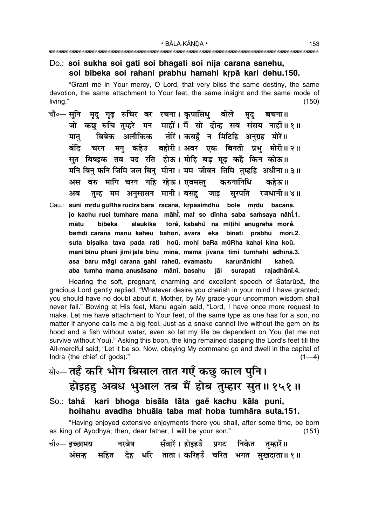\* BĀLA-KĀNDA \* 

### Do.: soi sukha soi gati soi bhagati soi nija carana sanehu, soi bibeka soi rahani prabhu hamahi krpā kari dehu.150.

"Grant me in Your mercy, O Lord, that very bliss the same destiny, the same devotion, the same attachment to Your feet, the same insight and the same mode of living."  $(150)$ 

- चौ०— सुनि मृदु गूढ़ रुचिर बर रचना। कृपासिंधु बोले मुद बचना ॥ जो कछ रुचि तम्हरे मन माहीं। मैं सो दीन्ह सब संसय नाहीं॥ १॥ बिबेक अलौकिक तोरें। कबहूँ न मिटिहि अनुग्रह मोरें॥ मात चरन मनु कहेउ बहोरी।अवर एक बिनती प्रभु मोरी॥२॥ बंदि सुत बिषड़क तव पद रति होऊ। मोहि बड़ मुढ़ कहै किन कोऊ॥ मनि बिनु फनि जिमि जल बिनु मीना। मम जीवन तिमि तुम्हहि अधीना॥३॥ अस बरु मागि चरन गहि रहेऊ। एवमस्त करुनानिधि कहेऊ॥ तम्ह मम अनसासन मानी। बसह जाड सरपति रजधानी॥४॥ अब
- Cau.: suni mrdu gūRha rucira bara racanā, krpāsimdhu bole mrdu bacanā. jo kachu ruci tumhare mana māhi, mai so dīnha saba samsaya nāhi.1. torě, kabahů na mitihi anugraha morě. mātu bibeka alaukika bamdi carana manu kaheu bahori, avara eka binati prabhu mori.2. suta bişaika tava pada rati hoū, mohi baRa mūRha kahai kina koū. mani binu phani jimi jala binu mīnā, mama jīvana timi tumhahi adhīnā.3. asa baru māgi carana gahi raheū, evamastu karunānidhi kaheū. aba tumha mama anusāsana mānī, basahu jāi surapati rajadhānī.4.

Hearing the soft, pregnant, charming and excellent speech of Satarūpā, the gracious Lord gently replied, "Whatever desire you cherish in your mind I have granted; you should have no doubt about it. Mother, by My grace your uncommon wisdom shall never fail." Bowing at His feet, Manu again said, "Lord, I have once more request to make. Let me have attachment to Your feet, of the same type as one has for a son, no matter if anyone calls me a big fool. Just as a snake cannot live without the gem on its hood and a fish without water, even so let my life be dependent on You (let me not survive without You)." Asking this boon, the king remained clasping the Lord's feet till the All-merciful said, "Let it be so. Now, obeying My command go and dwell in the capital of Indra (the chief of gods)."  $(1-4)$ 

# सो॰– तहँ करि भोग बिसाल तात गएँ कछु काल पुनि। होइहह अवध भुआल तब मैं होब तुम्हार सुत ॥ १५१ ॥

So.: tahå kari bhoga bisāla tāta gaĕ kachu kāla puni, hoihahu avadha bhuāla taba ma' hoba tumhāra suta.151.

"Having enjoyed extensive enjoyments there you shall, after some time, be born as king of Ayodhya; then, dear father, I will be your son."  $(151)$ 

| चौ०— <b>इच्छामय</b> | नरबेष | सँवारें। होइहउँ प्रगट निकेत तुम्हारें॥                  |  |  |
|---------------------|-------|---------------------------------------------------------|--|--|
|                     |       | अंसन्ह सहित देह धरि ताता । करिहउँ चरित भगत सुखदाता ॥ १॥ |  |  |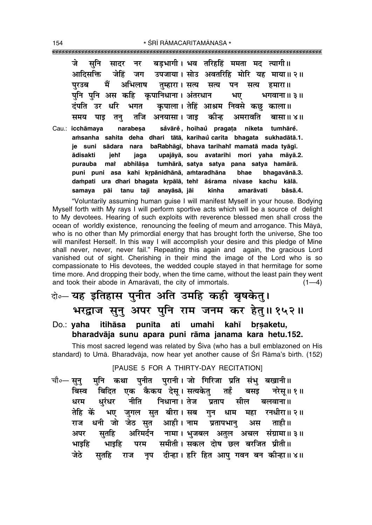जे सनि सादर नर बडभागी। भव तरिहहिं ममता मद त्यागी॥ जेहिं उपजाया। सोउ अवतरिहि मोरि यह माया॥२॥ आदिसक्ति जग अभिलाष परउब ਸੈਂ तम्हारा। सत्य सत्य पन सत्य हमारा॥ कपानिधाना । अंतरधान पनि पनि अस कहि भए भगवाना ॥ ३॥ टंपति भगत कपाला। तेहिं आश्रम निवसे कछ उर धरि काला॥ समय पाड तन तजि अनयासा । जाड कोन्ह अमरावति बासा॥ ४॥ Cau.: icchāmaya narabesa såvārě, hoihaů pragața niketa tumhārě.

amsanha sahita deha dhari tātā, karihaŭ carita bhagata sukhadātā.1. je suni sādara nara baRabhāgī, bhava tarihahi mamatā mada tyāgī. upajāyā, sou avatarihi mori yaha māyā.2. **ādisakti** jehř jaga purauba mai abhilāsa tumhārā, satya satya pana satya hamārā. puni puni asa kahi krpānidhānā, amtaradhāna bhae bhagavānā.3. dampati ura dhari bhagata krpālā, tehř āśrama nivase kachu kālā. samaya pāi tanu taji anayāsā, jāi bāsā.4. kīnha amarāvati

"Voluntarily assuming human quise I will manifest Myself in your house. Bodying Myself forth with My rays I will perform sportive acts which will be a source of delight to My devotees. Hearing of such exploits with reverence blessed men shall cross the ocean of worldly existence, renouncing the feeling of meum and arrogance. This Māyā, who is no other than My primordial energy that has brought forth the universe. She too will manifest Herself. In this way I will accomplish your desire and this pledge of Mine shall never, never, never fail." Repeating this again and again, the gracious Lord vanished out of sight. Cherishing in their mind the image of the Lord who is so compassionate to His devotees, the wedded couple stayed in that hermitage for some time more. And dropping their body, when the time came, without the least pain they went and took their abode in Amaravati, the city of immortals.  $(1-4)$ 

## के- यह इतिहास पुनीत अति उमहि कही बृषकेतु। भरद्वाज सूनु अपर पुनि राम जनम कर हेतु॥१५२॥

Do.: yaha itihāsa punīta ati umahi kahī brsaketu, bharadvāja sunu apara puni rāma janama kara hetu.152.

This most sacred legend was related by Siva (who has a bull emblazoned on His standard) to Umā. Bharadvāja, now hear yet another cause of Śrī Rāma's birth. (152)

### [PAUSE 5 FOR A THIRTY-DAY RECITATION]

मनि कथा पनीत पुरानी। जो गिरिजा प्रति संभु बखानी॥ चौ०— सन बिदित एक कैकय देस्। सत्यकेत् बिस्व तहँ बसड नरेस॥ १॥ धरंधर निधाना । तेज धरम नीति प्रताप सील बलवाना ॥ तेहि कें भए जुगल सुत बीरा।सब गुन धाम महा रनधीरा॥ २॥ धनी जो जेठ सुत आही। नाम प्रतापभान अस ताही ॥ राज अरिमर्दन नामा। भुजबल अतुल अचल संग्रामा॥३॥ सतहि अपर परम समीती। सकल दोष छल बरजित प्रीती॥ भाइहि भाइहि जेठे नृप दीन्हा। हरि हित आपु गवन बन कीन्हा॥४॥ सतहि राज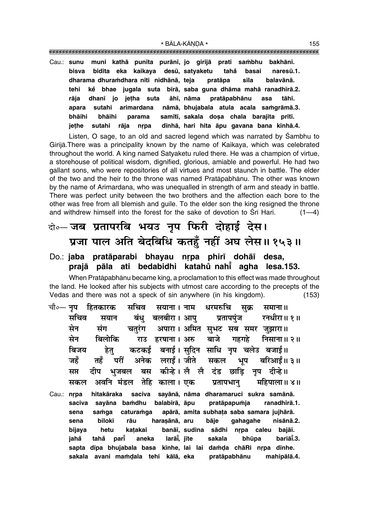\* BĀLA-KĀNDA \*

Cau.: sunu muni kathā punīta purānī, jo girijā prati sambhu bakhānī. bidita eka kaikaya desū, satvaketu bisva tahå basai naresū.1. dharama dhuramdhara nīti nidhānā, teja sīla pratāpa balavānā. kẻ bhae jugala suta bīrā, saba guna dhāma mahā ranadhīrā.2. tehi rāia dhanī jo jetha suta āhī, nāma pratāpabhānu asa tāhī. apara sutahi arimardana nāmā, bhujabala atula acala samgrāmā.3. bhāihi bhāihi parama samītī, sakala dosa chala barajita prītī. dīnhā, hari hita āpu gavana bana kīnhā.4. sutahi rāja jethe nrpa

Listen, O sage, to an old and sacred legend which was narrated by Sambhu to Girijā. There was a principality known by the name of Kaikaya, which was celebrated throughout the world. A king named Satyaketu ruled there. He was a champion of virtue. a storehouse of political wisdom, dignified, glorious, amiable and powerful. He had two gallant sons, who were repositories of all virtues and most staunch in battle. The elder of the two and the heir to the throne was named Pratāpabhānu. The other was known by the name of Arimardana, who was unequalled in strength of arm and steady in battle. There was perfect unity between the two brothers and the affection each bore to the other was free from all blemish and guile. To the elder son the king resigned the throne and withdrew himself into the forest for the sake of devotion to Srī Hari.  $(1-4)$ 

## बे॰ जब प्रतापरबि भयउ नृप फिरी दोहाई देस। प्रजा पाल अति बेदबिधि कतहूँ नहीं अघ लेस॥१५३॥

### Do.: jaba pratāparabi bhayau nrpa phirī dohāī desa, prajā pāla ati bedabidhi katahů nahi agha lesa.153.

When Pratāpabhānu became king, a proclamation to this effect was made throughout the land. He looked after his subjects with utmost care according to the precepts of the Vedas and there was not a speck of sin anywhere (in his kingdom).  $(153)$ 

- चौ∘— नप हितकारक धरमरुचि सचिव सयाना । नाम सुक्र समाना॥ सचिव बंध बलबीरा। आप सयान प्रतापपंज रनधीरा॥ १॥ अपारा। अमित सुभट सब समर जुझारा॥ मेन चतरंग मंग राउ हरषाना। अरु मेन बिलोकि बाजे गहगहे निसाना॥ २॥ कटकई बनाई। सुदिन साधि नृप चलेउ बजाई॥ बिजय हेत जहँ तहँ अनेक लराईं। जीते परीं सकल भूप बरिआर्ड ॥ ३ ॥ कीन्हे। लैलै टीप दंड छाडि भुजबल बस नुप दीन्हे।। सप्त अवनि मंडल तेहि काला । एक प्रतापभान महिपाला॥ ४॥ सकल
- Cau.: nrpa hitakāraka saciva sayānā, nāma dharamaruci sukra samānā. sayāna bamdhu balabīrā, āpu saciva pratāpapumja ranadhīrā.1. caturamga apārā, amita subhata saba samara jujhārā. samga sena biloki sena rāu harașānā, aru bāje gahagahe nisānā.2. banāī, sudina sādhi nrpa caleu bajāī. bijaya hetu katakaī larāi, jīte bariāī.3. jahå tahå aneka sakala bhūpa parī sapta dīpa bhujabala basa kīnhe, lai lai damda chāRi nrpa dīnhe. sakala avani mamdala tehi kālā, eka pratāpabhānu mahipālā.4.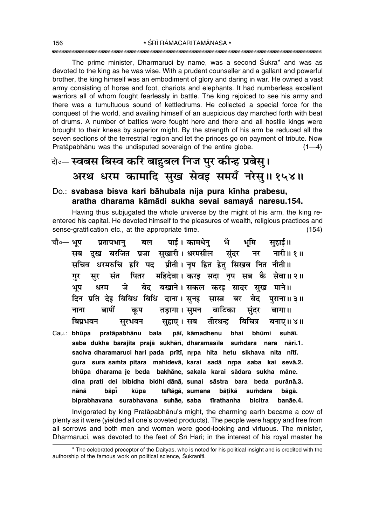The prime minister, Dharmaruci by name, was a second Sukra\* and was as devoted to the king as he was wise. With a prudent counseller and a gallant and powerful brother, the king himself was an embodiment of glory and daring in war. He owned a vast army consisting of horse and foot, chariots and elephants. It had numberless excellent warriors all of whom fought fearlessly in battle. The king rejoiced to see his army and there was a tumultuous sound of kettledrums. He collected a special force for the conquest of the world, and availing himself of an auspicious day marched forth with beat of drums. A number of battles were fought here and there and all hostile kings were brought to their knees by superior might. By the strength of his arm be reduced all the seven sections of the terrestrial region and let the princes go on payment of tribute. Now Pratāpabhānu was the undisputed sovereign of the entire globe.  $(1-4)$ 

# के- स्वबस बिस्व करि बाहुबल निज पुर कीन्ह प्रबेसु। अरथ धरम कामादि सुख सेवइ समयँ नरेस् ॥ १५४॥

### Do.: svabasa bisva kari bāhubala nija pura kīnha prabesu, aratha dharama kāmādi sukha sevai samaya naresu.154.

Having thus subjugated the whole universe by the might of his arm, the king reentered his capital. He devoted himself to the pleasures of wealth, religious practices and sense-gratification etc., at the appropriate time.  $(154)$ 

| चौ०— भूप प्रतापभानु बल पाई। कामधेनु भै भूमि सुहाई॥                    |
|-----------------------------------------------------------------------|
| सब दुख बरजित प्रजा सुखारी।धरमसील सुंदर नर नारी॥१॥                     |
| सचिव धरमरुचि हरि पद प्रीती। नृप हित हेतु सिखव नित नीती॥               |
| गुर सुर संत पितर महिदेवा।करइ सदा नृप सब कै सेवा॥२॥                    |
| भूप धरम जे बेद बखाने।सकल करइ सादर सुख माने॥                           |
| दिन प्रति देइ बिबिध बिधि दाना। सुनइ सास्त्र बर बेद पुराना॥३॥          |
| नाना बापीं कूप तड़ागा।सूमन बाटिका सुंदर बागा॥                         |
| बिप्रभवन सुरभवन सुहाए । सब तीरथन्ह बिचित्र बनाए ॥ ४॥                  |
| Cau.: bhūpa pratāpabhānu bala pāī, kāmadhenu bhai bhūmi suhāī.        |
| saba dukha barajita prajā sukhārī, dharamasīla sumdara nara nārī.1.   |
| saciva dharamaruci hari pada prītī, nrpa hita hetu sikhava nita nītī. |
| gura sura samta pitara mahidevā, karai sadā nrpa saba kai sevā.2.     |
| bhūpa dharama je beda bakhāne, sakala karai sādara sukha māne.        |
| dina prati dei bibidha bidhi dānā, sunai sāstra bara beda purānā.3.   |
| bāpī kūpa taRāgā, sumana bāṭikā sumdara bāgā.<br>nānā                 |
| biprabhavana surabhavana suhāe, saba tīrathanha bicitra banāe.4.      |

Invigorated by king Pratapabhanu's might, the charming earth became a cow of plenty as it were (yielded all one's coveted products). The people were happy and free from all sorrows and both men and women were good-looking and virtuous. The minister, Dharmaruci, was devoted to the feet of Sri Hari; in the interest of his royal master he

<sup>\*</sup> The celebrated preceptor of the Daityas, who is noted for his political insight and is credited with the authorship of the famous work on political science, Sukraniti.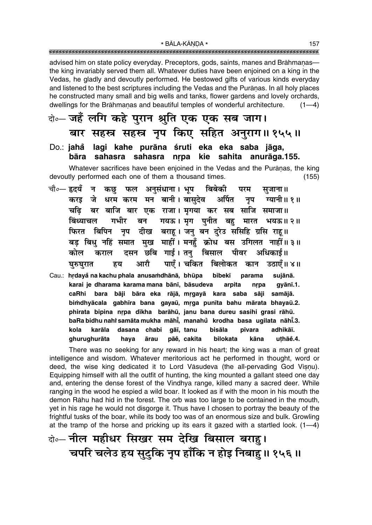advised him on state policy everyday. Preceptors, gods, saints, manes and Brāhmanas the king invariably served them all. Whatever duties have been enjoined on a king in the Vedas, he gladly and devoutly performed. He bestowed gifts of various kinds everyday and listened to the best scriptures including the Vedas and the Puranas. In all holy places he constructed many small and big wells and tanks, flower gardens and lovely orchards, dwellings for the Brāhmanas and beautiful temples of wonderful architecture.  $(1-4)$ 

बेञ्- जहँ लगि कहे पुरान श्रुति एक एक सब जाग। बार सहस्र सहस्र नृप किए सहित अनुराग॥१५५॥

### Do.: jahå lagi kahe purāna śruti eka eka saba jāga, bāra sahasra sahasra nrpa kie sahita anurāga.155.

Whatever sacrifices have been enjoined in the Vedas and the Purānas, the king devoutly performed each one of them a thousand times.  $(155)$ 

- चौ०— हृदयँ न कछु फल अनुसंधाना। भूप बिबेकी परम सजाना ॥ करड जे धरम करम मन बानी। बासदेव अर्पित नप ग्यानी॥ १॥ चढ़ि बर बाजि बार एक राजा। मृगया कर सब साजि समाजा॥ गयऊ। मृग पुनीत बहु मारत भयऊ॥२॥ बिंध्याचल गभीर बन दीख बराह। जन् बन दरेउ ससिहि ग्रसि राह॥ फिरत बिपिन नुप बड बिध नहिं समात मुख माहीँ। मनहँ क्रोध बस उगिलत नाहीँ॥३॥ दसन छबि गाई। तन बिसाल पीवर कोल अधिकार्ड ॥ कराल पाएँ। चकित बिलोकत आरौ कान उठाएँ॥४॥ घुरुघुरात हय
- Cau.: hrdayå na kachu phala anusamdhānā, bhūpa bibekī parama sujānā. karai je dharama karama mana bānī, bāsudeva arpita nrpa gyānī.1. caRhi bara bāji bāra eka rājā, mrgayā kara saba sāji samājā. bimdhyācala gabhīra bana gayaū, mrga punīta bahu mārata bhayaū.2. phirata bipina nrpa dīkha barāhū, janu bana dureu sasihi grasi rāhū. baRa bidhu nahi samāta mukha māhi, manahu krodha basa ugilata nāhi.3. dasana chabi gāī, tanu kola karāla bisāla pīvara adhikāī. ghurughurāta haya ārau pāě, cakita bilokata kāna uthāĕ.4.

There was no seeking for any reward in his heart; the king was a man of great intelligence and wisdom. Whatever meritorious act he performed in thought, word or deed, the wise king dedicated it to Lord Vāsudeva (the all-pervading God Visnu). Equipping himself with all the outfit of hunting, the king mounted a gallant steed one day and, entering the dense forest of the Vindhya range, killed many a sacred deer. While ranging in the wood he espied a wild boar. It looked as if with the moon in his mouth the demon Rāhu had hid in the forest. The orb was too large to be contained in the mouth, yet in his rage he would not disgorge it. Thus have I chosen to portray the beauty of the frightful tusks of the boar, while its body too was of an enormous size and bulk. Growling at the tramp of the horse and pricking up its ears it gazed with a startled look.  $(1-4)$ 

बेञ्- नील महीधर सिखर सम देखि बिसाल बराहु। चपरि चलेउ हय सुटुकि नृप हाँकि न होइ निबाहु॥ १५६॥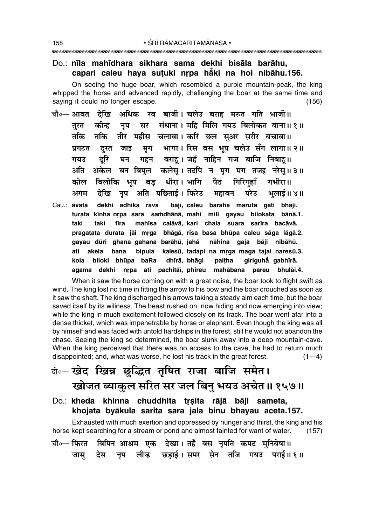\* ŚRĪ RĀMACARITAMĀNASA \* 

### Do.: nīla mahīdhara sikhara sama dekhi bisāla barāhu, capari caleu haya sutuki nrpa haki na hoi nibāhu.156.

On seeing the huge boar, which resembled a purple mountain-peak, the king whipped the horse and advanced rapidly, challenging the boar at the same time and saying it could no longer escape.  $(156)$ 

- चौ०— आवत देखि रव बाजी। चलेउ बराह मरुत गति भाजी॥ अधिक सर संधाना। महि मिलि गयउ बिलोकत बाना॥१॥ कीन्ह तरत नप तीर महीस चलावा। करि छल सुअर सरीर बचावा॥ तकि तकि मग भागा। रिस बस भप चलेउ सँग लागा॥ २॥ पगटत दरत जाड गहन बराह। जहँ नाहिन गज बाजि निबाह॥ दुरि गयउ घन अति अकेल बन बिपुल कलेसू। तदपि न मृग मग तजइ नरेसू॥३॥ बिलोकि भूप बड धीरा। भागि पैठ गिरिगहाँ गभीरा॥ कोल नुप अति पछिताई। फिरेउ देखि महाबन परेउ भलाई॥ ४॥ अगम
- dekhi adhika rava bājī, caleu barāha maruta gati bhājī. Cau.: āvata turata kīnha nṛpa sara samdhānā, mahi mili gayau bilokata bānā.1. mahīsa calāvā, kari chala suara sarīra bacāvā. taki taki tīra pragatata durata jāi mrga bhāgā, risa basa bhūpa caleu såga lāgā.2. gayau dūri ghana gahana barāhū, jahå nāhina gaja bāji nibāhū. akela bana bipula kalesū, tadapi na mrga maga tajai naresū.3. ati biloki bhūpa baRa dhīrā, bhāgi giriguha gabhīrā. kola paitha agama dekhi nrpa ati pachitāi, phireu mahābana pareu bhulāī.4.

When it saw the horse coming on with a great noise, the boar took to flight swift as wind. The king lost no time in fitting the arrow to his bow and the boar crouched as soon as it saw the shaft. The king discharged his arrows taking a steady aim each time, but the boar saved itself by its willness. The beast rushed on, now hiding and now emerging into view; while the king in much excitement followed closely on its track. The boar went afar into a dense thicket, which was impenetrable by horse or elephant. Even though the king was all by himself and was faced with untold hardships in the forest, still he would not abandon the chase. Seeing the king so determined, the boar slunk away into a deep mountain-cave. When the king perceived that there was no access to the cave, he had to return much disappointed; and, what was worse, he lost his track in the great forest.  $(1-4)$ 

# बे-खेद खिन्न छुद्धित तृषित राजा बाजि समेत। खोजत ब्याकुल सरित सर जल बिन् भयउ अचेत॥ १५७॥

Do.: kheda khinna chuddhita trsita rājā bāji sameta, khojata byākula sarita sara jala binu bhayau aceta.157.

Exhausted with much exertion and oppressed by hunger and thirst, the king and his horse kept searching for a stream or pond and almost fainted for want of water.  $(157)$ 

बिपिन आश्रम एक देखा। तहँ बस नृपति कपट मुनिबेषा॥ चौ०— फिरत नृप लीन्ह छड़ाई।समर सेन तजि गयउ पराई॥१॥ देस जास्

158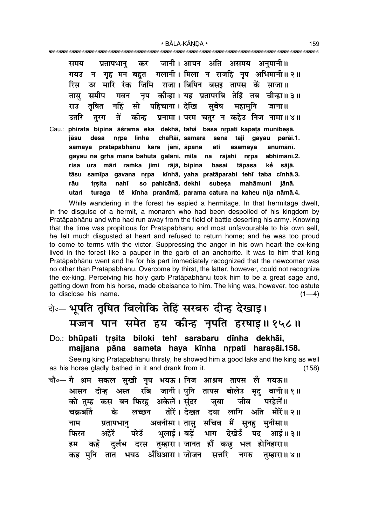समय प्रतापभान् कर जानी। आपन अति असमय अनमानी॥ गलानी। मिला न राजहि नूप अभिमानी॥ २॥ गयउ न गह मन बहत रिस उर मारि रंक जिमि राजा। बिपिन बसड तापस कें साजा॥ गवन नप कीन्हा। यह प्रतापरबि तेहिं तब तास समीप चीन्हा॥ ३॥ नहिं पहिचाना । देखि सबेष तषित सो महामनि राउ जाना ॥ प्रनामा। परम चतुर न कहेउ निज नामा॥४॥ उतरि तरग तें कीन्ह

Cau.: phirata bipina āśrama eka dekhā, tahå basa nrpati kapata munibesā. jāsu desa nrpa līnha chaRāī, samara sena taji qayau parāī.1. samaya pratāpabhānu kara jānī, āpana ati asamaya anumānī. gayau na grha mana bahuta galānī, milā na rājahi nrpa abhimānī.2. risa ura māri ramka jimi rājā, bipina basai tāpasa kě sājā. tāsu samīpa gavana nrpa kīnhā, yaha pratāparabi tehi taba cīnhā.3. trsita so pahicānā, dekhi subesa rāu nahi mahāmuni iānā. utari turaga te kīnha pranāmā, parama catura na kaheu nija nāmā.4.

While wandering in the forest he espied a hermitage. In that hermitage dwelt, in the disguise of a hermit, a monarch who had been despoiled of his kingdom by Pratāpabhānu and who had run away from the field of battle deserting his army. Knowing that the time was propitious for Pratapabhanu and most unfavourable to his own self, he felt much disgusted at heart and refused to return home; and he was too proud to come to terms with the victor. Suppressing the anger in his own heart the ex-king lived in the forest like a pauper in the garb of an anchorite. It was to him that king Pratāpabhānu went and he for his part immediately recognized that the newcomer was no other than Pratapabhanu. Overcome by thirst, the latter, however, could not recognize the ex-king. Perceiving his holy garb Pratāpabhānu took him to be a great sage and, getting down from his horse, made obeisance to him. The king was, however, too astute to disclose his name.  $(1-4)$ 

## बे- भूपति तृषित बिलोकि तेहिं सरबरु दीन्ह देखाइ। मज्जन पान समेत हय कीन्ह नृपति हरषाइ॥१५८॥

Do.: bhūpati trsita biloki tehi sarabaru dīnha dekhāi, majjana pāna sameta haya kīnha nrpati harasāi.158.

Seeing king Pratāpabhānu thirsty, he showed him a good lake and the king as well as his horse gladly bathed in it and drank from it.  $(158)$ 

चौ०— गै श्रम सकल सुखी नृप भयऊ । निज आश्रम तापस लै गयऊ॥ रबि जानी। पुनि तापस बोलेउ मृदु बानी॥१॥ आसन दीन्ह अस्त को तम्ह कस बन फिरह अकेलें। संदर जबा जीव परहेलें।। चकबर्ति के लच्छन तोरें। देखत दया लागि अति मोरें॥२॥ अवनीसा। तासु सचिव मैं सुनहु मुनीसा॥ नाम प्रतापभान फिरत अहेरें परेउँ भुलाई। बड़ें भाग देखेउँ पद आई॥३॥ दुर्लभ दरस तुम्हारा। जानत हौं कछु भल होनिहारा॥ कहँ हम कह मुनि तात भयउ अँधिआरा। जोजन सत्तरि नगरु तुम्हारा॥४॥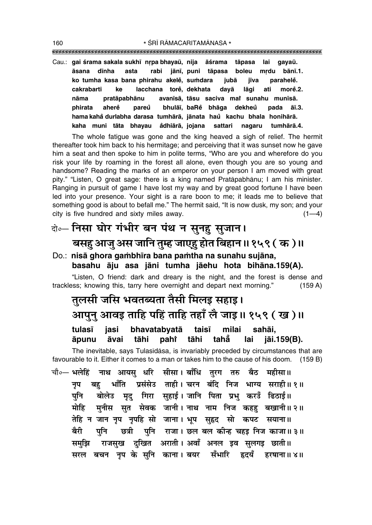""""""""""""""""""""""""""""""""""""""""""""""""""""""""""""""""""""""""""""""""""" 160 **\*** SRĪ RĀMACARITAMĀNASA \*

Cau.: gai śrama sakala sukhī nṛpa bhayaū, nija āśrama tāpasa lai gayaū. āsana dīnha asta rabi jānī, puni tāpasa boleu mrdu bānī.1. **ko tumha kasa bana phirahu akele°, su≈dara jubå j∂va parahele°. cakrabarti ke lacchana tore°, dekhata dayå lågi ati more°.2. nåma pratåpabhånu avan∂så, tåsu saciva maiÚ sunahu mun∂så. phirata ahere pareu ° ° bhulå∂, baRe bhåga dekheu ° ° pada å∂.3. hama kaha° durlabha darasa tumhårå, jånata hau° kachu bhala honihårå. kaha muni tåta bhayau a° dhiårå, jojana sattari nagaru tumhårå.4.**

The whole fatigue was gone and the king heaved a sigh of relief. The hermit thereafter took him back to his hermitage; and perceiving that it was sunset now he gave him a seat and then spoke to him in polite terms, "Who are you and wherefore do you risk your life by roaming in the forest all alone, even though you are so young and handsome? Reading the marks of an emperor on your person I am moved with great pity." "Listen, O great sage: there is a king named Pratāpabhānu; I am his minister. Ranging in pursuit of game I have lost my way and by great good fortune I have been led into your presence. Your sight is a rare boon to me; it leads me to believe that something good is about to befall me." The hermit said, "It is now dusk, my son; and your city is five hundred and sixty miles away.  $(1-4)$ 

## दो**0 निसा घोर गंभीर बन पंथ न सुनह सुजान।**

## 'बसहु आजु अस जानि तुम्ह जाएहु होत बिहान II १५९ ( क ) II

### Do.: nisā ghora gambhīra bana pamtha na sunahu sujāna, **basahu åju asa jåni tumha jåehu hota bihåna.159(A).**

"Listen, O friend: dark and dreary is the night, and the forest is dense and trackless; knowing this, tarry here overnight and depart next morning." (159 A)

## तलसी जसि भवतब्यता तैसी मिलइ सहाइ। <u>आपून आवइ ताहि पहिं ताहि तहाँ लै जाइ॥ १५९ ( ख )॥</u> **tulas∂ jasi bhavatabyatå tais∂ milai sahåi,**

**åpunu åvai tåhi pahiÚ tåhi tahå° lai jåi.159(B).**

The inevitable, says Tulasīdāsa, is invariably preceded by circumstances that are favourable to it. Either it comes to a man or takes him to the cause of his doom. (159 B)

**चौ०— भलेहिं नाथ आयस धरि सीसा। बाँधि तरग तरु बैठ महीसा॥** नप बह भाँति प्रसंसेउ ताही।**चरन बंदि निज भाग्य सराही॥१॥** <u>प</u>ुनि बोलेउ मृद् गिरा सुहाई।ञजानि पिता प्रभु करउँ ढिठाई॥ <u>मोहि मुनीस सुत सेवक जानी। नाथ नाम निज कहह</u> बखानी॥२॥ तेहि न जान नृप नृपहि सो जाना। भूप सुहृद सो कपट सयाना॥ **बैरी पनि छत्री पनि राजा। छल** बल<sup>्</sup>कोन्ह चहड़ निज काजा॥३॥ समुझि राजसुख दुखित अराती। अवाँ अनल इव सुलगइ छाती॥ सरल बचन नृप**ंके सुनि काना। बयर सँभारि हृदयँ हर**षाना॥४॥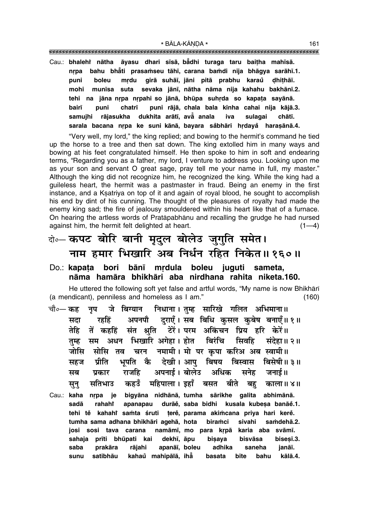\* BĀLA-KĀNDA \*

Cau.: bhalehi nātha āyasu dhari sīsā, bādhi turaga taru baitha mahīsā. bahu bhati prasamseu tāhī, carana bamdi nija bhāqya sarāhī.1. nrpa girā suhāī, iāni pitā prabhu karau puni mrdu dhithāī. boleu munīsa suta sevaka jānī, nātha nāma nija kahahu bakhānī.2. mohi tehi na jāna nrpa nrpahi so jānā, bhūpa suhrda so kapata savānā. bairī puni chatrī puni rājā, chala bala kīnha cahai nija kājā.3. dukhita arātī, avā anala samujhi rājasukha iva sulagai chātī. sarala bacana nrpa ke suni kānā, bayara såbhāri hrdayå harasānā.4.

"Very well, my lord," the king replied; and bowing to the hermit's command he tied up the horse to a tree and then sat down. The king extolled him in many ways and bowing at his feet congratulated himself. He then spoke to him in soft and endearing terms, "Regarding you as a father, my lord, I venture to address you. Looking upon me as your son and servant O great sage, pray tell me your name in full, my master." Although the king did not recognize him, he recognized the king. While the king had a quileless heart, the hermit was a pastmaster in fraud. Being an enemy in the first instance, and a Ksatriya on top of it and again of royal blood, he sought to accomplish his end by dint of his cunning. The thought of the pleasures of royalty had made the enemy king sad; the fire of jealousy smouldered within his heart like that of a furnace. On hearing the artless words of Pratapabhanu and recalling the grudge he had nursed against him, the hermit felt delighted at heart.  $(1-4)$ 

## के- कपट बोरि बानी मृदुल बोलेउ जुगुति समेत। नाम हमार भिखारि अब निर्धन रहित निकेत॥१६०॥

#### mrdula boleu juguti Do.: kapata bori bānī sameta. nāma hamāra bhikhāri aba nirdhana rahita niketa.160.

He uttered the following soft yet false and artful words, "My name is now Bhikhari (a mendicant), penniless and homeless as I am."  $(160)$ 

निधाना। तुम्ह सारिखे गलित अभिमाना॥ चौ०— कह जे बिग्यान नप अपनपौ दराएँ। सब बिधि कसल कबेष बनाएँ॥१॥ सदा रहहिं टेरें। परम अकिंचन प्रिय हरि केरें॥ तेहि तें कहहिं संत श्रति अधन भिखारि अगेहा। होत बिरंचि सिवहि संदेहा॥ २॥ सम तम्ह चरन नमामी। मो पर कपा करिअ अब स्वामी॥ जोसि सोसि तव देखी। आप बिषय बिस्वास प्रीति भपति कै बिसेषी॥ ३॥ सहज अपनाई। बोलेउ राजहि अधिक जनाई ॥ सब प्रकार सनेह कहउँ महिपाला। इहाँ बसत सतिभाउ बीते बह काला ॥ ४॥ सून् Cau.: kaha nrpa je bigyāna nidhānā, tumha sārikhe galita abhimānā. durāč, saba bidhi kusala kubesa banāč.1. sadā rahaht apanapau terė, parama akimcana priva hari kerė. tehi tě kahahř samta śruti tumha sama adhana bhikhāri agehā, hota biramci sivahi samdehā.2. josi sosi tava carana namāmī, mo para krpā karia aba svāmī. prīti bhūpati kai sahaja dekhī, āpu bişaya bisvāsa biseșī.3. saba prakāra rājahi apanāī, boleu janāī. adhika saneha satibhāu kahaů mahipālā, ihā kālā.4. sunu basata bīte bahu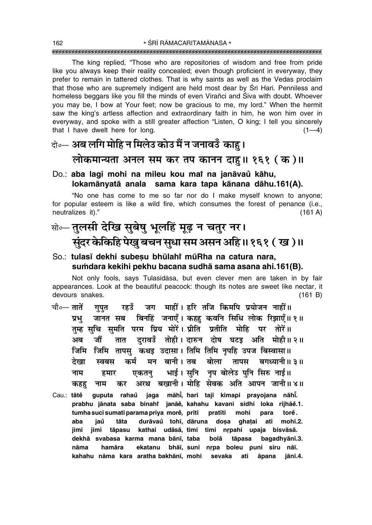The king replied, "Those who are repositories of wisdom and free from pride like you always keep their reality concealed; even though proficient in everyway, they prefer to remain in tattered clothes. That is why saints as well as the Vedas proclaim that those who are supremely indigent are held most dear by Srī Hari. Penniless and homeless beggars like you fill the minds of even Virañci and Siva with doubt. Whoever you may be, I bow at Your feet; now be gracious to me, my lord." When the hermit saw the king's artless affection and extraordinary faith in him, he won him over in everyway, and spoke with a still greater affection "Listen, O king; I tell you sincerely that I have dwelt here for long.  $(1-4)$ 

## दो॰— अब लगि मोहि न मिलेउ कोउ मैं न जनावउँ काहु।

## लोकमान्यता अनल सम कर तप कानन दाह॥ १६१ ( क )॥

### Do.: aba lagi mohi na mileu kou mai na janāvaŭ kāhu, lokamānyatā anala sama kara tapa kānana dāhu.161(A).

"No one has come to me so far nor do I make myself known to anyone; for popular esteem is like a wild fire, which consumes the forest of penance (i.e., neutralizes it)."  $(161 A)$ 

## सो० तुलसी देखि सुबेषु भूलहिं मूढ़ न चतुर नर। सुंदर केकिहि पेखु बचन सुधा सम असन अहि ॥ १६१ ( ख )॥

### So.: tulasī dekhi subeșu bhūlahi mūRha na catura nara, sumdara kekihi pekhu bacana sudhā sama asana ahi.161(B).

Not only fools, says Tulasidasa, but even clever men are taken in by fair appearances. Look at the beautiful peacock: though its notes are sweet like nectar, it devours snakes.  $(161 B)$ 

- रहउँ जग माहीं। हरि तजि किमपि प्रयोजन नाहीं॥ चौ∘— तातें गपत जानत सब विनहिं जनाएँ। कहहु कवनि सिधि लोक रिझाएँ॥१॥ प्रभ तुम्ह सुचि सुमति परम प्रिय मोरें। प्रीति प्रतीति मोहि पर तोरें॥ दरावउँ तोही। दारुन दोष घटइ अति मोही॥२॥ अब जौं तात जिमि जिमि तापस कथड उदासा। तिमि तिमि नपहि उपज बिस्वासा॥ मन बानी। तब बोला तापस बगध्यानी॥३॥ देखा कर्म स्वबस भाई। सुनि नृप बोलेउ पुनि सिरु नाई॥ नाम हमार एकतन् अरथ बखानी। मोहि सेवक अति आपन जानी॥४॥ नाम कर कहह
- Cau.: tātě guputa rahaŭ jaga māhi, hari taji kimapi prayojana nāhi. prabhu jānata saba binahi janāě, kahahu kavani sidhi loka rijhāě.1. tumha suci sumati parama priya more, prīti pratīti mohi para torë. durāvaŭ tohī, dāruna dosa ghatai ati aba jaů tāta mohī.2. jimi jimi tāpasu kathai udāsā, timi timi nrpahi upaja bisvāsā. dekhā svabasa karma mana bānī, taba bolā tāpasa bagadhyānī.3. ekatanu bhāī, suni nrpa boleu puni siru nāī. nāma hamāra kahahu nāma kara aratha bakhānī, mohi sevaka āpana ati jānī.4.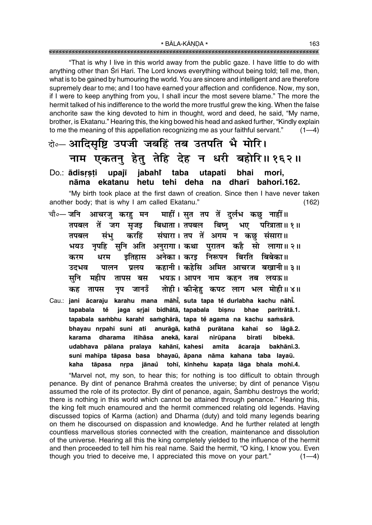"That is why I live in this world away from the public gaze. I have little to do with anything other than Srī Hari. The Lord knows everything without being told; tell me, then, what is to be gained by humouring the world. You are sincere and intelligent and are therefore supremely dear to me; and I too have earned your affection and confidence. Now, my son, if I were to keep anything from you, I shall incur the most severe blame." The more the hermit talked of his indifference to the world the more trustful grew the king. When the false anchorite saw the king devoted to him in thought, word and deed, he said, "My name, brother, is Ekatanu." Hearing this, the king bowed his head and asked further, "Kindly explain to me the meaning of this appellation recognizing me as your faithful servant."  $(1-4)$ 

# दो०- आदिसृष्टि उपजी जबहिं तब उतपति भै मोरि। नाम एकतन् हेत् तेहि देह न धरी बहोरि॥१६२॥

#### taba Do.: adisrsti utapati bhai upajī jabahi mori. nāma ekatanu hetu tehi deha na dharī bahori.162.

"My birth took place at the first dawn of creation. Since then I have never taken another body; that is why I am called Ekatanu."  $(162)$ 

- चौ∘— जनि आचरज् करह मन माहीं । सुत तप तें दुर्लभ कछ नाहीं ॥ तपबल तें जग सुजइ बिधाता।तपबल बिष्न भए परित्राता॥ १॥ संघारा। तप तें अगम न कछ संसारा॥ संभ करहिं तपबल सनि अति अनुरागा। कथा पुरातन कहै सो लागा॥२॥ नृपहि भयउ इतिहास अनेका। करड निरूपन बिरति बिबेका॥ करम धरम कहानी। कहेसि अमित आचरज बखानी॥३॥ पालन उटभव प्रलय भयऊ। आपन नाम कहन तब लयऊ॥ सनि महीप तापस बस तोही। कीन्हेह कपट लाग भल मोही॥४॥ नप जानउँ कह तापस
- Cau.: jani ācaraju karahu mana māhi, suta tapa tě durlabha kachu nāhi. jaga srjai bidhātā, tapabala bisnu bhae paritrātā.1. tapabala tě tapabala sambhu karahî samghārā, tapa tě agama na kachu samsārā. anurāgā, kathā purātana kahai so bhayau nrpahi suni ati lāgā.2. dharama itihāsa anekā, karai nirūpana karama birati bibekā. udabhava pālana pralaya kahānī, kahesi amita ācaraja bakhānī.3. suni mahīpa tāpasa basa bhayaū, āpana nāma kahana taba layaū. kaha tāpasa nrpa jānau tohī, kīnhehu kapata lāga bhala mohī.4.

"Marvel not, my son, to hear this; for nothing is too difficult to obtain through penance. By dint of penance Brahma creates the universe; by dint of penance Visnu assumed the role of its protector. By dint of penance, again, Sambhu destroys the world; there is nothing in this world which cannot be attained through penance." Hearing this, the king felt much enamoured and the hermit commenced relating old legends. Having discussed topics of Karma (action) and Dharma (duty) and told many legends bearing on them he discoursed on dispassion and knowledge. And he further related at length countless marvellous stories connected with the creation, maintenance and dissolution of the universe. Hearing all this the king completely yielded to the influence of the hermit and then proceeded to tell him his real name. Said the hermit, "O king, I know you. Even though you tried to deceive me, I appreciated this move on your part."  $(1-4)$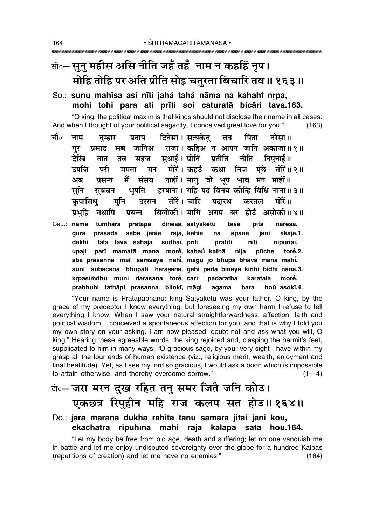# सो॰– सून महीस असि नीति जहँ तहँ नाम न कहहिं नूप। मोहि तोहि पर अति प्रीति सोड़ चतुरता बिचारि तव ॥ १६३ ॥

## So.: sunu mahīsa asi nīti jahă tahă nāma na kahahi nrpa, mohi tohi para ati prīti soi caturatā bicāri tava.163.

"O king, the political maxim is that kings should not disclose their name in all cases. And when I thought of your political sagacity, I conceived great love for you."  $(163)$ 

- चौ∘— नाम पिता दिनेसा। सत्यकेत तम्हार प्रताप तव नरेसा॥ जानिअ राजा। कहिअ न आपन जानि अकाजा॥१॥ गर प्रसाद सब सधाई। प्रीति प्रतीति देखि नीति निपनाई ॥ तात तव सहज उपजि परी ममता मोरें। कहउँ कथा निज पछे तोरें॥२॥ मन नाहीं। माग जो भप भाव मन माहीं॥ मैं अब पसन्न संसय सूनि हरषाना। गहि पद बिनय कीन्हि बिधि नाना॥३॥ सबचन भूपति तोरें । चारि मोरें ॥ कपासिंध मनि दरसन पदारथ करतल बिलोकी। मागि अगम बर होउँ असोकी॥४॥ प्रभहि तथापि प्रसन्न
- pitā Cau.: nāma tumhāra pratāpa dinesā, satyaketu tava naresā. prasāda saba jānia rājā, kahia āpana iāni akājā.1. gura na dekhi tāta tava sahaja sudhāī, prīti pratīti nīti nipunāī. upaji parī mamatā mana morė, kahaŭ kathā pūche nija torě.2. aba prasanna mai samsaya nāhi, māgu jo bhūpa bhāva mana māhi. suni subacana bhūpati harasānā, gahi pada binaya kīnhi bidhi nānā.3. krpāsimdhu muni darasana torė, cāri padāratha karatala morě. prabhuhi tathāpi prasanna bilokī, māgi agama bara hoů asokī.4.

"Your name is Pratāpabhānu; king Satyaketu was your father. O king, by the grace of my preceptor I know everything; but foreseeing my own harm I refuse to tell everything I know. When I saw your natural straightforwardness, affection, faith and political wisdom, I conceived a spontaneous affection for you; and that is why I told you my own story on your asking. I am now pleased; doubt not and ask what you will, O king." Hearing these agreeable words, the king rejoiced and, clasping the hermit's feet, supplicated to him in many ways. "O gracious sage, by your very sight I have within my grasp all the four ends of human existence (viz., religious merit, wealth, enjoyment and final beatitude). Yet, as I see my lord so gracious, I would ask a boon which is impossible to attain otherwise, and thereby overcome sorrow."  $(1-4)$ 

# के-जरा मरन दुख रहित तनु समर जितै जनि कोउ। एकछत्र रिपुहीन महि राज कलप सत होउ॥१६४॥

## Do.: jarā marana dukha rahita tanu samara jitai jani kou, ekachatra ripuhīna mahi rāja kalapa sata hou.164.

"Let my body be free from old age, death and suffering; let no one vanquish me in battle and let me enjoy undisputed sovereignty over the globe for a hundred Kalpas (repetitions of creation) and let me have no enemies."  $(164)$